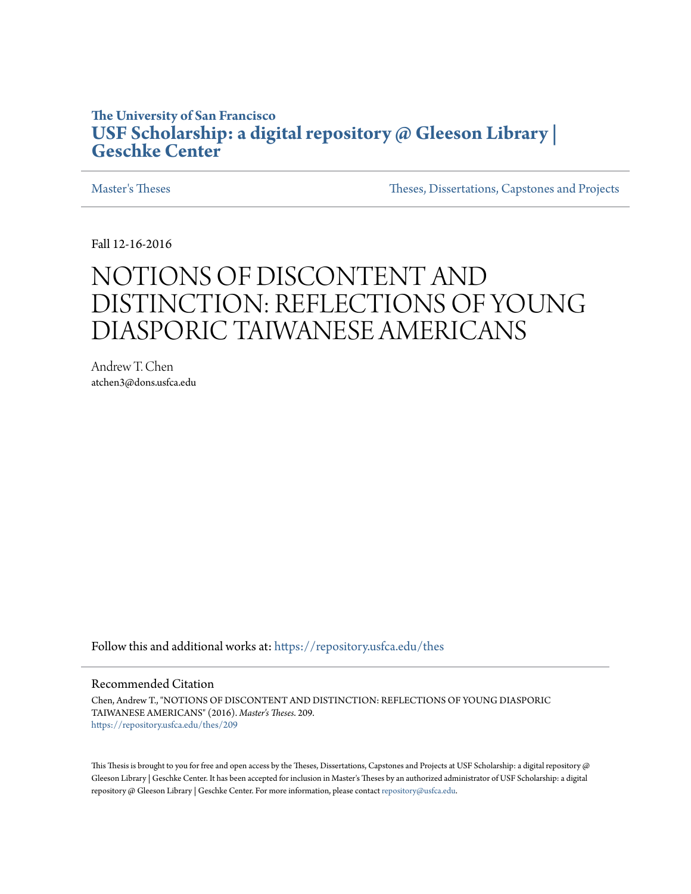#### **The University of San Francisco [USF Scholarship: a digital repository @ Gleeson Library |](https://repository.usfca.edu?utm_source=repository.usfca.edu%2Fthes%2F209&utm_medium=PDF&utm_campaign=PDFCoverPages) [Geschke Center](https://repository.usfca.edu?utm_source=repository.usfca.edu%2Fthes%2F209&utm_medium=PDF&utm_campaign=PDFCoverPages)**

[Master's Theses](https://repository.usfca.edu/thes?utm_source=repository.usfca.edu%2Fthes%2F209&utm_medium=PDF&utm_campaign=PDFCoverPages) [Theses, Dissertations, Capstones and Projects](https://repository.usfca.edu/etd?utm_source=repository.usfca.edu%2Fthes%2F209&utm_medium=PDF&utm_campaign=PDFCoverPages)

Fall 12-16-2016

# NOTIONS OF DISCONTENT AND DISTINCTION: REFLECTIONS OF YOUNG DIASPORIC TAIWANESE AMERICANS

Andrew T. Chen atchen3@dons.usfca.edu

Follow this and additional works at: [https://repository.usfca.edu/thes](https://repository.usfca.edu/thes?utm_source=repository.usfca.edu%2Fthes%2F209&utm_medium=PDF&utm_campaign=PDFCoverPages)

#### Recommended Citation

Chen, Andrew T., "NOTIONS OF DISCONTENT AND DISTINCTION: REFLECTIONS OF YOUNG DIASPORIC TAIWANESE AMERICANS" (2016). *Master's Theses*. 209. [https://repository.usfca.edu/thes/209](https://repository.usfca.edu/thes/209?utm_source=repository.usfca.edu%2Fthes%2F209&utm_medium=PDF&utm_campaign=PDFCoverPages)

This Thesis is brought to you for free and open access by the Theses, Dissertations, Capstones and Projects at USF Scholarship: a digital repository @ Gleeson Library | Geschke Center. It has been accepted for inclusion in Master's Theses by an authorized administrator of USF Scholarship: a digital repository @ Gleeson Library | Geschke Center. For more information, please contact [repository@usfca.edu.](mailto:repository@usfca.edu)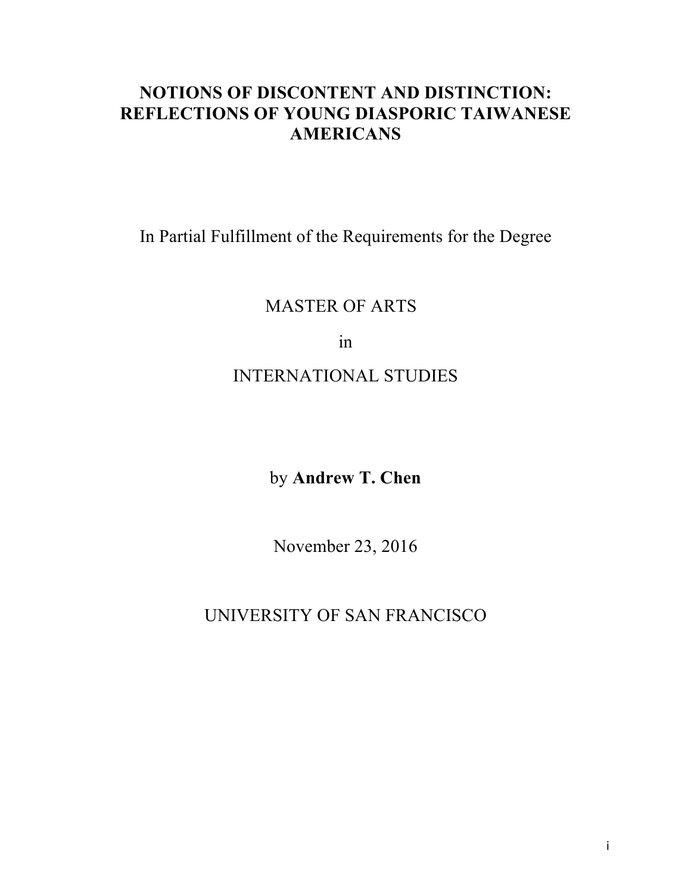## **NOTIONS OF DISCONTENT AND DISTINCTION: REFLECTIONS OF YOUNG DIASPORIC TAIWANESE AMERICANS**

In Partial Fulfillment of the Requirements for the Degree

## MASTER OF ARTS

in

## INTERNATIONAL STUDIES

## by **Andrew T. Chen**

November 23, 2016

UNIVERSITY OF SAN FRANCISCO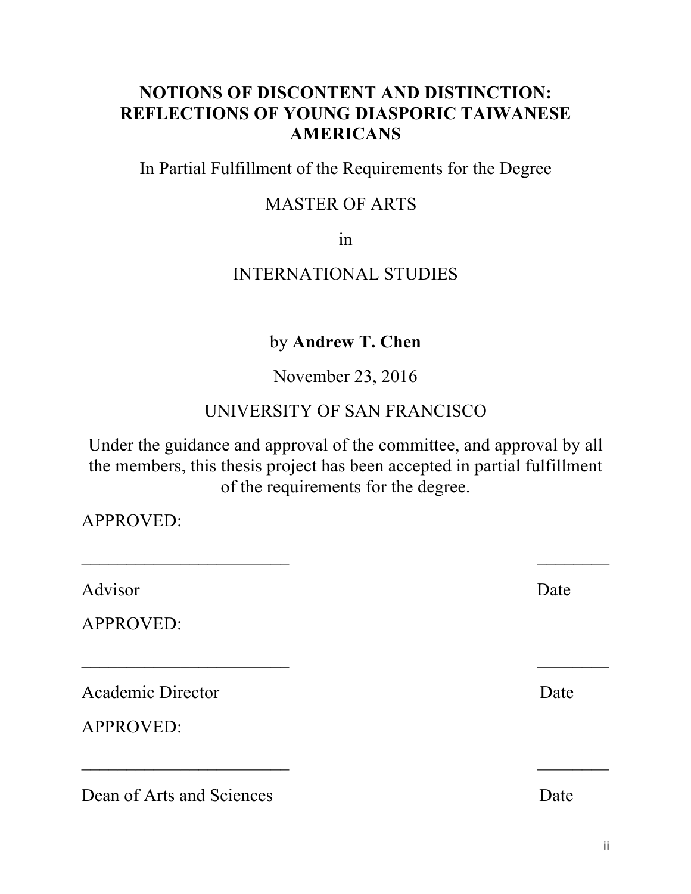#### **NOTIONS OF DISCONTENT AND DISTINCTION: REFLECTIONS OF YOUNG DIASPORIC TAIWANESE AMERICANS**

In Partial Fulfillment of the Requirements for the Degree

#### MASTER OF ARTS

in

#### INTERNATIONAL STUDIES

#### by **Andrew T. Chen**

November 23, 2016

#### UNIVERSITY OF SAN FRANCISCO

Under the guidance and approval of the committee, and approval by all the members, this thesis project has been accepted in partial fulfillment of the requirements for the degree.

 $\mathcal{L}_\text{max}$  and  $\mathcal{L}_\text{max}$  and  $\mathcal{L}_\text{max}$  and  $\mathcal{L}_\text{max}$  and  $\mathcal{L}_\text{max}$ 

\_\_\_\_\_\_\_\_\_\_\_\_\_\_\_\_\_\_\_\_\_\_\_ \_\_\_\_\_\_\_\_

\_\_\_\_\_\_\_\_\_\_\_\_\_\_\_\_\_\_\_\_\_\_\_ \_\_\_\_\_\_\_\_

APPROVED:

Advisor Date

APPROVED:

Academic Director Date

APPROVED:

Dean of Arts and Sciences Date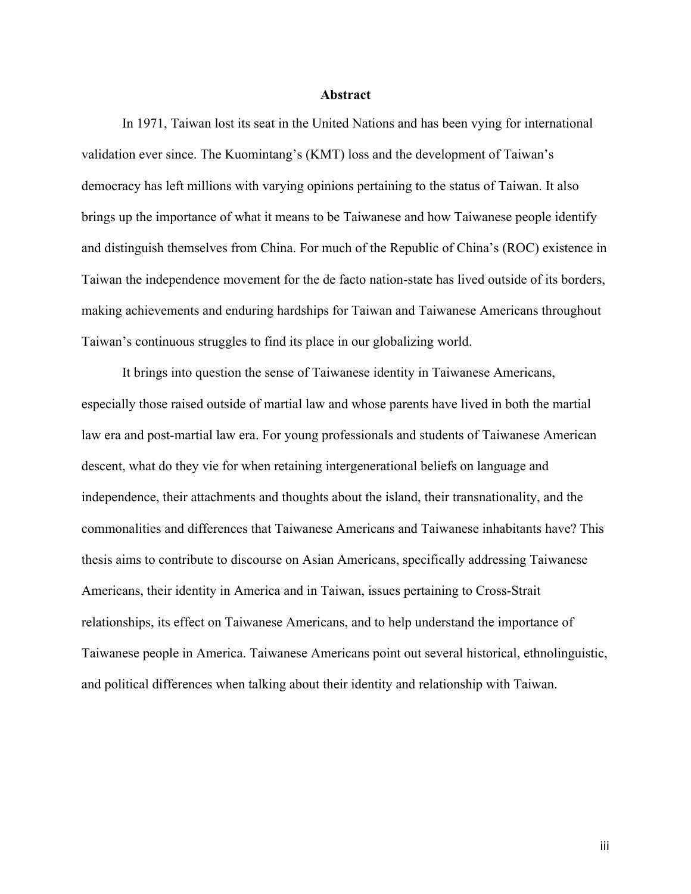#### **Abstract**

In 1971, Taiwan lost its seat in the United Nations and has been vying for international validation ever since. The Kuomintang's (KMT) loss and the development of Taiwan's democracy has left millions with varying opinions pertaining to the status of Taiwan. It also brings up the importance of what it means to be Taiwanese and how Taiwanese people identify and distinguish themselves from China. For much of the Republic of China's (ROC) existence in Taiwan the independence movement for the de facto nation-state has lived outside of its borders, making achievements and enduring hardships for Taiwan and Taiwanese Americans throughout Taiwan's continuous struggles to find its place in our globalizing world.

It brings into question the sense of Taiwanese identity in Taiwanese Americans, especially those raised outside of martial law and whose parents have lived in both the martial law era and post-martial law era. For young professionals and students of Taiwanese American descent, what do they vie for when retaining intergenerational beliefs on language and independence, their attachments and thoughts about the island, their transnationality, and the commonalities and differences that Taiwanese Americans and Taiwanese inhabitants have? This thesis aims to contribute to discourse on Asian Americans, specifically addressing Taiwanese Americans, their identity in America and in Taiwan, issues pertaining to Cross-Strait relationships, its effect on Taiwanese Americans, and to help understand the importance of Taiwanese people in America. Taiwanese Americans point out several historical, ethnolinguistic, and political differences when talking about their identity and relationship with Taiwan.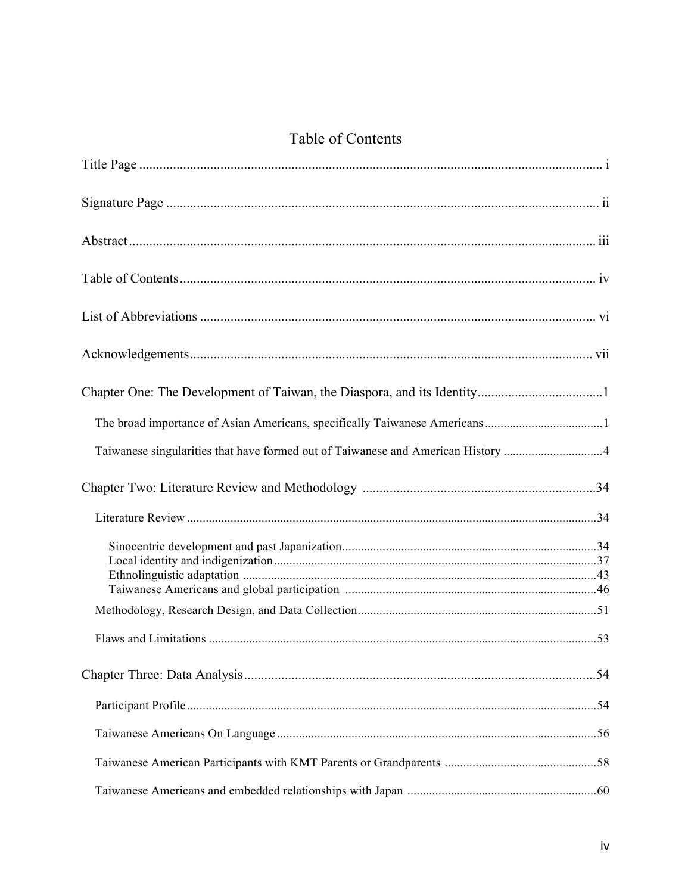## Table of Contents

| Taiwanese singularities that have formed out of Taiwanese and American History 4 |  |
|----------------------------------------------------------------------------------|--|
|                                                                                  |  |
|                                                                                  |  |
|                                                                                  |  |
|                                                                                  |  |
|                                                                                  |  |
|                                                                                  |  |
|                                                                                  |  |
|                                                                                  |  |
|                                                                                  |  |
|                                                                                  |  |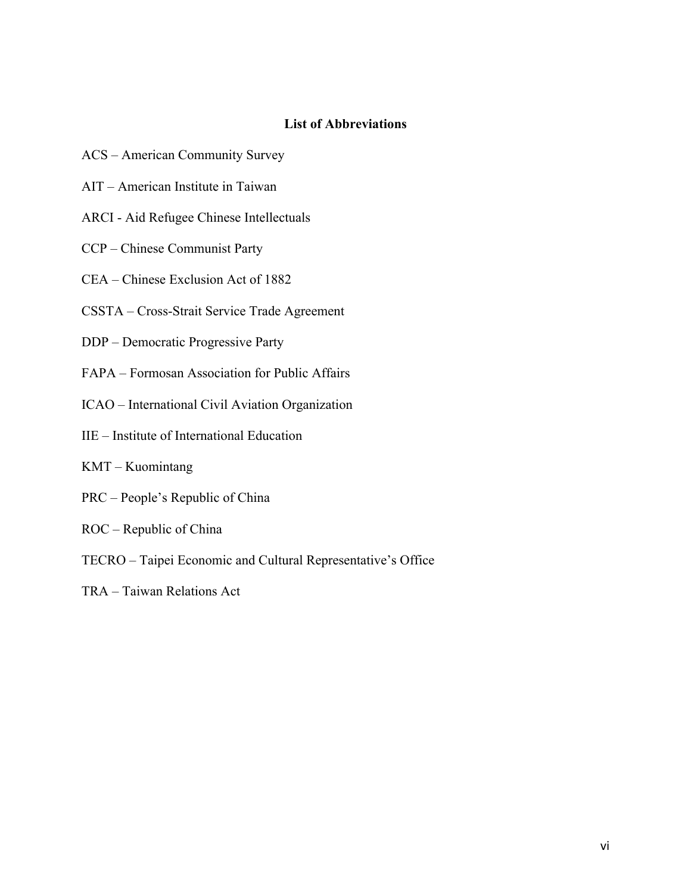#### **List of Abbreviations**

- ACS American Community Survey
- AIT American Institute in Taiwan
- ARCI Aid Refugee Chinese Intellectuals
- CCP Chinese Communist Party
- CEA Chinese Exclusion Act of 1882
- CSSTA Cross-Strait Service Trade Agreement
- DDP Democratic Progressive Party
- FAPA Formosan Association for Public Affairs
- ICAO International Civil Aviation Organization
- IIE Institute of International Education
- KMT Kuomintang
- PRC People's Republic of China
- ROC Republic of China
- TECRO Taipei Economic and Cultural Representative's Office
- TRA Taiwan Relations Act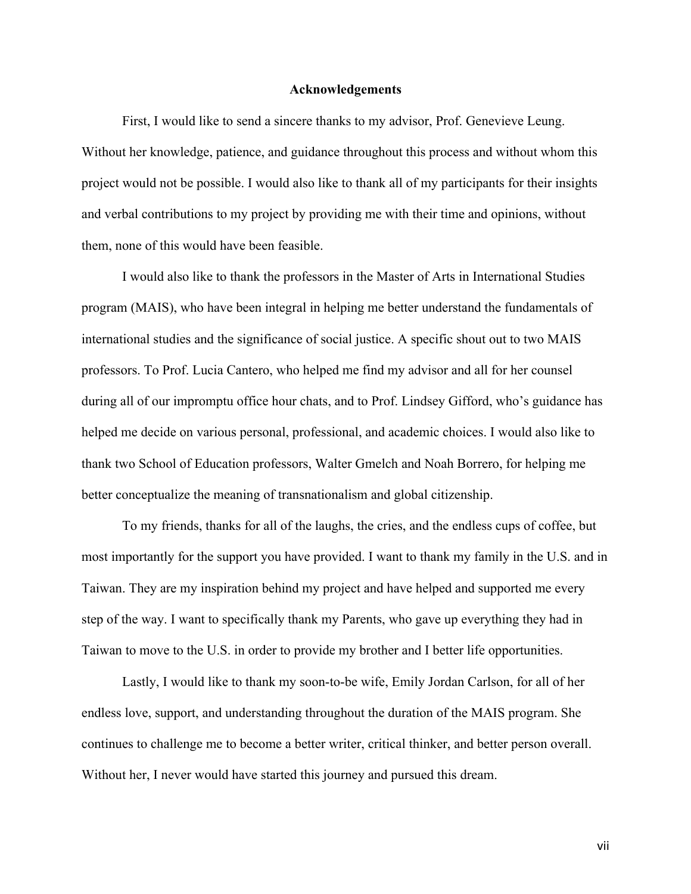#### **Acknowledgements**

First, I would like to send a sincere thanks to my advisor, Prof. Genevieve Leung. Without her knowledge, patience, and guidance throughout this process and without whom this project would not be possible. I would also like to thank all of my participants for their insights and verbal contributions to my project by providing me with their time and opinions, without them, none of this would have been feasible.

I would also like to thank the professors in the Master of Arts in International Studies program (MAIS), who have been integral in helping me better understand the fundamentals of international studies and the significance of social justice. A specific shout out to two MAIS professors. To Prof. Lucia Cantero, who helped me find my advisor and all for her counsel during all of our impromptu office hour chats, and to Prof. Lindsey Gifford, who's guidance has helped me decide on various personal, professional, and academic choices. I would also like to thank two School of Education professors, Walter Gmelch and Noah Borrero, for helping me better conceptualize the meaning of transnationalism and global citizenship.

To my friends, thanks for all of the laughs, the cries, and the endless cups of coffee, but most importantly for the support you have provided. I want to thank my family in the U.S. and in Taiwan. They are my inspiration behind my project and have helped and supported me every step of the way. I want to specifically thank my Parents, who gave up everything they had in Taiwan to move to the U.S. in order to provide my brother and I better life opportunities.

Lastly, I would like to thank my soon-to-be wife, Emily Jordan Carlson, for all of her endless love, support, and understanding throughout the duration of the MAIS program. She continues to challenge me to become a better writer, critical thinker, and better person overall. Without her, I never would have started this journey and pursued this dream.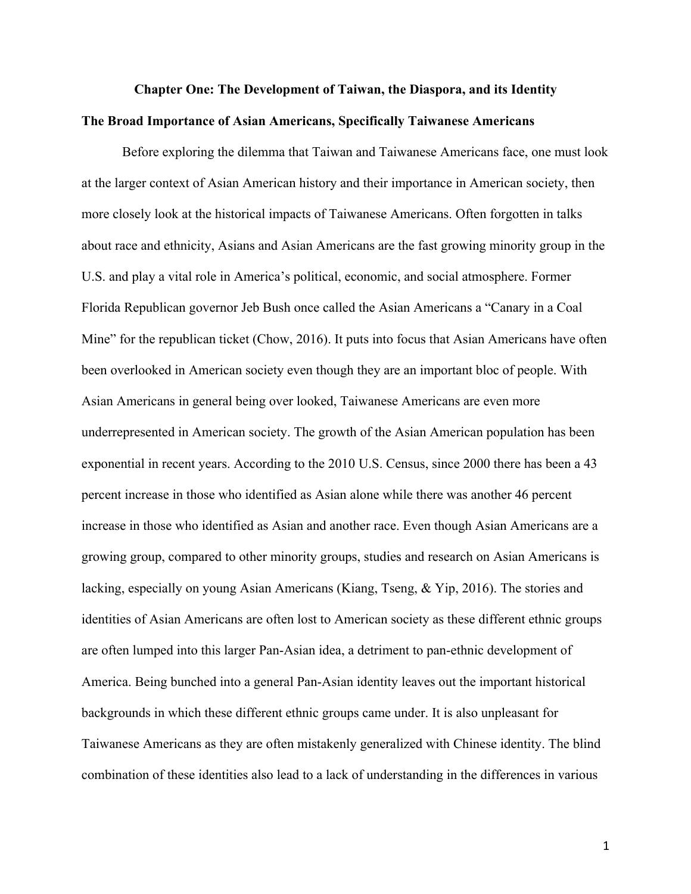## **Chapter One: The Development of Taiwan, the Diaspora, and its Identity The Broad Importance of Asian Americans, Specifically Taiwanese Americans**

Before exploring the dilemma that Taiwan and Taiwanese Americans face, one must look at the larger context of Asian American history and their importance in American society, then more closely look at the historical impacts of Taiwanese Americans. Often forgotten in talks about race and ethnicity, Asians and Asian Americans are the fast growing minority group in the U.S. and play a vital role in America's political, economic, and social atmosphere. Former Florida Republican governor Jeb Bush once called the Asian Americans a "Canary in a Coal Mine" for the republican ticket (Chow, 2016). It puts into focus that Asian Americans have often been overlooked in American society even though they are an important bloc of people. With Asian Americans in general being over looked, Taiwanese Americans are even more underrepresented in American society. The growth of the Asian American population has been exponential in recent years. According to the 2010 U.S. Census, since 2000 there has been a 43 percent increase in those who identified as Asian alone while there was another 46 percent increase in those who identified as Asian and another race. Even though Asian Americans are a growing group, compared to other minority groups, studies and research on Asian Americans is lacking, especially on young Asian Americans (Kiang, Tseng, & Yip, 2016). The stories and identities of Asian Americans are often lost to American society as these different ethnic groups are often lumped into this larger Pan-Asian idea, a detriment to pan-ethnic development of America. Being bunched into a general Pan-Asian identity leaves out the important historical backgrounds in which these different ethnic groups came under. It is also unpleasant for Taiwanese Americans as they are often mistakenly generalized with Chinese identity. The blind combination of these identities also lead to a lack of understanding in the differences in various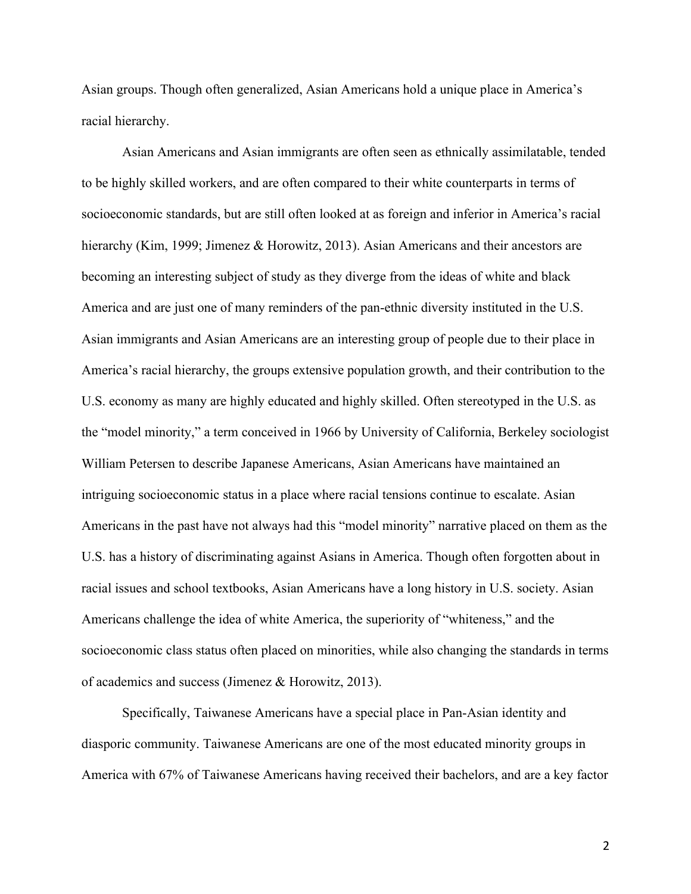Asian groups. Though often generalized, Asian Americans hold a unique place in America's racial hierarchy.

Asian Americans and Asian immigrants are often seen as ethnically assimilatable, tended to be highly skilled workers, and are often compared to their white counterparts in terms of socioeconomic standards, but are still often looked at as foreign and inferior in America's racial hierarchy (Kim, 1999; Jimenez & Horowitz, 2013). Asian Americans and their ancestors are becoming an interesting subject of study as they diverge from the ideas of white and black America and are just one of many reminders of the pan-ethnic diversity instituted in the U.S. Asian immigrants and Asian Americans are an interesting group of people due to their place in America's racial hierarchy, the groups extensive population growth, and their contribution to the U.S. economy as many are highly educated and highly skilled. Often stereotyped in the U.S. as the "model minority," a term conceived in 1966 by University of California, Berkeley sociologist William Petersen to describe Japanese Americans, Asian Americans have maintained an intriguing socioeconomic status in a place where racial tensions continue to escalate. Asian Americans in the past have not always had this "model minority" narrative placed on them as the U.S. has a history of discriminating against Asians in America. Though often forgotten about in racial issues and school textbooks, Asian Americans have a long history in U.S. society. Asian Americans challenge the idea of white America, the superiority of "whiteness," and the socioeconomic class status often placed on minorities, while also changing the standards in terms of academics and success (Jimenez & Horowitz, 2013).

Specifically, Taiwanese Americans have a special place in Pan-Asian identity and diasporic community. Taiwanese Americans are one of the most educated minority groups in America with 67% of Taiwanese Americans having received their bachelors, and are a key factor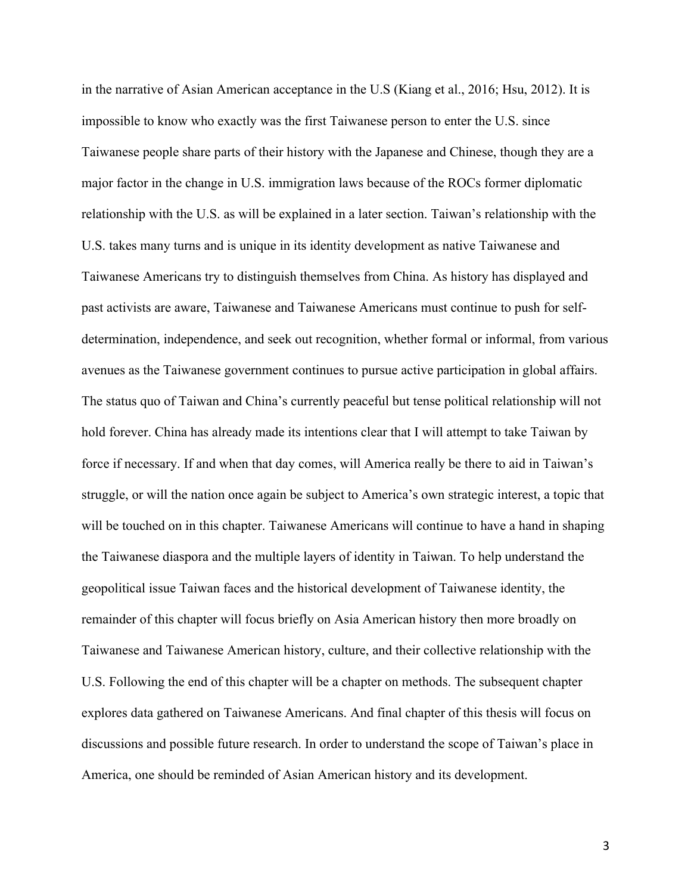in the narrative of Asian American acceptance in the U.S (Kiang et al., 2016; Hsu, 2012). It is impossible to know who exactly was the first Taiwanese person to enter the U.S. since Taiwanese people share parts of their history with the Japanese and Chinese, though they are a major factor in the change in U.S. immigration laws because of the ROCs former diplomatic relationship with the U.S. as will be explained in a later section. Taiwan's relationship with the U.S. takes many turns and is unique in its identity development as native Taiwanese and Taiwanese Americans try to distinguish themselves from China. As history has displayed and past activists are aware, Taiwanese and Taiwanese Americans must continue to push for selfdetermination, independence, and seek out recognition, whether formal or informal, from various avenues as the Taiwanese government continues to pursue active participation in global affairs. The status quo of Taiwan and China's currently peaceful but tense political relationship will not hold forever. China has already made its intentions clear that I will attempt to take Taiwan by force if necessary. If and when that day comes, will America really be there to aid in Taiwan's struggle, or will the nation once again be subject to America's own strategic interest, a topic that will be touched on in this chapter. Taiwanese Americans will continue to have a hand in shaping the Taiwanese diaspora and the multiple layers of identity in Taiwan. To help understand the geopolitical issue Taiwan faces and the historical development of Taiwanese identity, the remainder of this chapter will focus briefly on Asia American history then more broadly on Taiwanese and Taiwanese American history, culture, and their collective relationship with the U.S. Following the end of this chapter will be a chapter on methods. The subsequent chapter explores data gathered on Taiwanese Americans. And final chapter of this thesis will focus on discussions and possible future research. In order to understand the scope of Taiwan's place in America, one should be reminded of Asian American history and its development.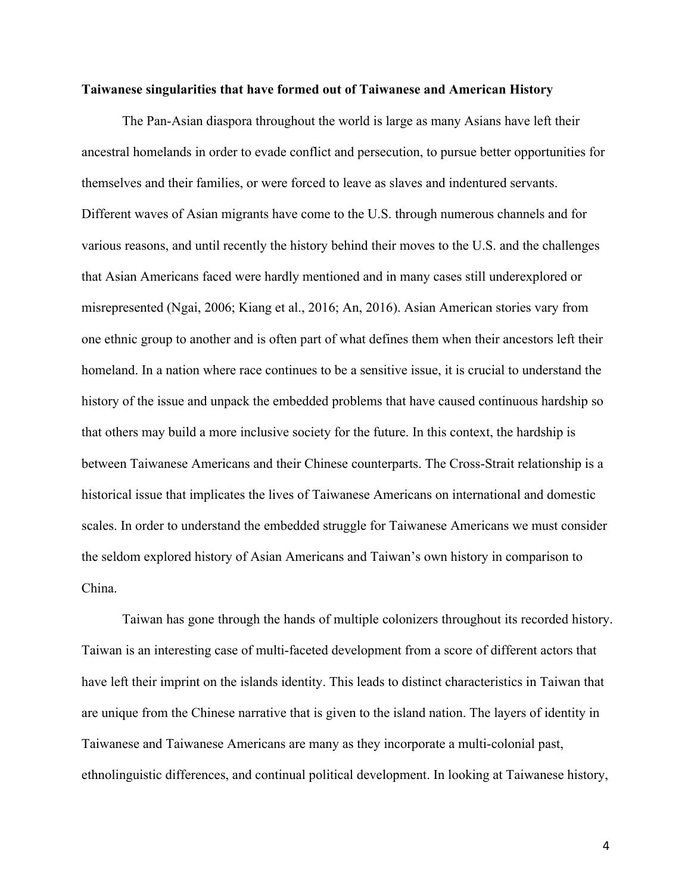#### **Taiwanese singularities that have formed out of Taiwanese and American History**

The Pan-Asian diaspora throughout the world is large as many Asians have left their ancestral homelands in order to evade conflict and persecution, to pursue better opportunities for themselves and their families, or were forced to leave as slaves and indentured servants. Different waves of Asian migrants have come to the U.S. through numerous channels and for various reasons, and until recently the history behind their moves to the U.S. and the challenges that Asian Americans faced were hardly mentioned and in many cases still underexplored or misrepresented (Ngai, 2006; Kiang et al., 2016; An, 2016). Asian American stories vary from one ethnic group to another and is often part of what defines them when their ancestors left their homeland. In a nation where race continues to be a sensitive issue, it is crucial to understand the history of the issue and unpack the embedded problems that have caused continuous hardship so that others may build a more inclusive society for the future. In this context, the hardship is between Taiwanese Americans and their Chinese counterparts. The Cross-Strait relationship is a historical issue that implicates the lives of Taiwanese Americans on international and domestic scales. In order to understand the embedded struggle for Taiwanese Americans we must consider the seldom explored history of Asian Americans and Taiwan's own history in comparison to China.

Taiwan has gone through the hands of multiple colonizers throughout its recorded history. Taiwan is an interesting case of multi-faceted development from a score of different actors that have left their imprint on the islands identity. This leads to distinct characteristics in Taiwan that are unique from the Chinese narrative that is given to the island nation. The layers of identity in Taiwanese and Taiwanese Americans are many as they incorporate a multi-colonial past, ethnolinguistic differences, and continual political development. In looking at Taiwanese history,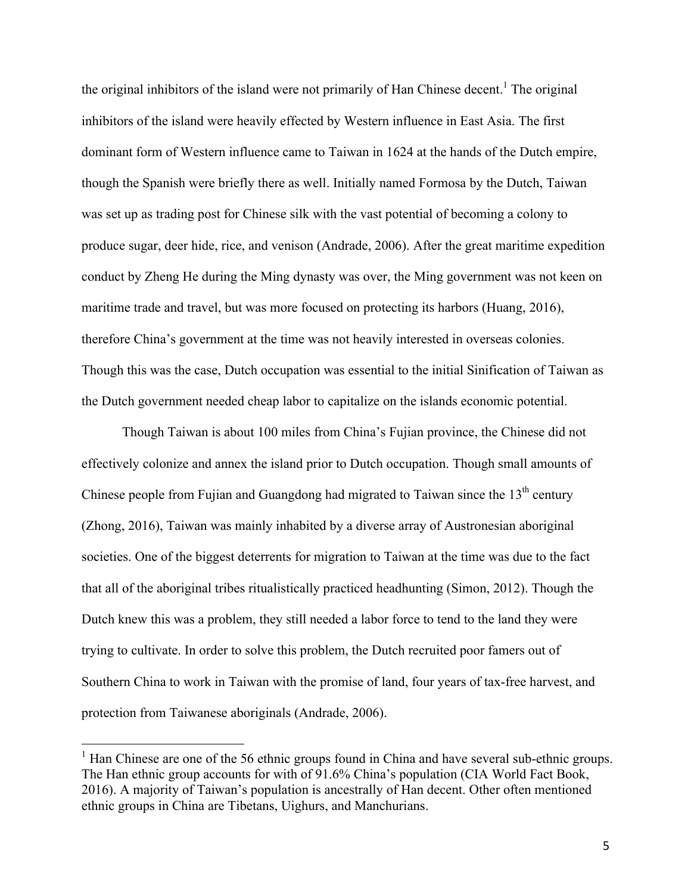the original inhibitors of the island were not primarily of Han Chinese decent.<sup>1</sup> The original inhibitors of the island were heavily effected by Western influence in East Asia. The first dominant form of Western influence came to Taiwan in 1624 at the hands of the Dutch empire, though the Spanish were briefly there as well. Initially named Formosa by the Dutch, Taiwan was set up as trading post for Chinese silk with the vast potential of becoming a colony to produce sugar, deer hide, rice, and venison (Andrade, 2006). After the great maritime expedition conduct by Zheng He during the Ming dynasty was over, the Ming government was not keen on maritime trade and travel, but was more focused on protecting its harbors (Huang, 2016), therefore China's government at the time was not heavily interested in overseas colonies. Though this was the case, Dutch occupation was essential to the initial Sinification of Taiwan as the Dutch government needed cheap labor to capitalize on the islands economic potential.

Though Taiwan is about 100 miles from China's Fujian province, the Chinese did not effectively colonize and annex the island prior to Dutch occupation. Though small amounts of Chinese people from Fujian and Guangdong had migrated to Taiwan since the  $13<sup>th</sup>$  century (Zhong, 2016), Taiwan was mainly inhabited by a diverse array of Austronesian aboriginal societies. One of the biggest deterrents for migration to Taiwan at the time was due to the fact that all of the aboriginal tribes ritualistically practiced headhunting (Simon, 2012). Though the Dutch knew this was a problem, they still needed a labor force to tend to the land they were trying to cultivate. In order to solve this problem, the Dutch recruited poor famers out of Southern China to work in Taiwan with the promise of land, four years of tax-free harvest, and protection from Taiwanese aboriginals (Andrade, 2006).

<sup>&</sup>lt;sup>1</sup> Han Chinese are one of the 56 ethnic groups found in China and have several sub-ethnic groups. The Han ethnic group accounts for with of 91.6% China's population (CIA World Fact Book, 2016). A majority of Taiwan's population is ancestrally of Han decent. Other often mentioned ethnic groups in China are Tibetans, Uighurs, and Manchurians.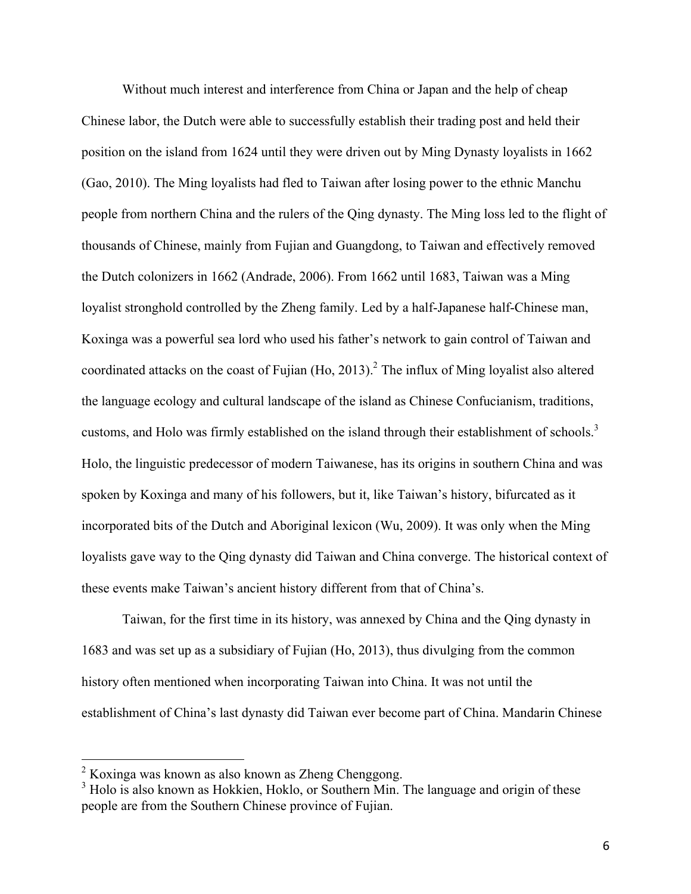Without much interest and interference from China or Japan and the help of cheap Chinese labor, the Dutch were able to successfully establish their trading post and held their position on the island from 1624 until they were driven out by Ming Dynasty loyalists in 1662 (Gao, 2010). The Ming loyalists had fled to Taiwan after losing power to the ethnic Manchu people from northern China and the rulers of the Qing dynasty. The Ming loss led to the flight of thousands of Chinese, mainly from Fujian and Guangdong, to Taiwan and effectively removed the Dutch colonizers in 1662 (Andrade, 2006). From 1662 until 1683, Taiwan was a Ming loyalist stronghold controlled by the Zheng family. Led by a half-Japanese half-Chinese man, Koxinga was a powerful sea lord who used his father's network to gain control of Taiwan and coordinated attacks on the coast of Fujian (Ho, 2013).<sup>2</sup> The influx of Ming loyalist also altered the language ecology and cultural landscape of the island as Chinese Confucianism, traditions, customs, and Holo was firmly established on the island through their establishment of schools.<sup>3</sup> Holo, the linguistic predecessor of modern Taiwanese, has its origins in southern China and was spoken by Koxinga and many of his followers, but it, like Taiwan's history, bifurcated as it incorporated bits of the Dutch and Aboriginal lexicon (Wu, 2009). It was only when the Ming loyalists gave way to the Qing dynasty did Taiwan and China converge. The historical context of these events make Taiwan's ancient history different from that of China's.

Taiwan, for the first time in its history, was annexed by China and the Qing dynasty in 1683 and was set up as a subsidiary of Fujian (Ho, 2013), thus divulging from the common history often mentioned when incorporating Taiwan into China. It was not until the establishment of China's last dynasty did Taiwan ever become part of China. Mandarin Chinese

<sup>&</sup>lt;sup>2</sup> Koxinga was known as also known as Zheng Chenggong.<br><sup>3</sup> Holo is also known as Hokkien, Hoklo, or Southern Min. The language and origin of these people are from the Southern Chinese province of Fujian.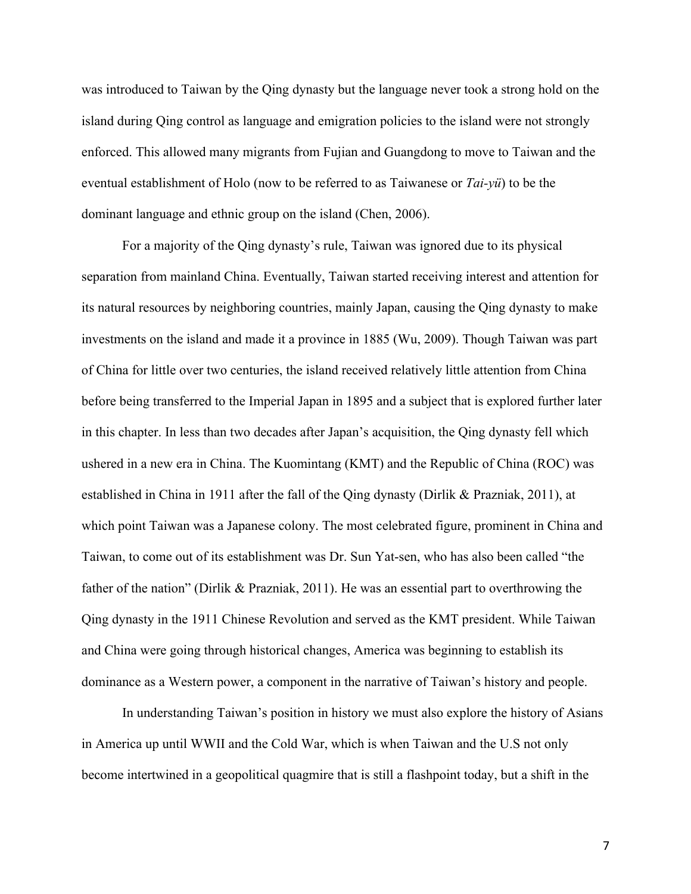was introduced to Taiwan by the Qing dynasty but the language never took a strong hold on the island during Qing control as language and emigration policies to the island were not strongly enforced. This allowed many migrants from Fujian and Guangdong to move to Taiwan and the eventual establishment of Holo (now to be referred to as Taiwanese or *Tai-yü*) to be the dominant language and ethnic group on the island (Chen, 2006).

For a majority of the Qing dynasty's rule, Taiwan was ignored due to its physical separation from mainland China. Eventually, Taiwan started receiving interest and attention for its natural resources by neighboring countries, mainly Japan, causing the Qing dynasty to make investments on the island and made it a province in 1885 (Wu, 2009). Though Taiwan was part of China for little over two centuries, the island received relatively little attention from China before being transferred to the Imperial Japan in 1895 and a subject that is explored further later in this chapter. In less than two decades after Japan's acquisition, the Qing dynasty fell which ushered in a new era in China. The Kuomintang (KMT) and the Republic of China (ROC) was established in China in 1911 after the fall of the Qing dynasty (Dirlik & Prazniak, 2011), at which point Taiwan was a Japanese colony. The most celebrated figure, prominent in China and Taiwan, to come out of its establishment was Dr. Sun Yat-sen, who has also been called "the father of the nation" (Dirlik & Prazniak, 2011). He was an essential part to overthrowing the Qing dynasty in the 1911 Chinese Revolution and served as the KMT president. While Taiwan and China were going through historical changes, America was beginning to establish its dominance as a Western power, a component in the narrative of Taiwan's history and people.

In understanding Taiwan's position in history we must also explore the history of Asians in America up until WWII and the Cold War, which is when Taiwan and the U.S not only become intertwined in a geopolitical quagmire that is still a flashpoint today, but a shift in the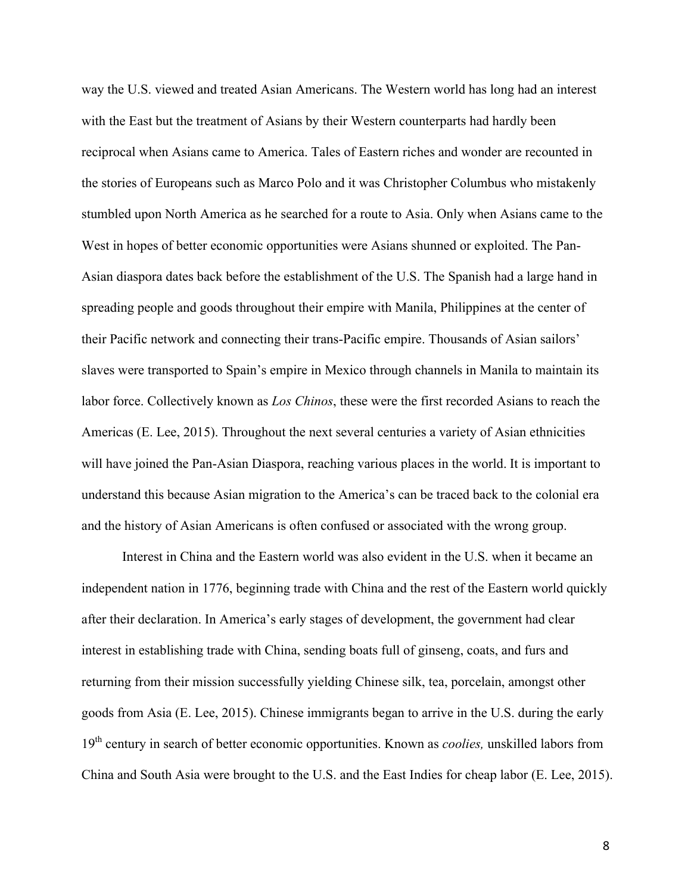way the U.S. viewed and treated Asian Americans. The Western world has long had an interest with the East but the treatment of Asians by their Western counterparts had hardly been reciprocal when Asians came to America. Tales of Eastern riches and wonder are recounted in the stories of Europeans such as Marco Polo and it was Christopher Columbus who mistakenly stumbled upon North America as he searched for a route to Asia. Only when Asians came to the West in hopes of better economic opportunities were Asians shunned or exploited. The Pan-Asian diaspora dates back before the establishment of the U.S. The Spanish had a large hand in spreading people and goods throughout their empire with Manila, Philippines at the center of their Pacific network and connecting their trans-Pacific empire. Thousands of Asian sailors' slaves were transported to Spain's empire in Mexico through channels in Manila to maintain its labor force. Collectively known as *Los Chinos*, these were the first recorded Asians to reach the Americas (E. Lee, 2015). Throughout the next several centuries a variety of Asian ethnicities will have joined the Pan-Asian Diaspora, reaching various places in the world. It is important to understand this because Asian migration to the America's can be traced back to the colonial era and the history of Asian Americans is often confused or associated with the wrong group.

Interest in China and the Eastern world was also evident in the U.S. when it became an independent nation in 1776, beginning trade with China and the rest of the Eastern world quickly after their declaration. In America's early stages of development, the government had clear interest in establishing trade with China, sending boats full of ginseng, coats, and furs and returning from their mission successfully yielding Chinese silk, tea, porcelain, amongst other goods from Asia (E. Lee, 2015). Chinese immigrants began to arrive in the U.S. during the early 19th century in search of better economic opportunities. Known as *coolies,* unskilled labors from China and South Asia were brought to the U.S. and the East Indies for cheap labor (E. Lee, 2015).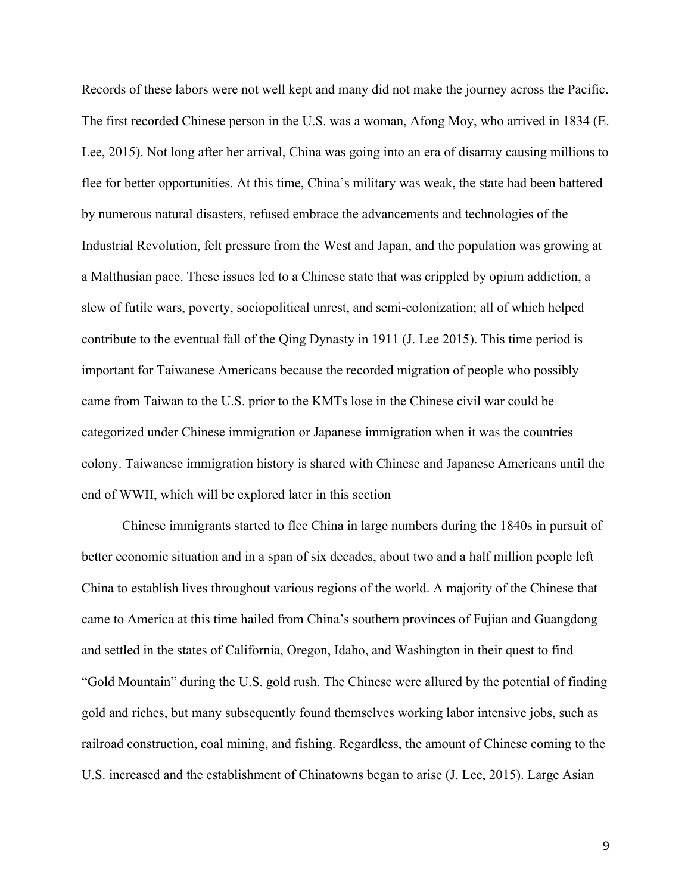Records of these labors were not well kept and many did not make the journey across the Pacific. The first recorded Chinese person in the U.S. was a woman, Afong Moy, who arrived in 1834 (E. Lee, 2015). Not long after her arrival, China was going into an era of disarray causing millions to flee for better opportunities. At this time, China's military was weak, the state had been battered by numerous natural disasters, refused embrace the advancements and technologies of the Industrial Revolution, felt pressure from the West and Japan, and the population was growing at a Malthusian pace. These issues led to a Chinese state that was crippled by opium addiction, a slew of futile wars, poverty, sociopolitical unrest, and semi-colonization; all of which helped contribute to the eventual fall of the Qing Dynasty in 1911 (J. Lee 2015). This time period is important for Taiwanese Americans because the recorded migration of people who possibly came from Taiwan to the U.S. prior to the KMTs lose in the Chinese civil war could be categorized under Chinese immigration or Japanese immigration when it was the countries colony. Taiwanese immigration history is shared with Chinese and Japanese Americans until the end of WWII, which will be explored later in this section

Chinese immigrants started to flee China in large numbers during the 1840s in pursuit of better economic situation and in a span of six decades, about two and a half million people left China to establish lives throughout various regions of the world. A majority of the Chinese that came to America at this time hailed from China's southern provinces of Fujian and Guangdong and settled in the states of California, Oregon, Idaho, and Washington in their quest to find "Gold Mountain" during the U.S. gold rush. The Chinese were allured by the potential of finding gold and riches, but many subsequently found themselves working labor intensive jobs, such as railroad construction, coal mining, and fishing. Regardless, the amount of Chinese coming to the U.S. increased and the establishment of Chinatowns began to arise (J. Lee, 2015). Large Asian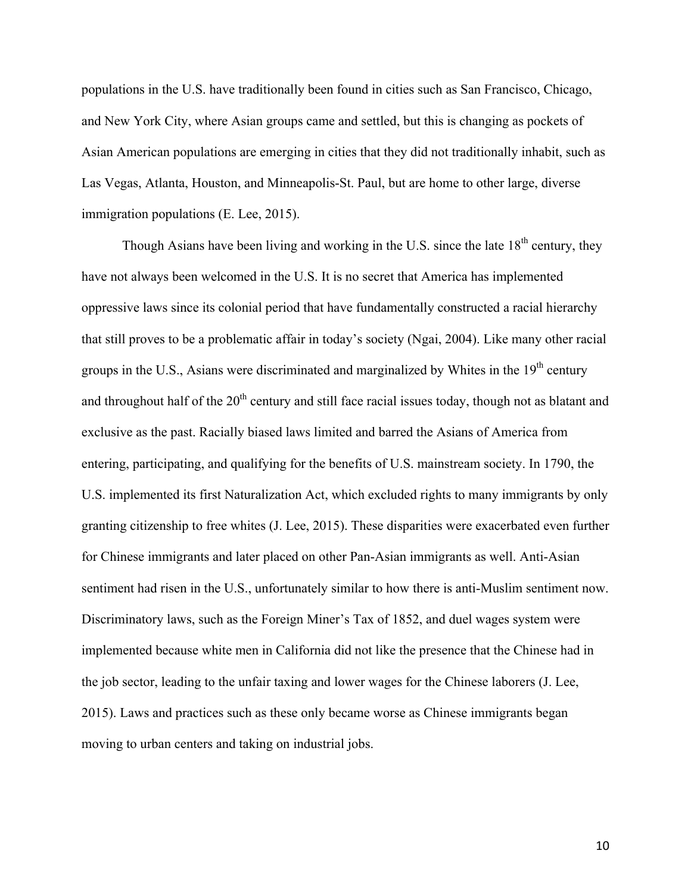populations in the U.S. have traditionally been found in cities such as San Francisco, Chicago, and New York City, where Asian groups came and settled, but this is changing as pockets of Asian American populations are emerging in cities that they did not traditionally inhabit, such as Las Vegas, Atlanta, Houston, and Minneapolis-St. Paul, but are home to other large, diverse immigration populations (E. Lee, 2015).

Though Asians have been living and working in the U.S. since the late  $18<sup>th</sup>$  century, they have not always been welcomed in the U.S. It is no secret that America has implemented oppressive laws since its colonial period that have fundamentally constructed a racial hierarchy that still proves to be a problematic affair in today's society (Ngai, 2004). Like many other racial groups in the U.S., Asians were discriminated and marginalized by Whites in the 19<sup>th</sup> century and throughout half of the  $20<sup>th</sup>$  century and still face racial issues today, though not as blatant and exclusive as the past. Racially biased laws limited and barred the Asians of America from entering, participating, and qualifying for the benefits of U.S. mainstream society. In 1790, the U.S. implemented its first Naturalization Act, which excluded rights to many immigrants by only granting citizenship to free whites (J. Lee, 2015). These disparities were exacerbated even further for Chinese immigrants and later placed on other Pan-Asian immigrants as well. Anti-Asian sentiment had risen in the U.S., unfortunately similar to how there is anti-Muslim sentiment now. Discriminatory laws, such as the Foreign Miner's Tax of 1852, and duel wages system were implemented because white men in California did not like the presence that the Chinese had in the job sector, leading to the unfair taxing and lower wages for the Chinese laborers (J. Lee, 2015). Laws and practices such as these only became worse as Chinese immigrants began moving to urban centers and taking on industrial jobs.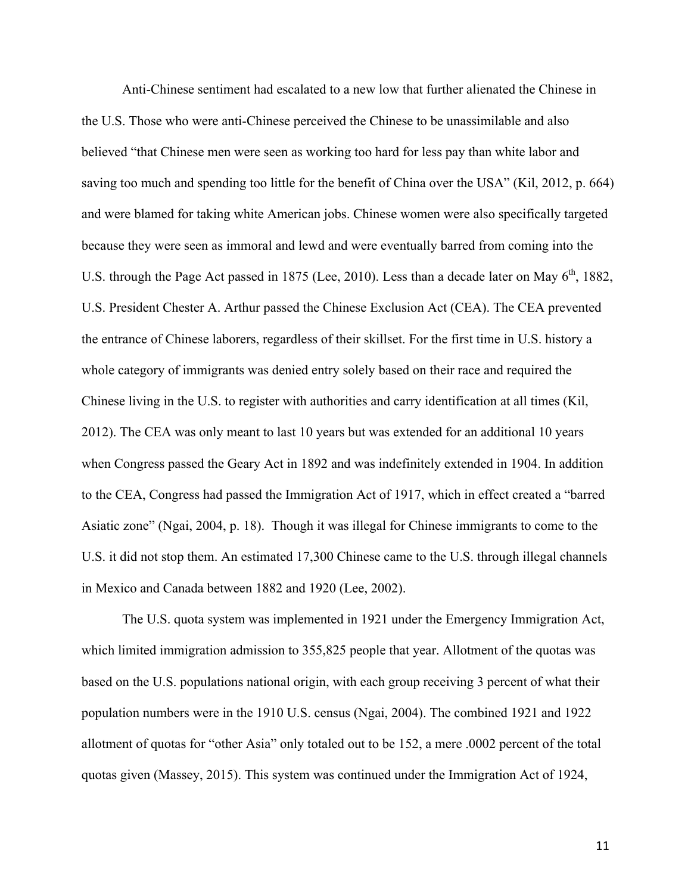Anti-Chinese sentiment had escalated to a new low that further alienated the Chinese in the U.S. Those who were anti-Chinese perceived the Chinese to be unassimilable and also believed "that Chinese men were seen as working too hard for less pay than white labor and saving too much and spending too little for the benefit of China over the USA" (Kil, 2012, p. 664) and were blamed for taking white American jobs. Chinese women were also specifically targeted because they were seen as immoral and lewd and were eventually barred from coming into the U.S. through the Page Act passed in 1875 (Lee, 2010). Less than a decade later on May  $6<sup>th</sup>$ , 1882, U.S. President Chester A. Arthur passed the Chinese Exclusion Act (CEA). The CEA prevented the entrance of Chinese laborers, regardless of their skillset. For the first time in U.S. history a whole category of immigrants was denied entry solely based on their race and required the Chinese living in the U.S. to register with authorities and carry identification at all times (Kil, 2012). The CEA was only meant to last 10 years but was extended for an additional 10 years when Congress passed the Geary Act in 1892 and was indefinitely extended in 1904. In addition to the CEA, Congress had passed the Immigration Act of 1917, which in effect created a "barred Asiatic zone" (Ngai, 2004, p. 18). Though it was illegal for Chinese immigrants to come to the U.S. it did not stop them. An estimated 17,300 Chinese came to the U.S. through illegal channels in Mexico and Canada between 1882 and 1920 (Lee, 2002).

The U.S. quota system was implemented in 1921 under the Emergency Immigration Act, which limited immigration admission to 355,825 people that year. Allotment of the quotas was based on the U.S. populations national origin, with each group receiving 3 percent of what their population numbers were in the 1910 U.S. census (Ngai, 2004). The combined 1921 and 1922 allotment of quotas for "other Asia" only totaled out to be 152, a mere .0002 percent of the total quotas given (Massey, 2015). This system was continued under the Immigration Act of 1924,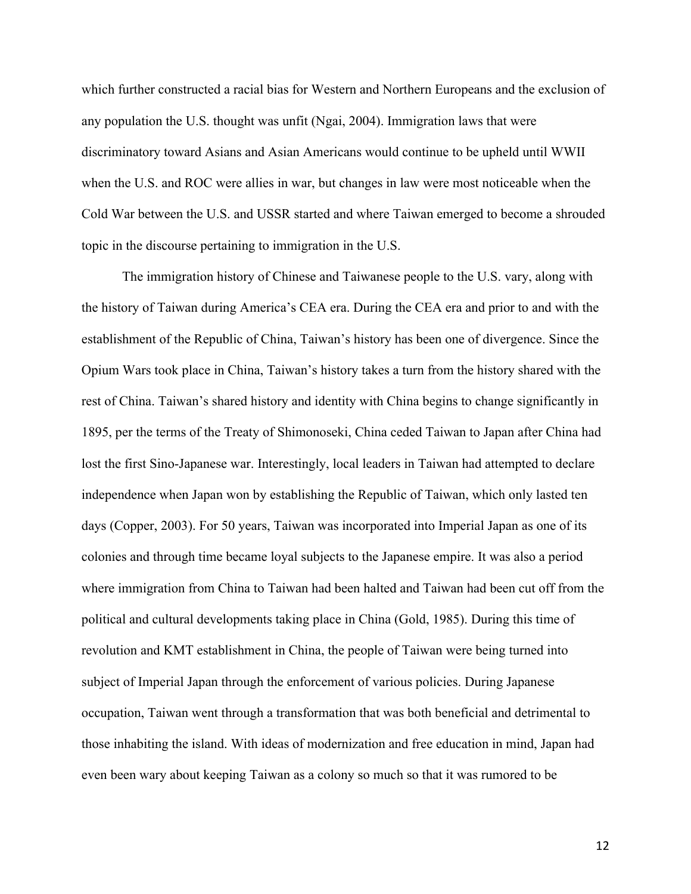which further constructed a racial bias for Western and Northern Europeans and the exclusion of any population the U.S. thought was unfit (Ngai, 2004). Immigration laws that were discriminatory toward Asians and Asian Americans would continue to be upheld until WWII when the U.S. and ROC were allies in war, but changes in law were most noticeable when the Cold War between the U.S. and USSR started and where Taiwan emerged to become a shrouded topic in the discourse pertaining to immigration in the U.S.

The immigration history of Chinese and Taiwanese people to the U.S. vary, along with the history of Taiwan during America's CEA era. During the CEA era and prior to and with the establishment of the Republic of China, Taiwan's history has been one of divergence. Since the Opium Wars took place in China, Taiwan's history takes a turn from the history shared with the rest of China. Taiwan's shared history and identity with China begins to change significantly in 1895, per the terms of the Treaty of Shimonoseki, China ceded Taiwan to Japan after China had lost the first Sino-Japanese war. Interestingly, local leaders in Taiwan had attempted to declare independence when Japan won by establishing the Republic of Taiwan, which only lasted ten days (Copper, 2003). For 50 years, Taiwan was incorporated into Imperial Japan as one of its colonies and through time became loyal subjects to the Japanese empire. It was also a period where immigration from China to Taiwan had been halted and Taiwan had been cut off from the political and cultural developments taking place in China (Gold, 1985). During this time of revolution and KMT establishment in China, the people of Taiwan were being turned into subject of Imperial Japan through the enforcement of various policies. During Japanese occupation, Taiwan went through a transformation that was both beneficial and detrimental to those inhabiting the island. With ideas of modernization and free education in mind, Japan had even been wary about keeping Taiwan as a colony so much so that it was rumored to be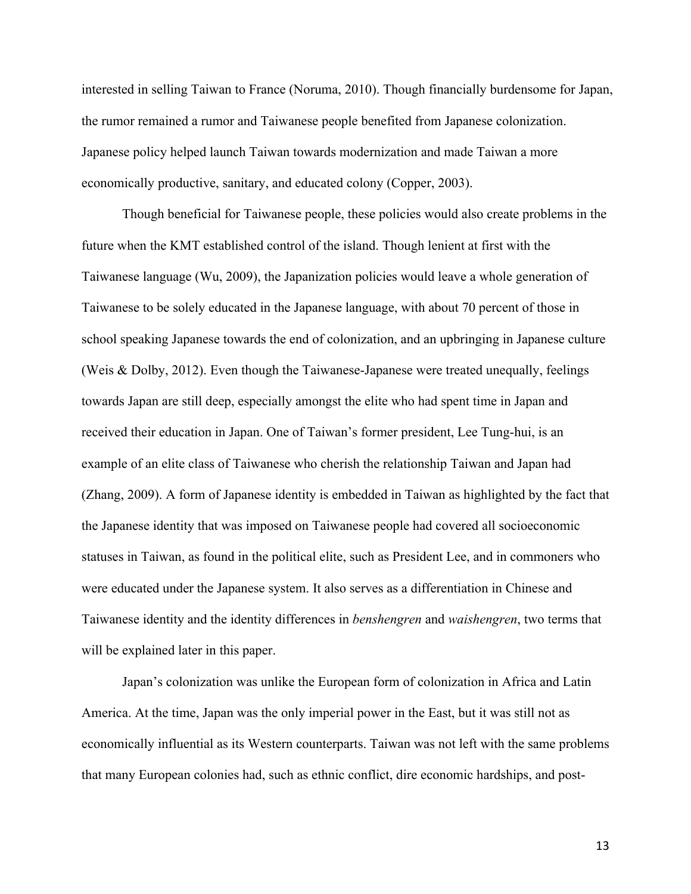interested in selling Taiwan to France (Noruma, 2010). Though financially burdensome for Japan, the rumor remained a rumor and Taiwanese people benefited from Japanese colonization. Japanese policy helped launch Taiwan towards modernization and made Taiwan a more economically productive, sanitary, and educated colony (Copper, 2003).

Though beneficial for Taiwanese people, these policies would also create problems in the future when the KMT established control of the island. Though lenient at first with the Taiwanese language (Wu, 2009), the Japanization policies would leave a whole generation of Taiwanese to be solely educated in the Japanese language, with about 70 percent of those in school speaking Japanese towards the end of colonization, and an upbringing in Japanese culture (Weis & Dolby, 2012). Even though the Taiwanese-Japanese were treated unequally, feelings towards Japan are still deep, especially amongst the elite who had spent time in Japan and received their education in Japan. One of Taiwan's former president, Lee Tung-hui, is an example of an elite class of Taiwanese who cherish the relationship Taiwan and Japan had (Zhang, 2009). A form of Japanese identity is embedded in Taiwan as highlighted by the fact that the Japanese identity that was imposed on Taiwanese people had covered all socioeconomic statuses in Taiwan, as found in the political elite, such as President Lee, and in commoners who were educated under the Japanese system. It also serves as a differentiation in Chinese and Taiwanese identity and the identity differences in *benshengren* and *waishengren*, two terms that will be explained later in this paper.

Japan's colonization was unlike the European form of colonization in Africa and Latin America. At the time, Japan was the only imperial power in the East, but it was still not as economically influential as its Western counterparts. Taiwan was not left with the same problems that many European colonies had, such as ethnic conflict, dire economic hardships, and post-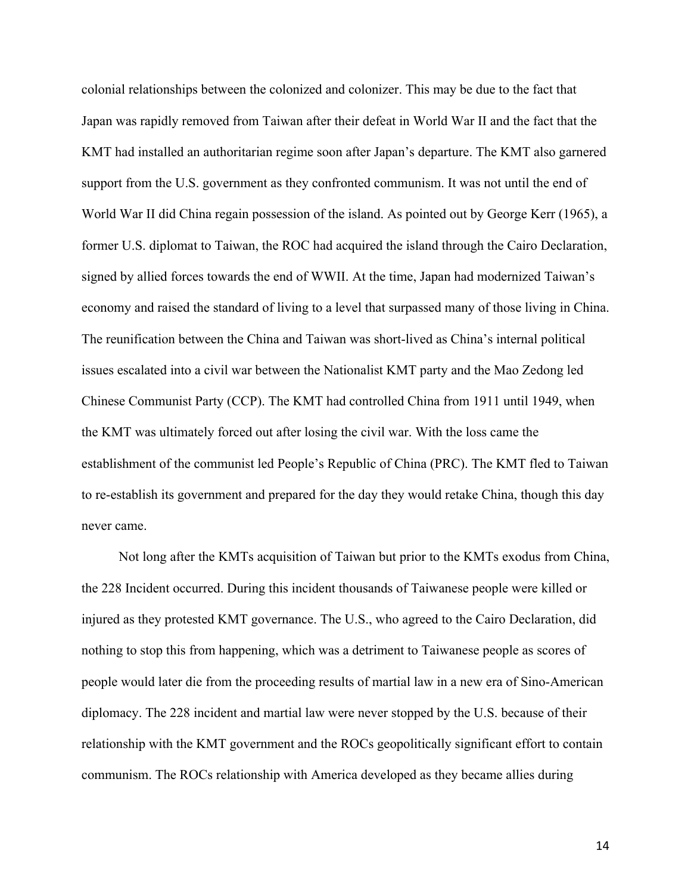colonial relationships between the colonized and colonizer. This may be due to the fact that Japan was rapidly removed from Taiwan after their defeat in World War II and the fact that the KMT had installed an authoritarian regime soon after Japan's departure. The KMT also garnered support from the U.S. government as they confronted communism. It was not until the end of World War II did China regain possession of the island. As pointed out by George Kerr (1965), a former U.S. diplomat to Taiwan, the ROC had acquired the island through the Cairo Declaration, signed by allied forces towards the end of WWII. At the time, Japan had modernized Taiwan's economy and raised the standard of living to a level that surpassed many of those living in China. The reunification between the China and Taiwan was short-lived as China's internal political issues escalated into a civil war between the Nationalist KMT party and the Mao Zedong led Chinese Communist Party (CCP). The KMT had controlled China from 1911 until 1949, when the KMT was ultimately forced out after losing the civil war. With the loss came the establishment of the communist led People's Republic of China (PRC). The KMT fled to Taiwan to re-establish its government and prepared for the day they would retake China, though this day never came.

Not long after the KMTs acquisition of Taiwan but prior to the KMTs exodus from China, the 228 Incident occurred. During this incident thousands of Taiwanese people were killed or injured as they protested KMT governance. The U.S., who agreed to the Cairo Declaration, did nothing to stop this from happening, which was a detriment to Taiwanese people as scores of people would later die from the proceeding results of martial law in a new era of Sino-American diplomacy. The 228 incident and martial law were never stopped by the U.S. because of their relationship with the KMT government and the ROCs geopolitically significant effort to contain communism. The ROCs relationship with America developed as they became allies during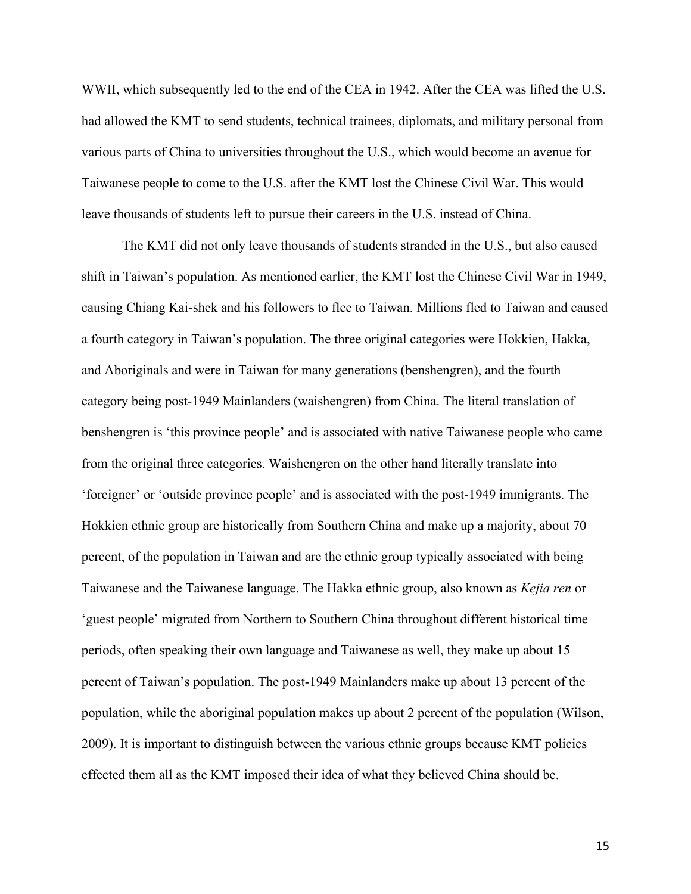WWII, which subsequently led to the end of the CEA in 1942. After the CEA was lifted the U.S. had allowed the KMT to send students, technical trainees, diplomats, and military personal from various parts of China to universities throughout the U.S., which would become an avenue for Taiwanese people to come to the U.S. after the KMT lost the Chinese Civil War. This would leave thousands of students left to pursue their careers in the U.S. instead of China.

The KMT did not only leave thousands of students stranded in the U.S., but also caused shift in Taiwan's population. As mentioned earlier, the KMT lost the Chinese Civil War in 1949, causing Chiang Kai-shek and his followers to flee to Taiwan. Millions fled to Taiwan and caused a fourth category in Taiwan's population. The three original categories were Hokkien, Hakka, and Aboriginals and were in Taiwan for many generations (benshengren), and the fourth category being post-1949 Mainlanders (waishengren) from China. The literal translation of benshengren is 'this province people' and is associated with native Taiwanese people who came from the original three categories. Waishengren on the other hand literally translate into 'foreigner' or 'outside province people' and is associated with the post-1949 immigrants. The Hokkien ethnic group are historically from Southern China and make up a majority, about 70 percent, of the population in Taiwan and are the ethnic group typically associated with being Taiwanese and the Taiwanese language. The Hakka ethnic group, also known as *Kejia ren* or 'guest people' migrated from Northern to Southern China throughout different historical time periods, often speaking their own language and Taiwanese as well, they make up about 15 percent of Taiwan's population. The post-1949 Mainlanders make up about 13 percent of the population, while the aboriginal population makes up about 2 percent of the population (Wilson, 2009). It is important to distinguish between the various ethnic groups because KMT policies effected them all as the KMT imposed their idea of what they believed China should be.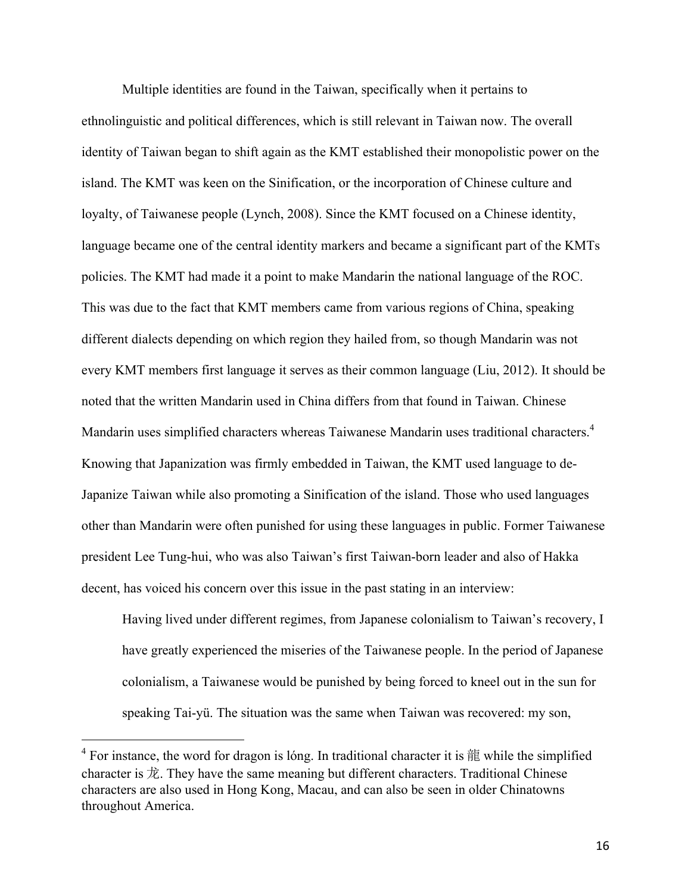Multiple identities are found in the Taiwan, specifically when it pertains to ethnolinguistic and political differences, which is still relevant in Taiwan now. The overall identity of Taiwan began to shift again as the KMT established their monopolistic power on the island. The KMT was keen on the Sinification, or the incorporation of Chinese culture and loyalty, of Taiwanese people (Lynch, 2008). Since the KMT focused on a Chinese identity, language became one of the central identity markers and became a significant part of the KMTs policies. The KMT had made it a point to make Mandarin the national language of the ROC. This was due to the fact that KMT members came from various regions of China, speaking different dialects depending on which region they hailed from, so though Mandarin was not every KMT members first language it serves as their common language (Liu, 2012). It should be noted that the written Mandarin used in China differs from that found in Taiwan. Chinese Mandarin uses simplified characters whereas Taiwanese Mandarin uses traditional characters.<sup>4</sup> Knowing that Japanization was firmly embedded in Taiwan, the KMT used language to de-Japanize Taiwan while also promoting a Sinification of the island. Those who used languages other than Mandarin were often punished for using these languages in public. Former Taiwanese president Lee Tung-hui, who was also Taiwan's first Taiwan-born leader and also of Hakka decent, has voiced his concern over this issue in the past stating in an interview:

Having lived under different regimes, from Japanese colonialism to Taiwan's recovery, I have greatly experienced the miseries of the Taiwanese people. In the period of Japanese colonialism, a Taiwanese would be punished by being forced to kneel out in the sun for speaking Tai-yü. The situation was the same when Taiwan was recovered: my son,

<sup>&</sup>lt;sup>4</sup> For instance, the word for dragon is lóng. In traditional character it is  $\frac{2}{3}$  while the simplified character is 龙. They have the same meaning but different characters. Traditional Chinese characters are also used in Hong Kong, Macau, and can also be seen in older Chinatowns throughout America.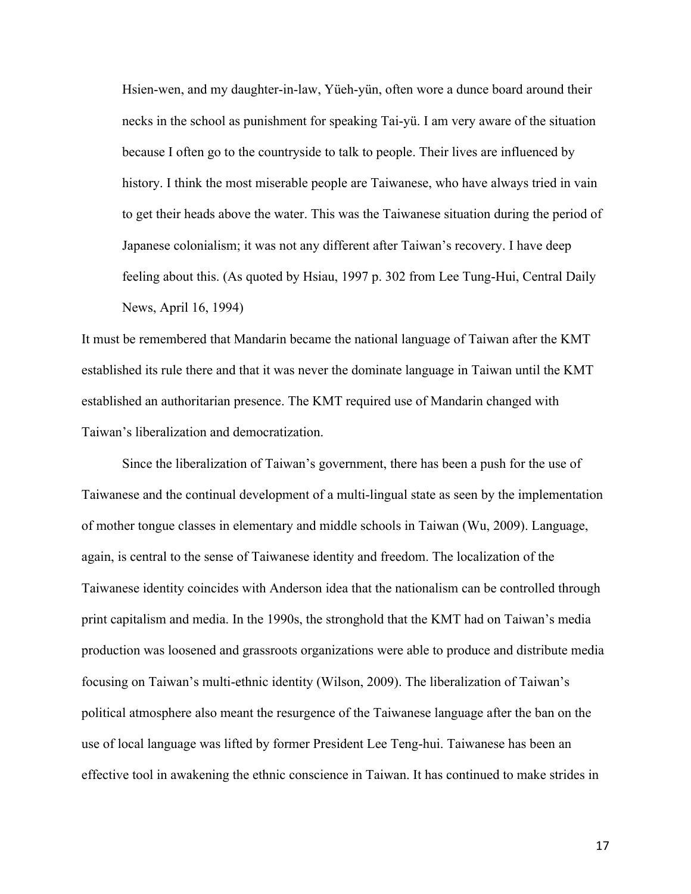Hsien-wen, and my daughter-in-law, Yüeh-yün, often wore a dunce board around their necks in the school as punishment for speaking Tai-yü. I am very aware of the situation because I often go to the countryside to talk to people. Their lives are influenced by history. I think the most miserable people are Taiwanese, who have always tried in vain to get their heads above the water. This was the Taiwanese situation during the period of Japanese colonialism; it was not any different after Taiwan's recovery. I have deep feeling about this. (As quoted by Hsiau, 1997 p. 302 from Lee Tung-Hui, Central Daily News, April 16, 1994)

It must be remembered that Mandarin became the national language of Taiwan after the KMT established its rule there and that it was never the dominate language in Taiwan until the KMT established an authoritarian presence. The KMT required use of Mandarin changed with Taiwan's liberalization and democratization.

Since the liberalization of Taiwan's government, there has been a push for the use of Taiwanese and the continual development of a multi-lingual state as seen by the implementation of mother tongue classes in elementary and middle schools in Taiwan (Wu, 2009). Language, again, is central to the sense of Taiwanese identity and freedom. The localization of the Taiwanese identity coincides with Anderson idea that the nationalism can be controlled through print capitalism and media. In the 1990s, the stronghold that the KMT had on Taiwan's media production was loosened and grassroots organizations were able to produce and distribute media focusing on Taiwan's multi-ethnic identity (Wilson, 2009). The liberalization of Taiwan's political atmosphere also meant the resurgence of the Taiwanese language after the ban on the use of local language was lifted by former President Lee Teng-hui. Taiwanese has been an effective tool in awakening the ethnic conscience in Taiwan. It has continued to make strides in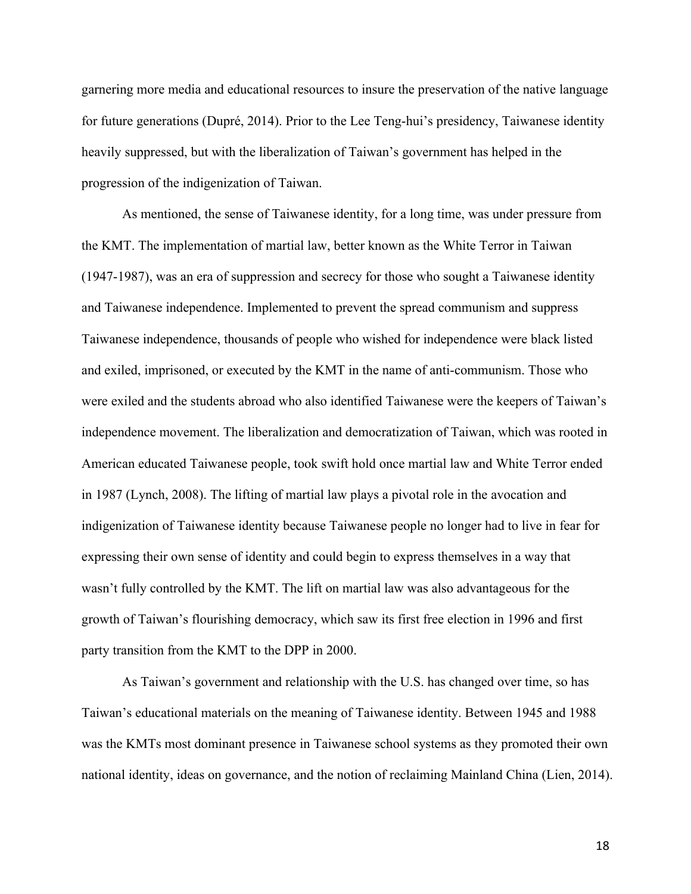garnering more media and educational resources to insure the preservation of the native language for future generations (Dupré, 2014). Prior to the Lee Teng-hui's presidency, Taiwanese identity heavily suppressed, but with the liberalization of Taiwan's government has helped in the progression of the indigenization of Taiwan.

As mentioned, the sense of Taiwanese identity, for a long time, was under pressure from the KMT. The implementation of martial law, better known as the White Terror in Taiwan (1947-1987), was an era of suppression and secrecy for those who sought a Taiwanese identity and Taiwanese independence. Implemented to prevent the spread communism and suppress Taiwanese independence, thousands of people who wished for independence were black listed and exiled, imprisoned, or executed by the KMT in the name of anti-communism. Those who were exiled and the students abroad who also identified Taiwanese were the keepers of Taiwan's independence movement. The liberalization and democratization of Taiwan, which was rooted in American educated Taiwanese people, took swift hold once martial law and White Terror ended in 1987 (Lynch, 2008). The lifting of martial law plays a pivotal role in the avocation and indigenization of Taiwanese identity because Taiwanese people no longer had to live in fear for expressing their own sense of identity and could begin to express themselves in a way that wasn't fully controlled by the KMT. The lift on martial law was also advantageous for the growth of Taiwan's flourishing democracy, which saw its first free election in 1996 and first party transition from the KMT to the DPP in 2000.

As Taiwan's government and relationship with the U.S. has changed over time, so has Taiwan's educational materials on the meaning of Taiwanese identity. Between 1945 and 1988 was the KMTs most dominant presence in Taiwanese school systems as they promoted their own national identity, ideas on governance, and the notion of reclaiming Mainland China (Lien, 2014).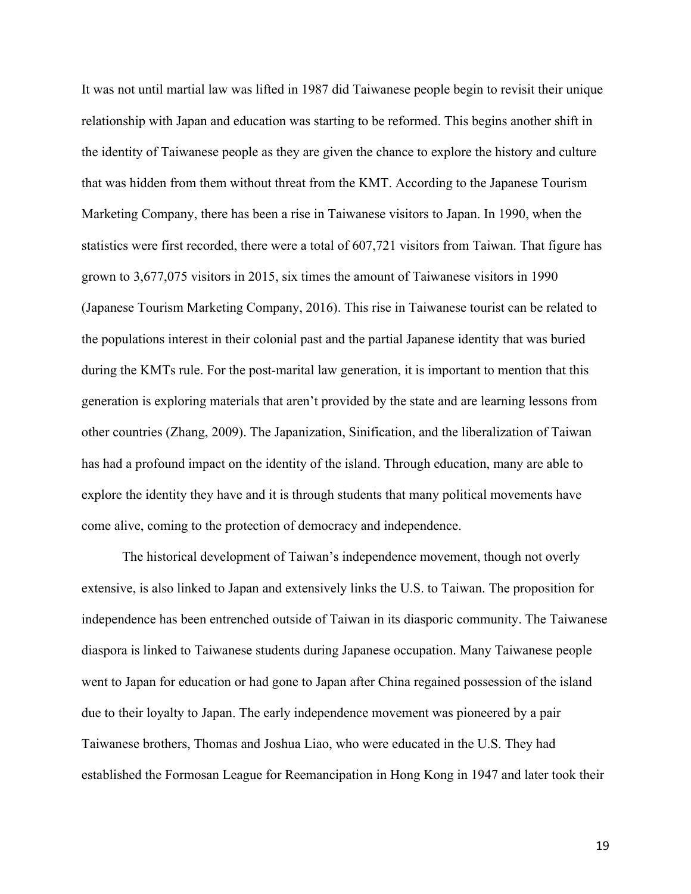It was not until martial law was lifted in 1987 did Taiwanese people begin to revisit their unique relationship with Japan and education was starting to be reformed. This begins another shift in the identity of Taiwanese people as they are given the chance to explore the history and culture that was hidden from them without threat from the KMT. According to the Japanese Tourism Marketing Company, there has been a rise in Taiwanese visitors to Japan. In 1990, when the statistics were first recorded, there were a total of 607,721 visitors from Taiwan. That figure has grown to 3,677,075 visitors in 2015, six times the amount of Taiwanese visitors in 1990 (Japanese Tourism Marketing Company, 2016). This rise in Taiwanese tourist can be related to the populations interest in their colonial past and the partial Japanese identity that was buried during the KMTs rule. For the post-marital law generation, it is important to mention that this generation is exploring materials that aren't provided by the state and are learning lessons from other countries (Zhang, 2009). The Japanization, Sinification, and the liberalization of Taiwan has had a profound impact on the identity of the island. Through education, many are able to explore the identity they have and it is through students that many political movements have come alive, coming to the protection of democracy and independence.

The historical development of Taiwan's independence movement, though not overly extensive, is also linked to Japan and extensively links the U.S. to Taiwan. The proposition for independence has been entrenched outside of Taiwan in its diasporic community. The Taiwanese diaspora is linked to Taiwanese students during Japanese occupation. Many Taiwanese people went to Japan for education or had gone to Japan after China regained possession of the island due to their loyalty to Japan. The early independence movement was pioneered by a pair Taiwanese brothers, Thomas and Joshua Liao, who were educated in the U.S. They had established the Formosan League for Reemancipation in Hong Kong in 1947 and later took their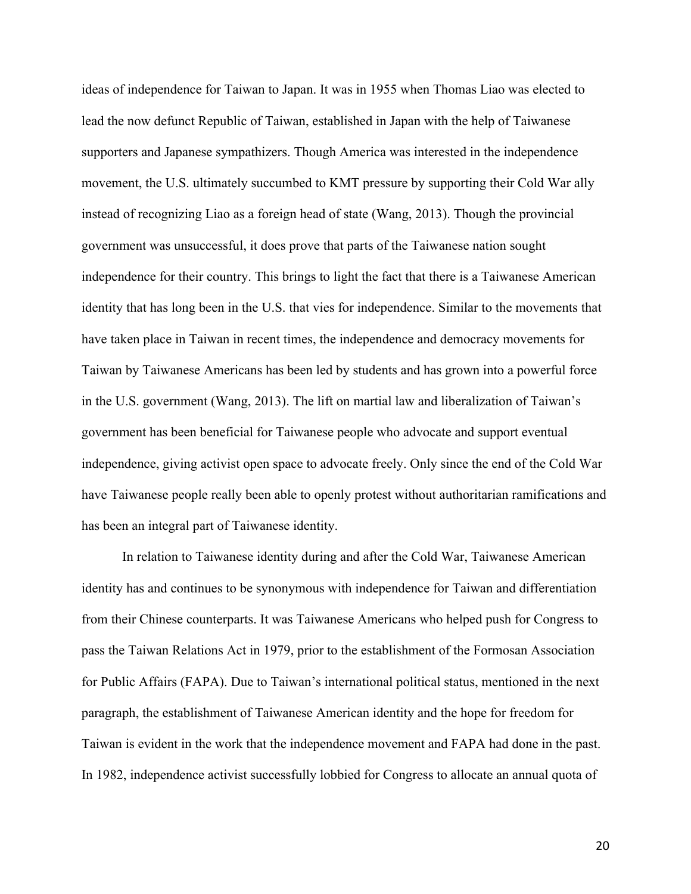ideas of independence for Taiwan to Japan. It was in 1955 when Thomas Liao was elected to lead the now defunct Republic of Taiwan, established in Japan with the help of Taiwanese supporters and Japanese sympathizers. Though America was interested in the independence movement, the U.S. ultimately succumbed to KMT pressure by supporting their Cold War ally instead of recognizing Liao as a foreign head of state (Wang, 2013). Though the provincial government was unsuccessful, it does prove that parts of the Taiwanese nation sought independence for their country. This brings to light the fact that there is a Taiwanese American identity that has long been in the U.S. that vies for independence. Similar to the movements that have taken place in Taiwan in recent times, the independence and democracy movements for Taiwan by Taiwanese Americans has been led by students and has grown into a powerful force in the U.S. government (Wang, 2013). The lift on martial law and liberalization of Taiwan's government has been beneficial for Taiwanese people who advocate and support eventual independence, giving activist open space to advocate freely. Only since the end of the Cold War have Taiwanese people really been able to openly protest without authoritarian ramifications and has been an integral part of Taiwanese identity.

In relation to Taiwanese identity during and after the Cold War, Taiwanese American identity has and continues to be synonymous with independence for Taiwan and differentiation from their Chinese counterparts. It was Taiwanese Americans who helped push for Congress to pass the Taiwan Relations Act in 1979, prior to the establishment of the Formosan Association for Public Affairs (FAPA). Due to Taiwan's international political status, mentioned in the next paragraph, the establishment of Taiwanese American identity and the hope for freedom for Taiwan is evident in the work that the independence movement and FAPA had done in the past. In 1982, independence activist successfully lobbied for Congress to allocate an annual quota of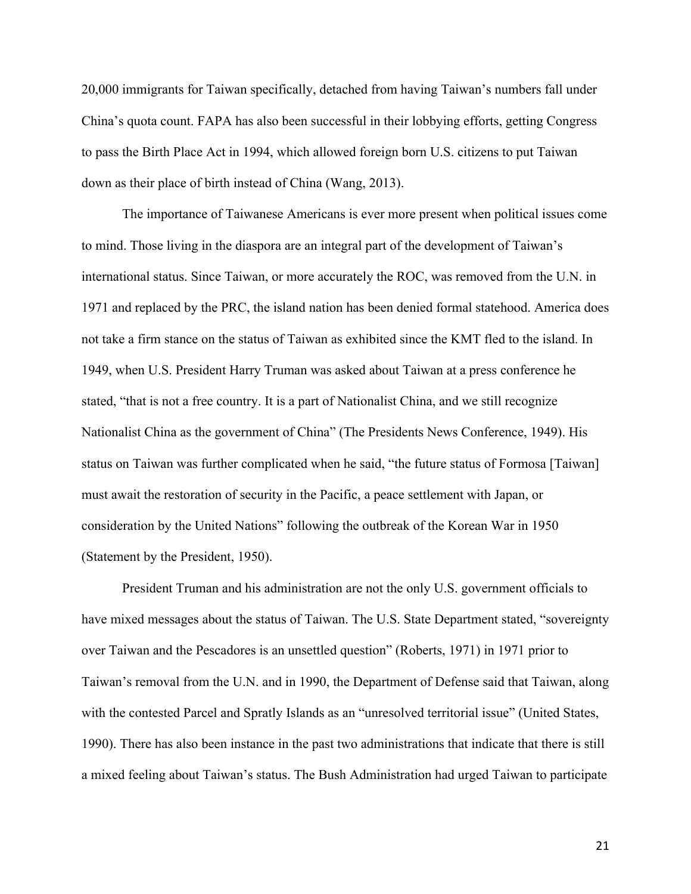20,000 immigrants for Taiwan specifically, detached from having Taiwan's numbers fall under China's quota count. FAPA has also been successful in their lobbying efforts, getting Congress to pass the Birth Place Act in 1994, which allowed foreign born U.S. citizens to put Taiwan down as their place of birth instead of China (Wang, 2013).

The importance of Taiwanese Americans is ever more present when political issues come to mind. Those living in the diaspora are an integral part of the development of Taiwan's international status. Since Taiwan, or more accurately the ROC, was removed from the U.N. in 1971 and replaced by the PRC, the island nation has been denied formal statehood. America does not take a firm stance on the status of Taiwan as exhibited since the KMT fled to the island. In 1949, when U.S. President Harry Truman was asked about Taiwan at a press conference he stated, "that is not a free country. It is a part of Nationalist China, and we still recognize Nationalist China as the government of China" (The Presidents News Conference, 1949). His status on Taiwan was further complicated when he said, "the future status of Formosa [Taiwan] must await the restoration of security in the Pacific, a peace settlement with Japan, or consideration by the United Nations" following the outbreak of the Korean War in 1950 (Statement by the President, 1950).

President Truman and his administration are not the only U.S. government officials to have mixed messages about the status of Taiwan. The U.S. State Department stated, "sovereignty over Taiwan and the Pescadores is an unsettled question" (Roberts, 1971) in 1971 prior to Taiwan's removal from the U.N. and in 1990, the Department of Defense said that Taiwan, along with the contested Parcel and Spratly Islands as an "unresolved territorial issue" (United States, 1990). There has also been instance in the past two administrations that indicate that there is still a mixed feeling about Taiwan's status. The Bush Administration had urged Taiwan to participate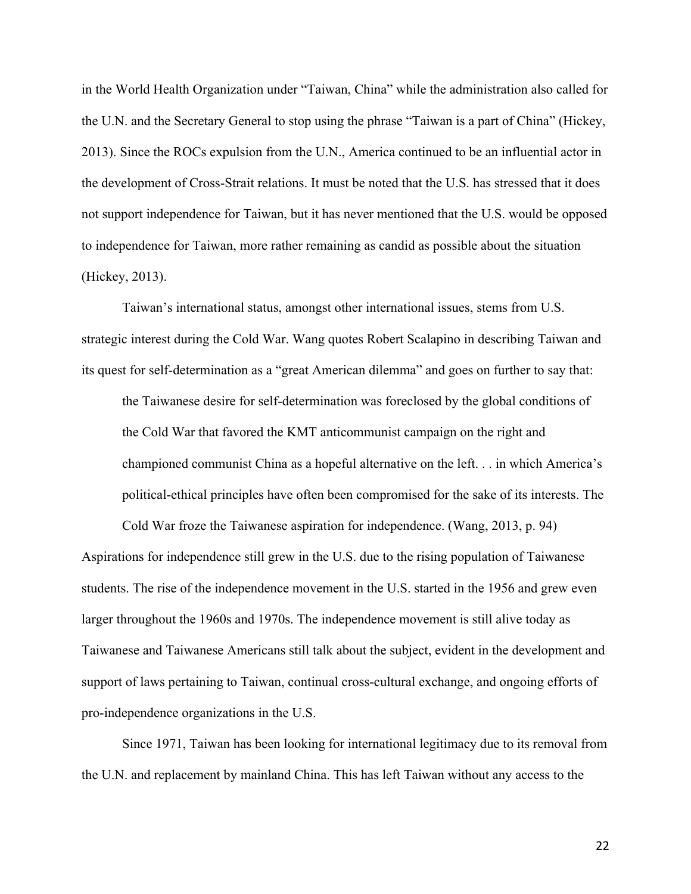in the World Health Organization under "Taiwan, China" while the administration also called for the U.N. and the Secretary General to stop using the phrase "Taiwan is a part of China" (Hickey, 2013). Since the ROCs expulsion from the U.N., America continued to be an influential actor in the development of Cross-Strait relations. It must be noted that the U.S. has stressed that it does not support independence for Taiwan, but it has never mentioned that the U.S. would be opposed to independence for Taiwan, more rather remaining as candid as possible about the situation (Hickey, 2013).

Taiwan's international status, amongst other international issues, stems from U.S. strategic interest during the Cold War. Wang quotes Robert Scalapino in describing Taiwan and its quest for self-determination as a "great American dilemma" and goes on further to say that:

the Taiwanese desire for self-determination was foreclosed by the global conditions of the Cold War that favored the KMT anticommunist campaign on the right and championed communist China as a hopeful alternative on the left. . . in which America's political-ethical principles have often been compromised for the sake of its interests. The

Cold War froze the Taiwanese aspiration for independence. (Wang, 2013, p. 94) Aspirations for independence still grew in the U.S. due to the rising population of Taiwanese students. The rise of the independence movement in the U.S. started in the 1956 and grew even larger throughout the 1960s and 1970s. The independence movement is still alive today as Taiwanese and Taiwanese Americans still talk about the subject, evident in the development and support of laws pertaining to Taiwan, continual cross-cultural exchange, and ongoing efforts of pro-independence organizations in the U.S.

Since 1971, Taiwan has been looking for international legitimacy due to its removal from the U.N. and replacement by mainland China. This has left Taiwan without any access to the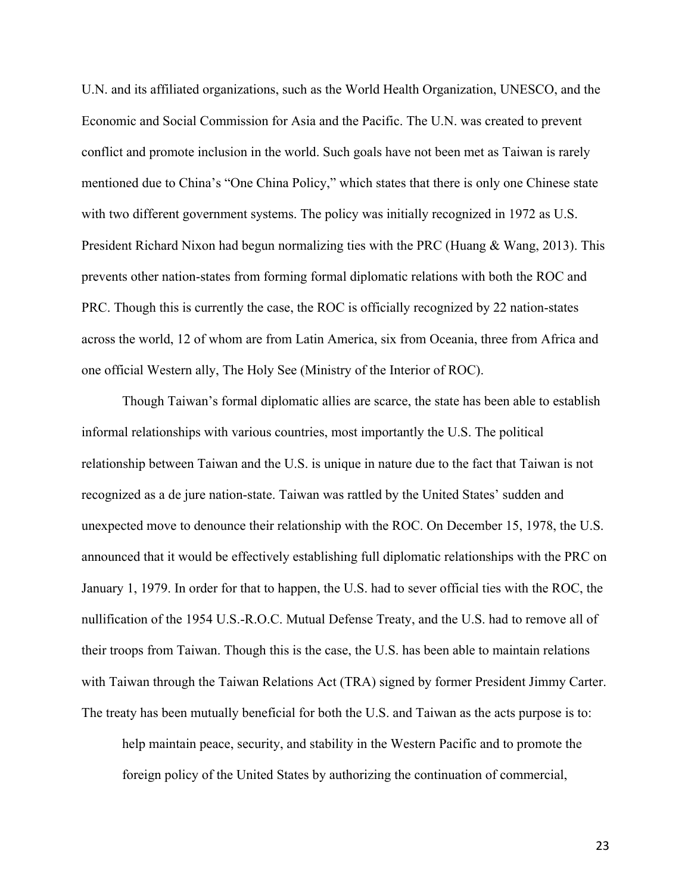U.N. and its affiliated organizations, such as the World Health Organization, UNESCO, and the Economic and Social Commission for Asia and the Pacific. The U.N. was created to prevent conflict and promote inclusion in the world. Such goals have not been met as Taiwan is rarely mentioned due to China's "One China Policy," which states that there is only one Chinese state with two different government systems. The policy was initially recognized in 1972 as U.S. President Richard Nixon had begun normalizing ties with the PRC (Huang & Wang, 2013). This prevents other nation-states from forming formal diplomatic relations with both the ROC and PRC. Though this is currently the case, the ROC is officially recognized by 22 nation-states across the world, 12 of whom are from Latin America, six from Oceania, three from Africa and one official Western ally, The Holy See (Ministry of the Interior of ROC).

Though Taiwan's formal diplomatic allies are scarce, the state has been able to establish informal relationships with various countries, most importantly the U.S. The political relationship between Taiwan and the U.S. is unique in nature due to the fact that Taiwan is not recognized as a de jure nation-state. Taiwan was rattled by the United States' sudden and unexpected move to denounce their relationship with the ROC. On December 15, 1978, the U.S. announced that it would be effectively establishing full diplomatic relationships with the PRC on January 1, 1979. In order for that to happen, the U.S. had to sever official ties with the ROC, the nullification of the 1954 U.S.-R.O.C. Mutual Defense Treaty, and the U.S. had to remove all of their troops from Taiwan. Though this is the case, the U.S. has been able to maintain relations with Taiwan through the Taiwan Relations Act (TRA) signed by former President Jimmy Carter. The treaty has been mutually beneficial for both the U.S. and Taiwan as the acts purpose is to:

help maintain peace, security, and stability in the Western Pacific and to promote the foreign policy of the United States by authorizing the continuation of commercial,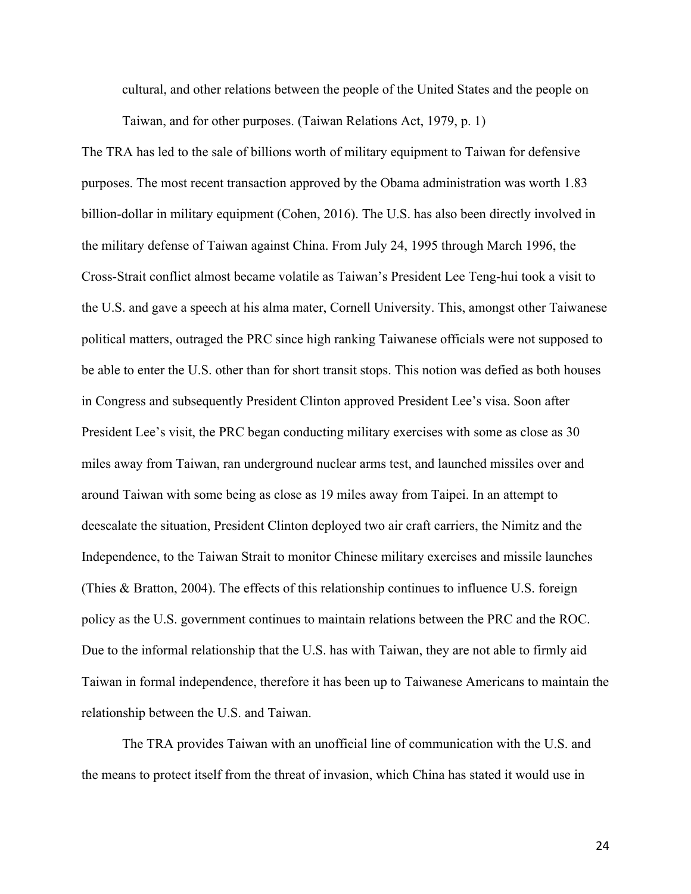cultural, and other relations between the people of the United States and the people on

Taiwan, and for other purposes. (Taiwan Relations Act, 1979, p. 1)

The TRA has led to the sale of billions worth of military equipment to Taiwan for defensive purposes. The most recent transaction approved by the Obama administration was worth 1.83 billion-dollar in military equipment (Cohen, 2016). The U.S. has also been directly involved in the military defense of Taiwan against China. From July 24, 1995 through March 1996, the Cross-Strait conflict almost became volatile as Taiwan's President Lee Teng-hui took a visit to the U.S. and gave a speech at his alma mater, Cornell University. This, amongst other Taiwanese political matters, outraged the PRC since high ranking Taiwanese officials were not supposed to be able to enter the U.S. other than for short transit stops. This notion was defied as both houses in Congress and subsequently President Clinton approved President Lee's visa. Soon after President Lee's visit, the PRC began conducting military exercises with some as close as 30 miles away from Taiwan, ran underground nuclear arms test, and launched missiles over and around Taiwan with some being as close as 19 miles away from Taipei. In an attempt to deescalate the situation, President Clinton deployed two air craft carriers, the Nimitz and the Independence, to the Taiwan Strait to monitor Chinese military exercises and missile launches (Thies & Bratton, 2004). The effects of this relationship continues to influence U.S. foreign policy as the U.S. government continues to maintain relations between the PRC and the ROC. Due to the informal relationship that the U.S. has with Taiwan, they are not able to firmly aid Taiwan in formal independence, therefore it has been up to Taiwanese Americans to maintain the relationship between the U.S. and Taiwan.

The TRA provides Taiwan with an unofficial line of communication with the U.S. and the means to protect itself from the threat of invasion, which China has stated it would use in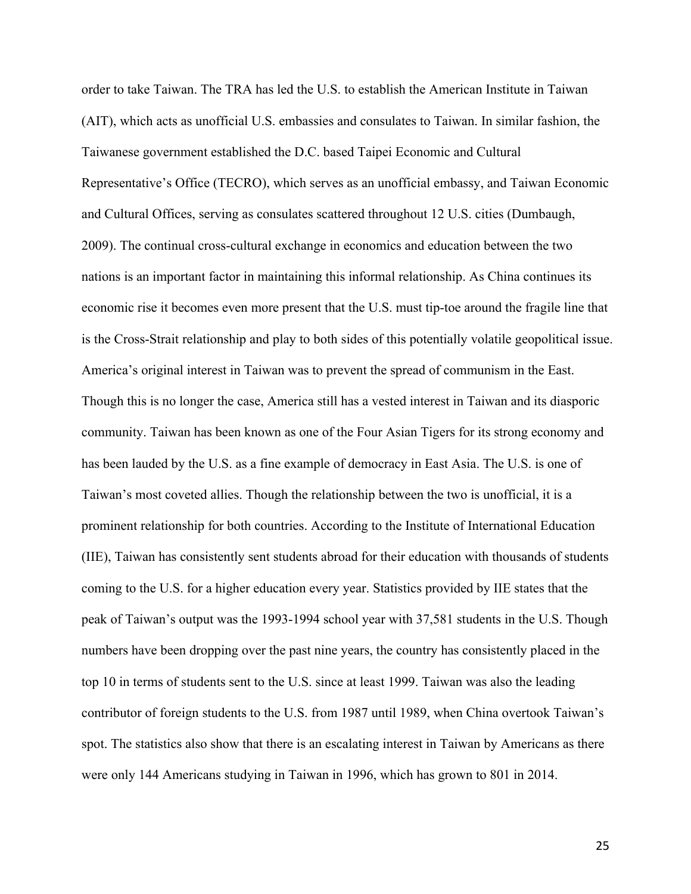order to take Taiwan. The TRA has led the U.S. to establish the American Institute in Taiwan (AIT), which acts as unofficial U.S. embassies and consulates to Taiwan. In similar fashion, the Taiwanese government established the D.C. based Taipei Economic and Cultural Representative's Office (TECRO), which serves as an unofficial embassy, and Taiwan Economic and Cultural Offices, serving as consulates scattered throughout 12 U.S. cities (Dumbaugh, 2009). The continual cross-cultural exchange in economics and education between the two nations is an important factor in maintaining this informal relationship. As China continues its economic rise it becomes even more present that the U.S. must tip-toe around the fragile line that is the Cross-Strait relationship and play to both sides of this potentially volatile geopolitical issue. America's original interest in Taiwan was to prevent the spread of communism in the East. Though this is no longer the case, America still has a vested interest in Taiwan and its diasporic community. Taiwan has been known as one of the Four Asian Tigers for its strong economy and has been lauded by the U.S. as a fine example of democracy in East Asia. The U.S. is one of Taiwan's most coveted allies. Though the relationship between the two is unofficial, it is a prominent relationship for both countries. According to the Institute of International Education (IIE), Taiwan has consistently sent students abroad for their education with thousands of students coming to the U.S. for a higher education every year. Statistics provided by IIE states that the peak of Taiwan's output was the 1993-1994 school year with 37,581 students in the U.S. Though numbers have been dropping over the past nine years, the country has consistently placed in the top 10 in terms of students sent to the U.S. since at least 1999. Taiwan was also the leading contributor of foreign students to the U.S. from 1987 until 1989, when China overtook Taiwan's spot. The statistics also show that there is an escalating interest in Taiwan by Americans as there were only 144 Americans studying in Taiwan in 1996, which has grown to 801 in 2014.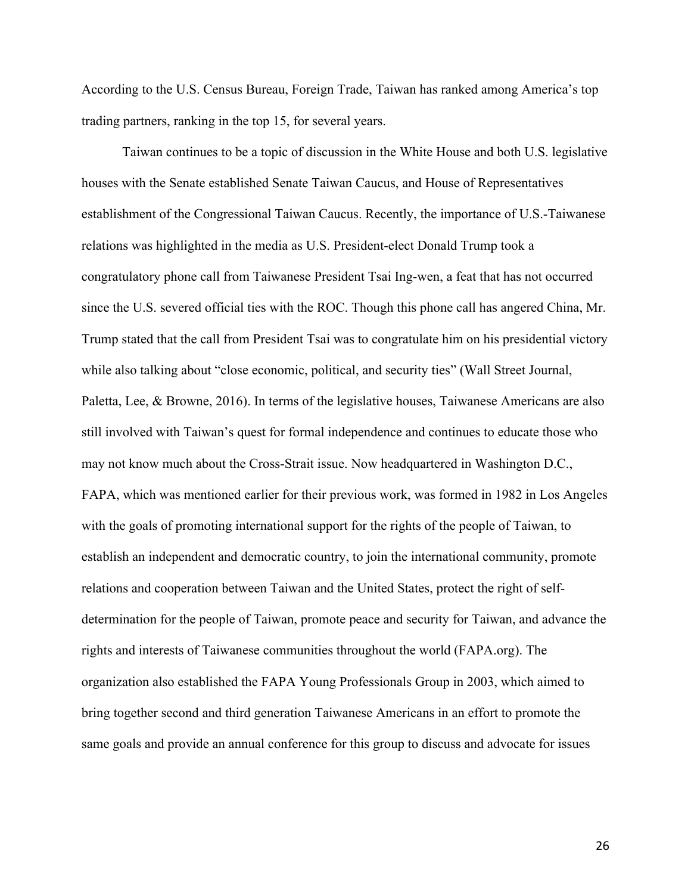According to the U.S. Census Bureau, Foreign Trade, Taiwan has ranked among America's top trading partners, ranking in the top 15, for several years.

Taiwan continues to be a topic of discussion in the White House and both U.S. legislative houses with the Senate established Senate Taiwan Caucus, and House of Representatives establishment of the Congressional Taiwan Caucus. Recently, the importance of U.S.-Taiwanese relations was highlighted in the media as U.S. President-elect Donald Trump took a congratulatory phone call from Taiwanese President Tsai Ing-wen, a feat that has not occurred since the U.S. severed official ties with the ROC. Though this phone call has angered China, Mr. Trump stated that the call from President Tsai was to congratulate him on his presidential victory while also talking about "close economic, political, and security ties" (Wall Street Journal, Paletta, Lee, & Browne, 2016). In terms of the legislative houses, Taiwanese Americans are also still involved with Taiwan's quest for formal independence and continues to educate those who may not know much about the Cross-Strait issue. Now headquartered in Washington D.C., FAPA, which was mentioned earlier for their previous work, was formed in 1982 in Los Angeles with the goals of promoting international support for the rights of the people of Taiwan, to establish an independent and democratic country, to join the international community, promote relations and cooperation between Taiwan and the United States, protect the right of selfdetermination for the people of Taiwan, promote peace and security for Taiwan, and advance the rights and interests of Taiwanese communities throughout the world (FAPA.org). The organization also established the FAPA Young Professionals Group in 2003, which aimed to bring together second and third generation Taiwanese Americans in an effort to promote the same goals and provide an annual conference for this group to discuss and advocate for issues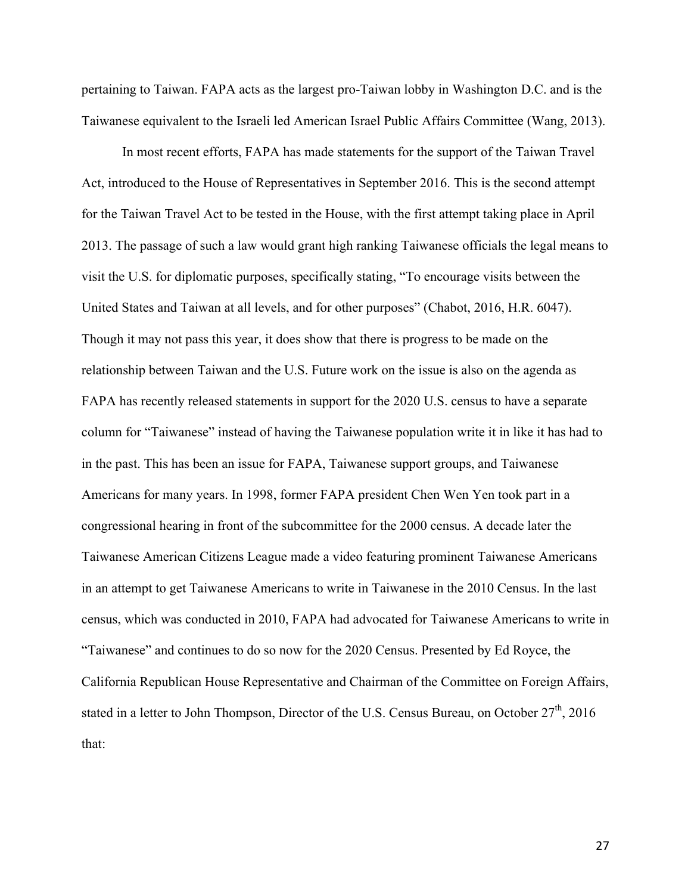pertaining to Taiwan. FAPA acts as the largest pro-Taiwan lobby in Washington D.C. and is the Taiwanese equivalent to the Israeli led American Israel Public Affairs Committee (Wang, 2013).

In most recent efforts, FAPA has made statements for the support of the Taiwan Travel Act, introduced to the House of Representatives in September 2016. This is the second attempt for the Taiwan Travel Act to be tested in the House, with the first attempt taking place in April 2013. The passage of such a law would grant high ranking Taiwanese officials the legal means to visit the U.S. for diplomatic purposes, specifically stating, "To encourage visits between the United States and Taiwan at all levels, and for other purposes" (Chabot, 2016, H.R. 6047). Though it may not pass this year, it does show that there is progress to be made on the relationship between Taiwan and the U.S. Future work on the issue is also on the agenda as FAPA has recently released statements in support for the 2020 U.S. census to have a separate column for "Taiwanese" instead of having the Taiwanese population write it in like it has had to in the past. This has been an issue for FAPA, Taiwanese support groups, and Taiwanese Americans for many years. In 1998, former FAPA president Chen Wen Yen took part in a congressional hearing in front of the subcommittee for the 2000 census. A decade later the Taiwanese American Citizens League made a video featuring prominent Taiwanese Americans in an attempt to get Taiwanese Americans to write in Taiwanese in the 2010 Census. In the last census, which was conducted in 2010, FAPA had advocated for Taiwanese Americans to write in "Taiwanese" and continues to do so now for the 2020 Census. Presented by Ed Royce, the California Republican House Representative and Chairman of the Committee on Foreign Affairs, stated in a letter to John Thompson, Director of the U.S. Census Bureau, on October  $27<sup>th</sup>$ , 2016 that: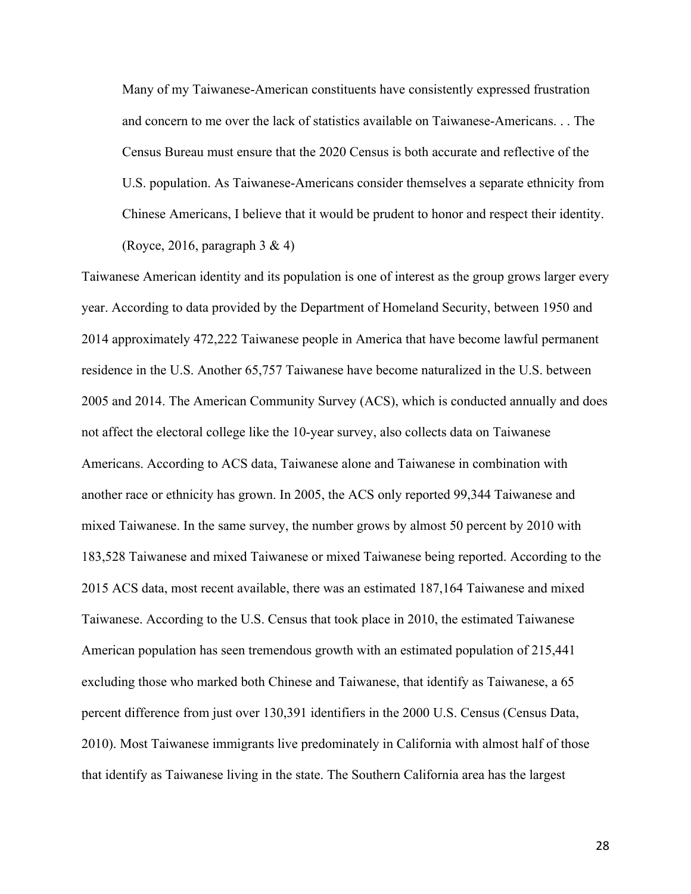Many of my Taiwanese-American constituents have consistently expressed frustration and concern to me over the lack of statistics available on Taiwanese-Americans. . . The Census Bureau must ensure that the 2020 Census is both accurate and reflective of the U.S. population. As Taiwanese-Americans consider themselves a separate ethnicity from Chinese Americans, I believe that it would be prudent to honor and respect their identity. (Royce, 2016, paragraph  $3 \& 4$ )

Taiwanese American identity and its population is one of interest as the group grows larger every year. According to data provided by the Department of Homeland Security, between 1950 and 2014 approximately 472,222 Taiwanese people in America that have become lawful permanent residence in the U.S. Another 65,757 Taiwanese have become naturalized in the U.S. between 2005 and 2014. The American Community Survey (ACS), which is conducted annually and does not affect the electoral college like the 10-year survey, also collects data on Taiwanese Americans. According to ACS data, Taiwanese alone and Taiwanese in combination with another race or ethnicity has grown. In 2005, the ACS only reported 99,344 Taiwanese and mixed Taiwanese. In the same survey, the number grows by almost 50 percent by 2010 with 183,528 Taiwanese and mixed Taiwanese or mixed Taiwanese being reported. According to the 2015 ACS data, most recent available, there was an estimated 187,164 Taiwanese and mixed Taiwanese. According to the U.S. Census that took place in 2010, the estimated Taiwanese American population has seen tremendous growth with an estimated population of 215,441 excluding those who marked both Chinese and Taiwanese, that identify as Taiwanese, a 65 percent difference from just over 130,391 identifiers in the 2000 U.S. Census (Census Data, 2010). Most Taiwanese immigrants live predominately in California with almost half of those that identify as Taiwanese living in the state. The Southern California area has the largest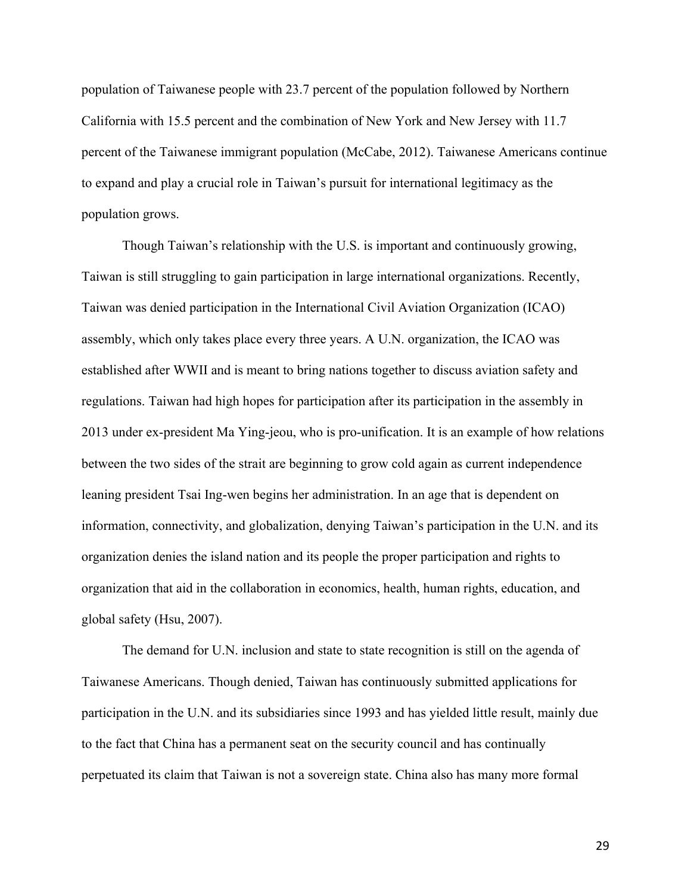population of Taiwanese people with 23.7 percent of the population followed by Northern California with 15.5 percent and the combination of New York and New Jersey with 11.7 percent of the Taiwanese immigrant population (McCabe, 2012). Taiwanese Americans continue to expand and play a crucial role in Taiwan's pursuit for international legitimacy as the population grows.

Though Taiwan's relationship with the U.S. is important and continuously growing, Taiwan is still struggling to gain participation in large international organizations. Recently, Taiwan was denied participation in the International Civil Aviation Organization (ICAO) assembly, which only takes place every three years. A U.N. organization, the ICAO was established after WWII and is meant to bring nations together to discuss aviation safety and regulations. Taiwan had high hopes for participation after its participation in the assembly in 2013 under ex-president Ma Ying-jeou, who is pro-unification. It is an example of how relations between the two sides of the strait are beginning to grow cold again as current independence leaning president Tsai Ing-wen begins her administration. In an age that is dependent on information, connectivity, and globalization, denying Taiwan's participation in the U.N. and its organization denies the island nation and its people the proper participation and rights to organization that aid in the collaboration in economics, health, human rights, education, and global safety (Hsu, 2007).

The demand for U.N. inclusion and state to state recognition is still on the agenda of Taiwanese Americans. Though denied, Taiwan has continuously submitted applications for participation in the U.N. and its subsidiaries since 1993 and has yielded little result, mainly due to the fact that China has a permanent seat on the security council and has continually perpetuated its claim that Taiwan is not a sovereign state. China also has many more formal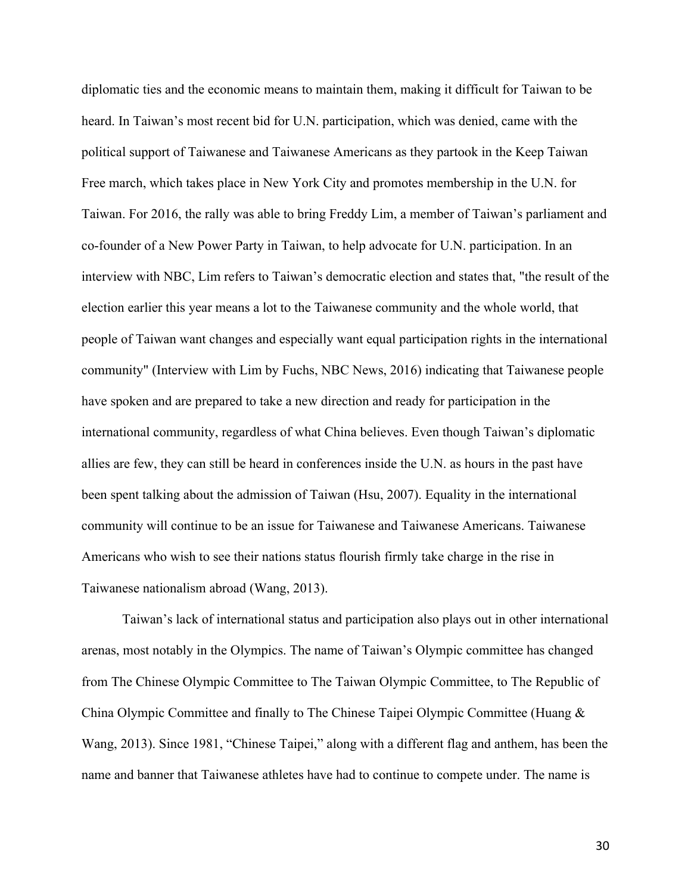diplomatic ties and the economic means to maintain them, making it difficult for Taiwan to be heard. In Taiwan's most recent bid for U.N. participation, which was denied, came with the political support of Taiwanese and Taiwanese Americans as they partook in the Keep Taiwan Free march, which takes place in New York City and promotes membership in the U.N. for Taiwan. For 2016, the rally was able to bring Freddy Lim, a member of Taiwan's parliament and co-founder of a New Power Party in Taiwan, to help advocate for U.N. participation. In an interview with NBC, Lim refers to Taiwan's democratic election and states that, "the result of the election earlier this year means a lot to the Taiwanese community and the whole world, that people of Taiwan want changes and especially want equal participation rights in the international community" (Interview with Lim by Fuchs, NBC News, 2016) indicating that Taiwanese people have spoken and are prepared to take a new direction and ready for participation in the international community, regardless of what China believes. Even though Taiwan's diplomatic allies are few, they can still be heard in conferences inside the U.N. as hours in the past have been spent talking about the admission of Taiwan (Hsu, 2007). Equality in the international community will continue to be an issue for Taiwanese and Taiwanese Americans. Taiwanese Americans who wish to see their nations status flourish firmly take charge in the rise in Taiwanese nationalism abroad (Wang, 2013).

Taiwan's lack of international status and participation also plays out in other international arenas, most notably in the Olympics. The name of Taiwan's Olympic committee has changed from The Chinese Olympic Committee to The Taiwan Olympic Committee, to The Republic of China Olympic Committee and finally to The Chinese Taipei Olympic Committee (Huang & Wang, 2013). Since 1981, "Chinese Taipei," along with a different flag and anthem, has been the name and banner that Taiwanese athletes have had to continue to compete under. The name is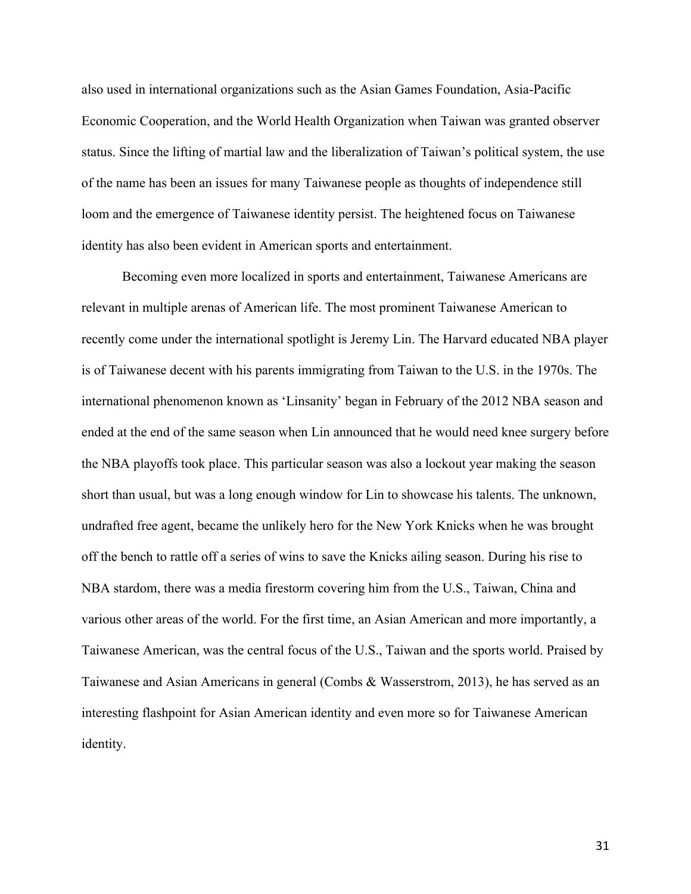also used in international organizations such as the Asian Games Foundation, Asia-Pacific Economic Cooperation, and the World Health Organization when Taiwan was granted observer status. Since the lifting of martial law and the liberalization of Taiwan's political system, the use of the name has been an issues for many Taiwanese people as thoughts of independence still loom and the emergence of Taiwanese identity persist. The heightened focus on Taiwanese identity has also been evident in American sports and entertainment.

Becoming even more localized in sports and entertainment, Taiwanese Americans are relevant in multiple arenas of American life. The most prominent Taiwanese American to recently come under the international spotlight is Jeremy Lin. The Harvard educated NBA player is of Taiwanese decent with his parents immigrating from Taiwan to the U.S. in the 1970s. The international phenomenon known as 'Linsanity' began in February of the 2012 NBA season and ended at the end of the same season when Lin announced that he would need knee surgery before the NBA playoffs took place. This particular season was also a lockout year making the season short than usual, but was a long enough window for Lin to showcase his talents. The unknown, undrafted free agent, became the unlikely hero for the New York Knicks when he was brought off the bench to rattle off a series of wins to save the Knicks ailing season. During his rise to NBA stardom, there was a media firestorm covering him from the U.S., Taiwan, China and various other areas of the world. For the first time, an Asian American and more importantly, a Taiwanese American, was the central focus of the U.S., Taiwan and the sports world. Praised by Taiwanese and Asian Americans in general (Combs & Wasserstrom, 2013), he has served as an interesting flashpoint for Asian American identity and even more so for Taiwanese American identity.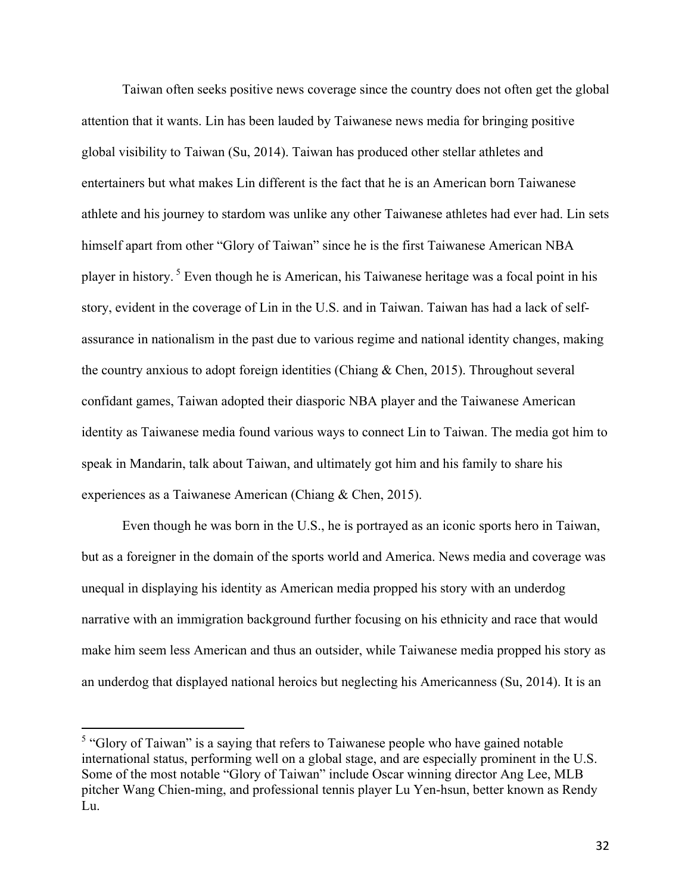Taiwan often seeks positive news coverage since the country does not often get the global attention that it wants. Lin has been lauded by Taiwanese news media for bringing positive global visibility to Taiwan (Su, 2014). Taiwan has produced other stellar athletes and entertainers but what makes Lin different is the fact that he is an American born Taiwanese athlete and his journey to stardom was unlike any other Taiwanese athletes had ever had. Lin sets himself apart from other "Glory of Taiwan" since he is the first Taiwanese American NBA player in history. <sup>5</sup> Even though he is American, his Taiwanese heritage was a focal point in his story, evident in the coverage of Lin in the U.S. and in Taiwan. Taiwan has had a lack of selfassurance in nationalism in the past due to various regime and national identity changes, making the country anxious to adopt foreign identities (Chiang & Chen, 2015). Throughout several confidant games, Taiwan adopted their diasporic NBA player and the Taiwanese American identity as Taiwanese media found various ways to connect Lin to Taiwan. The media got him to speak in Mandarin, talk about Taiwan, and ultimately got him and his family to share his experiences as a Taiwanese American (Chiang & Chen, 2015).

Even though he was born in the U.S., he is portrayed as an iconic sports hero in Taiwan, but as a foreigner in the domain of the sports world and America. News media and coverage was unequal in displaying his identity as American media propped his story with an underdog narrative with an immigration background further focusing on his ethnicity and race that would make him seem less American and thus an outsider, while Taiwanese media propped his story as an underdog that displayed national heroics but neglecting his Americanness (Su, 2014). It is an

<sup>&</sup>lt;sup>5</sup> "Glory of Taiwan" is a saying that refers to Taiwanese people who have gained notable international status, performing well on a global stage, and are especially prominent in the U.S. Some of the most notable "Glory of Taiwan" include Oscar winning director Ang Lee, MLB pitcher Wang Chien-ming, and professional tennis player Lu Yen-hsun, better known as Rendy Lu.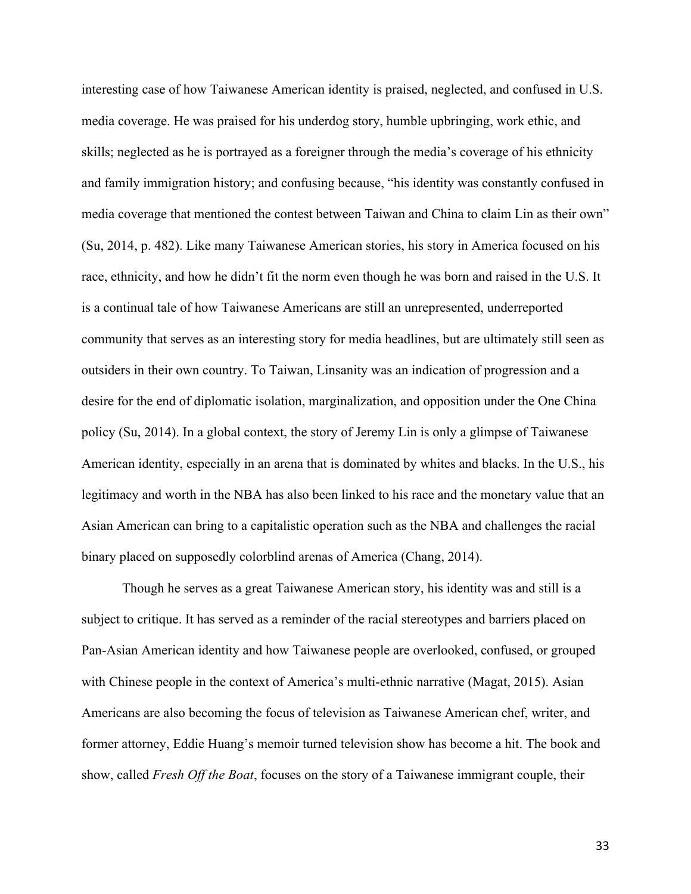interesting case of how Taiwanese American identity is praised, neglected, and confused in U.S. media coverage. He was praised for his underdog story, humble upbringing, work ethic, and skills; neglected as he is portrayed as a foreigner through the media's coverage of his ethnicity and family immigration history; and confusing because, "his identity was constantly confused in media coverage that mentioned the contest between Taiwan and China to claim Lin as their own" (Su, 2014, p. 482). Like many Taiwanese American stories, his story in America focused on his race, ethnicity, and how he didn't fit the norm even though he was born and raised in the U.S. It is a continual tale of how Taiwanese Americans are still an unrepresented, underreported community that serves as an interesting story for media headlines, but are ultimately still seen as outsiders in their own country. To Taiwan, Linsanity was an indication of progression and a desire for the end of diplomatic isolation, marginalization, and opposition under the One China policy (Su, 2014). In a global context, the story of Jeremy Lin is only a glimpse of Taiwanese American identity, especially in an arena that is dominated by whites and blacks. In the U.S., his legitimacy and worth in the NBA has also been linked to his race and the monetary value that an Asian American can bring to a capitalistic operation such as the NBA and challenges the racial binary placed on supposedly colorblind arenas of America (Chang, 2014).

Though he serves as a great Taiwanese American story, his identity was and still is a subject to critique. It has served as a reminder of the racial stereotypes and barriers placed on Pan-Asian American identity and how Taiwanese people are overlooked, confused, or grouped with Chinese people in the context of America's multi-ethnic narrative (Magat, 2015). Asian Americans are also becoming the focus of television as Taiwanese American chef, writer, and former attorney, Eddie Huang's memoir turned television show has become a hit. The book and show, called *Fresh Off the Boat*, focuses on the story of a Taiwanese immigrant couple, their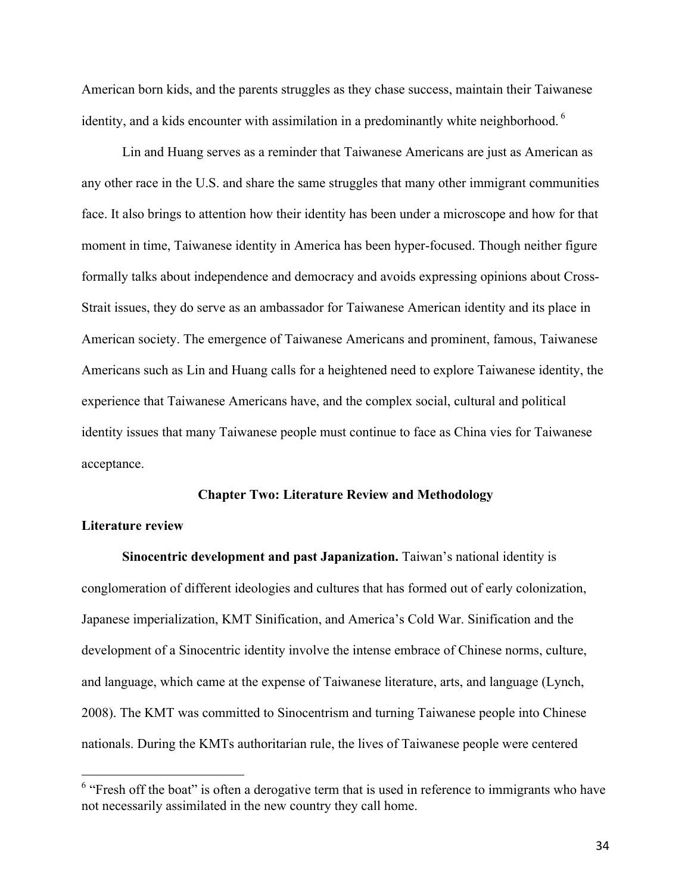American born kids, and the parents struggles as they chase success, maintain their Taiwanese identity, and a kids encounter with assimilation in a predominantly white neighborhood.<sup>6</sup>

Lin and Huang serves as a reminder that Taiwanese Americans are just as American as any other race in the U.S. and share the same struggles that many other immigrant communities face. It also brings to attention how their identity has been under a microscope and how for that moment in time, Taiwanese identity in America has been hyper-focused. Though neither figure formally talks about independence and democracy and avoids expressing opinions about Cross-Strait issues, they do serve as an ambassador for Taiwanese American identity and its place in American society. The emergence of Taiwanese Americans and prominent, famous, Taiwanese Americans such as Lin and Huang calls for a heightened need to explore Taiwanese identity, the experience that Taiwanese Americans have, and the complex social, cultural and political identity issues that many Taiwanese people must continue to face as China vies for Taiwanese acceptance.

#### **Chapter Two: Literature Review and Methodology**

## **Literature review**

**Sinocentric development and past Japanization.** Taiwan's national identity is conglomeration of different ideologies and cultures that has formed out of early colonization, Japanese imperialization, KMT Sinification, and America's Cold War. Sinification and the development of a Sinocentric identity involve the intense embrace of Chinese norms, culture, and language, which came at the expense of Taiwanese literature, arts, and language (Lynch, 2008). The KMT was committed to Sinocentrism and turning Taiwanese people into Chinese nationals. During the KMTs authoritarian rule, the lives of Taiwanese people were centered

<sup>&</sup>lt;sup>6</sup> "Fresh off the boat" is often a derogative term that is used in reference to immigrants who have not necessarily assimilated in the new country they call home.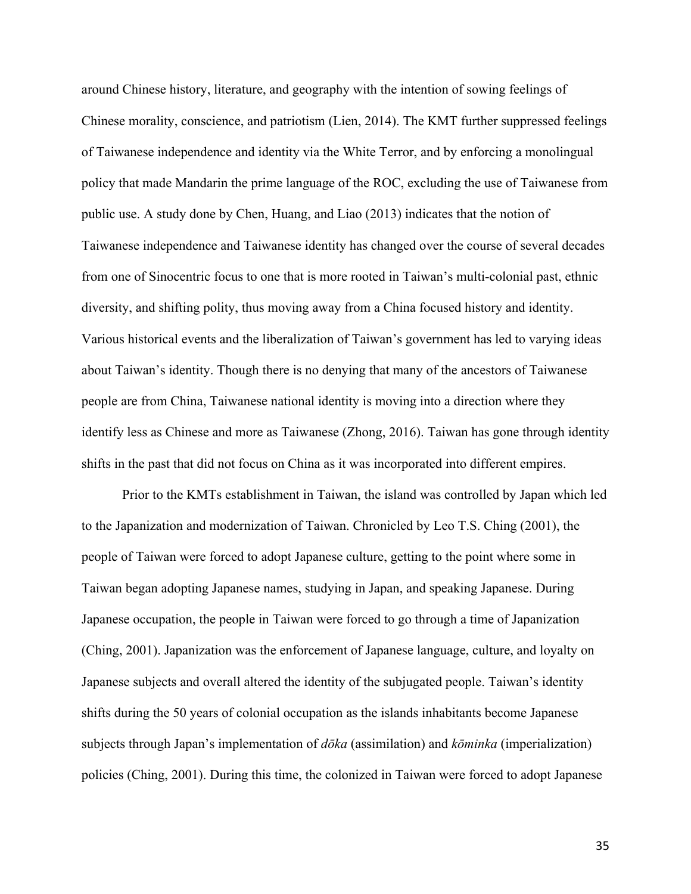around Chinese history, literature, and geography with the intention of sowing feelings of Chinese morality, conscience, and patriotism (Lien, 2014). The KMT further suppressed feelings of Taiwanese independence and identity via the White Terror, and by enforcing a monolingual policy that made Mandarin the prime language of the ROC, excluding the use of Taiwanese from public use. A study done by Chen, Huang, and Liao (2013) indicates that the notion of Taiwanese independence and Taiwanese identity has changed over the course of several decades from one of Sinocentric focus to one that is more rooted in Taiwan's multi-colonial past, ethnic diversity, and shifting polity, thus moving away from a China focused history and identity. Various historical events and the liberalization of Taiwan's government has led to varying ideas about Taiwan's identity. Though there is no denying that many of the ancestors of Taiwanese people are from China, Taiwanese national identity is moving into a direction where they identify less as Chinese and more as Taiwanese (Zhong, 2016). Taiwan has gone through identity shifts in the past that did not focus on China as it was incorporated into different empires.

Prior to the KMTs establishment in Taiwan, the island was controlled by Japan which led to the Japanization and modernization of Taiwan. Chronicled by Leo T.S. Ching (2001), the people of Taiwan were forced to adopt Japanese culture, getting to the point where some in Taiwan began adopting Japanese names, studying in Japan, and speaking Japanese. During Japanese occupation, the people in Taiwan were forced to go through a time of Japanization (Ching, 2001). Japanization was the enforcement of Japanese language, culture, and loyalty on Japanese subjects and overall altered the identity of the subjugated people. Taiwan's identity shifts during the 50 years of colonial occupation as the islands inhabitants become Japanese subjects through Japan's implementation of *dōka* (assimilation) and *kōminka* (imperialization) policies (Ching, 2001). During this time, the colonized in Taiwan were forced to adopt Japanese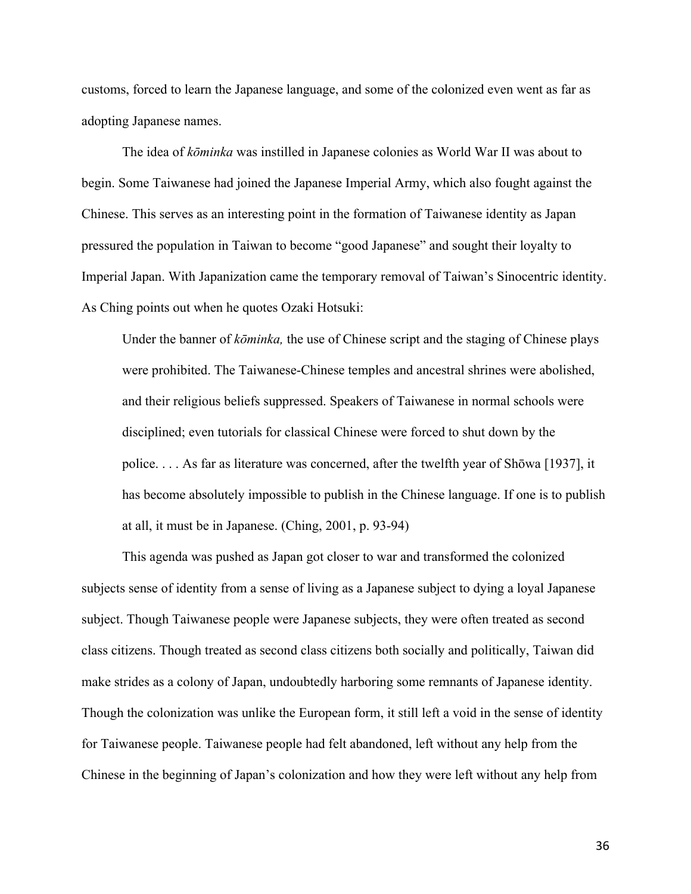customs, forced to learn the Japanese language, and some of the colonized even went as far as adopting Japanese names.

The idea of *kōminka* was instilled in Japanese colonies as World War II was about to begin. Some Taiwanese had joined the Japanese Imperial Army, which also fought against the Chinese. This serves as an interesting point in the formation of Taiwanese identity as Japan pressured the population in Taiwan to become "good Japanese" and sought their loyalty to Imperial Japan. With Japanization came the temporary removal of Taiwan's Sinocentric identity. As Ching points out when he quotes Ozaki Hotsuki:

Under the banner of *kōminka,* the use of Chinese script and the staging of Chinese plays were prohibited. The Taiwanese-Chinese temples and ancestral shrines were abolished, and their religious beliefs suppressed. Speakers of Taiwanese in normal schools were disciplined; even tutorials for classical Chinese were forced to shut down by the police. . . . As far as literature was concerned, after the twelfth year of Shōwa [1937], it has become absolutely impossible to publish in the Chinese language. If one is to publish at all, it must be in Japanese. (Ching, 2001, p. 93-94)

This agenda was pushed as Japan got closer to war and transformed the colonized subjects sense of identity from a sense of living as a Japanese subject to dying a loyal Japanese subject. Though Taiwanese people were Japanese subjects, they were often treated as second class citizens. Though treated as second class citizens both socially and politically, Taiwan did make strides as a colony of Japan, undoubtedly harboring some remnants of Japanese identity. Though the colonization was unlike the European form, it still left a void in the sense of identity for Taiwanese people. Taiwanese people had felt abandoned, left without any help from the Chinese in the beginning of Japan's colonization and how they were left without any help from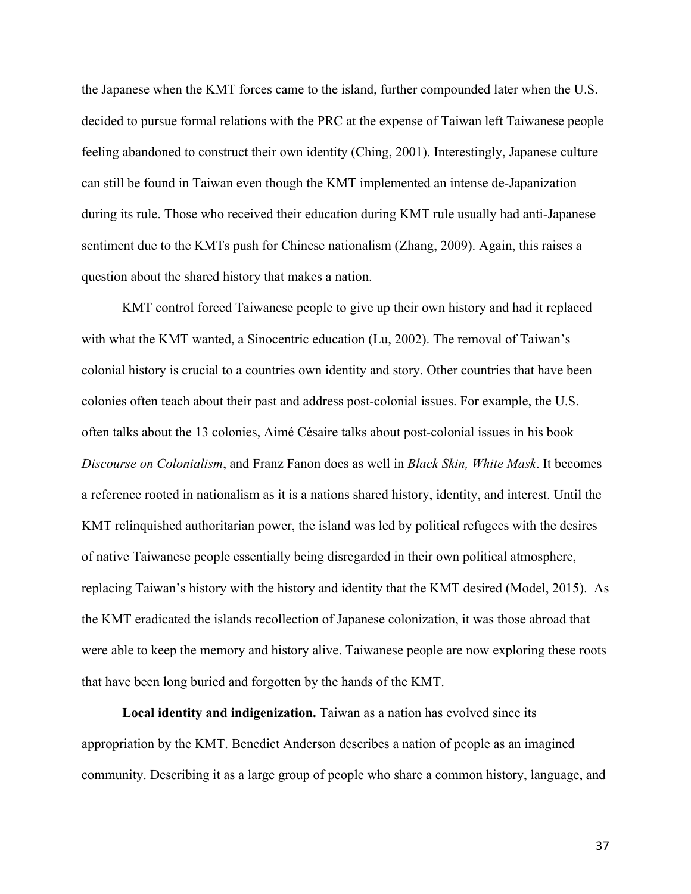the Japanese when the KMT forces came to the island, further compounded later when the U.S. decided to pursue formal relations with the PRC at the expense of Taiwan left Taiwanese people feeling abandoned to construct their own identity (Ching, 2001). Interestingly, Japanese culture can still be found in Taiwan even though the KMT implemented an intense de-Japanization during its rule. Those who received their education during KMT rule usually had anti-Japanese sentiment due to the KMTs push for Chinese nationalism (Zhang, 2009). Again, this raises a question about the shared history that makes a nation.

KMT control forced Taiwanese people to give up their own history and had it replaced with what the KMT wanted, a Sinocentric education (Lu, 2002). The removal of Taiwan's colonial history is crucial to a countries own identity and story. Other countries that have been colonies often teach about their past and address post-colonial issues. For example, the U.S. often talks about the 13 colonies, Aimé Césaire talks about post-colonial issues in his book *Discourse on Colonialism*, and Franz Fanon does as well in *Black Skin, White Mask*. It becomes a reference rooted in nationalism as it is a nations shared history, identity, and interest. Until the KMT relinquished authoritarian power, the island was led by political refugees with the desires of native Taiwanese people essentially being disregarded in their own political atmosphere, replacing Taiwan's history with the history and identity that the KMT desired (Model, 2015). As the KMT eradicated the islands recollection of Japanese colonization, it was those abroad that were able to keep the memory and history alive. Taiwanese people are now exploring these roots that have been long buried and forgotten by the hands of the KMT.

**Local identity and indigenization.** Taiwan as a nation has evolved since its appropriation by the KMT. Benedict Anderson describes a nation of people as an imagined community. Describing it as a large group of people who share a common history, language, and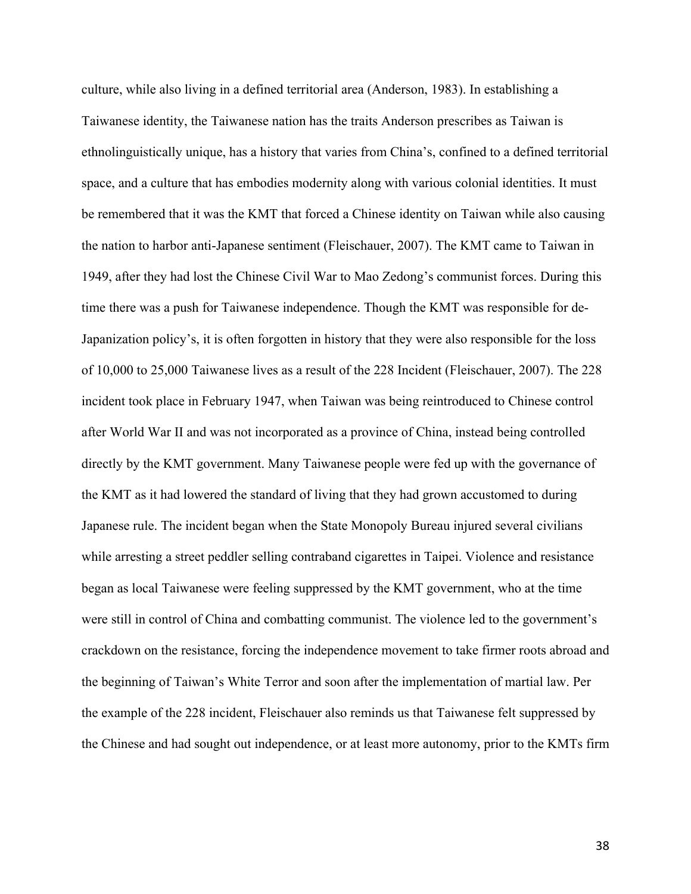culture, while also living in a defined territorial area (Anderson, 1983). In establishing a Taiwanese identity, the Taiwanese nation has the traits Anderson prescribes as Taiwan is ethnolinguistically unique, has a history that varies from China's, confined to a defined territorial space, and a culture that has embodies modernity along with various colonial identities. It must be remembered that it was the KMT that forced a Chinese identity on Taiwan while also causing the nation to harbor anti-Japanese sentiment (Fleischauer, 2007). The KMT came to Taiwan in 1949, after they had lost the Chinese Civil War to Mao Zedong's communist forces. During this time there was a push for Taiwanese independence. Though the KMT was responsible for de-Japanization policy's, it is often forgotten in history that they were also responsible for the loss of 10,000 to 25,000 Taiwanese lives as a result of the 228 Incident (Fleischauer, 2007). The 228 incident took place in February 1947, when Taiwan was being reintroduced to Chinese control after World War II and was not incorporated as a province of China, instead being controlled directly by the KMT government. Many Taiwanese people were fed up with the governance of the KMT as it had lowered the standard of living that they had grown accustomed to during Japanese rule. The incident began when the State Monopoly Bureau injured several civilians while arresting a street peddler selling contraband cigarettes in Taipei. Violence and resistance began as local Taiwanese were feeling suppressed by the KMT government, who at the time were still in control of China and combatting communist. The violence led to the government's crackdown on the resistance, forcing the independence movement to take firmer roots abroad and the beginning of Taiwan's White Terror and soon after the implementation of martial law. Per the example of the 228 incident, Fleischauer also reminds us that Taiwanese felt suppressed by the Chinese and had sought out independence, or at least more autonomy, prior to the KMTs firm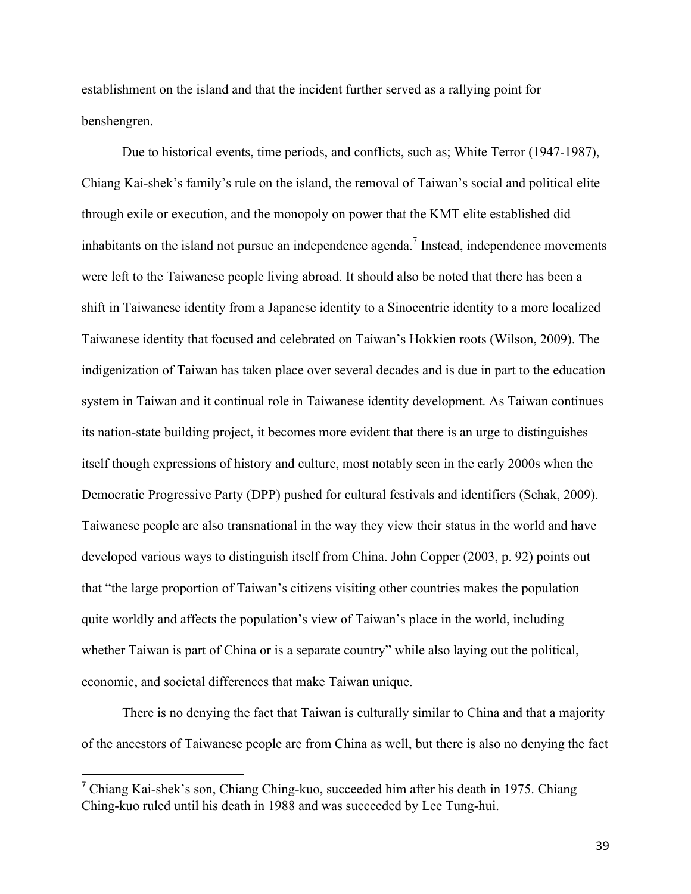establishment on the island and that the incident further served as a rallying point for benshengren.

Due to historical events, time periods, and conflicts, such as; White Terror (1947-1987), Chiang Kai-shek's family's rule on the island, the removal of Taiwan's social and political elite through exile or execution, and the monopoly on power that the KMT elite established did inhabitants on the island not pursue an independence agenda.<sup>7</sup> Instead, independence movements were left to the Taiwanese people living abroad. It should also be noted that there has been a shift in Taiwanese identity from a Japanese identity to a Sinocentric identity to a more localized Taiwanese identity that focused and celebrated on Taiwan's Hokkien roots (Wilson, 2009). The indigenization of Taiwan has taken place over several decades and is due in part to the education system in Taiwan and it continual role in Taiwanese identity development. As Taiwan continues its nation-state building project, it becomes more evident that there is an urge to distinguishes itself though expressions of history and culture, most notably seen in the early 2000s when the Democratic Progressive Party (DPP) pushed for cultural festivals and identifiers (Schak, 2009). Taiwanese people are also transnational in the way they view their status in the world and have developed various ways to distinguish itself from China. John Copper (2003, p. 92) points out that "the large proportion of Taiwan's citizens visiting other countries makes the population quite worldly and affects the population's view of Taiwan's place in the world, including whether Taiwan is part of China or is a separate country" while also laying out the political, economic, and societal differences that make Taiwan unique.

There is no denying the fact that Taiwan is culturally similar to China and that a majority of the ancestors of Taiwanese people are from China as well, but there is also no denying the fact

<sup>7</sup> Chiang Kai-shek's son, Chiang Ching-kuo, succeeded him after his death in 1975. Chiang Ching-kuo ruled until his death in 1988 and was succeeded by Lee Tung-hui.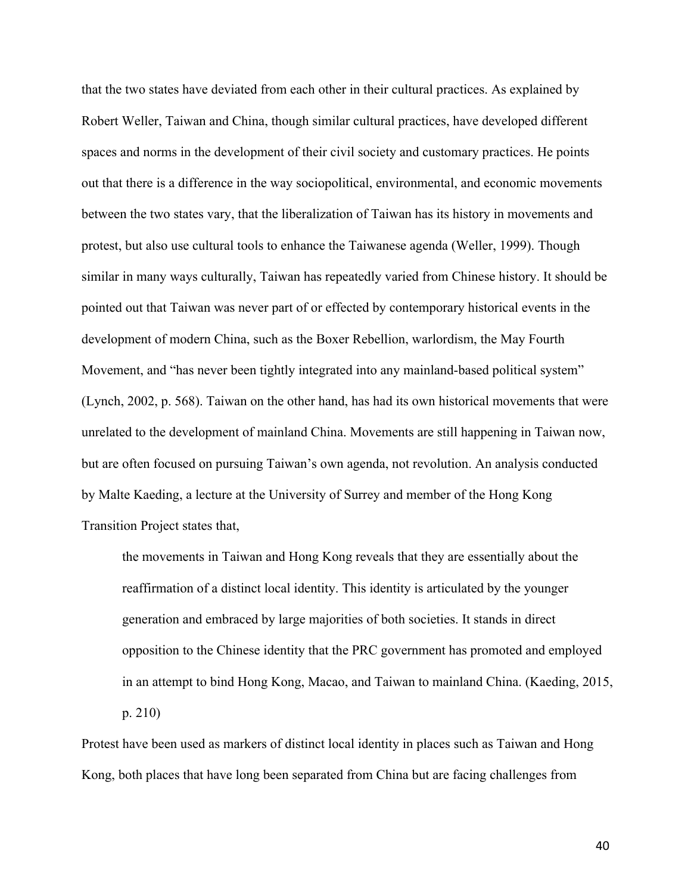that the two states have deviated from each other in their cultural practices. As explained by Robert Weller, Taiwan and China, though similar cultural practices, have developed different spaces and norms in the development of their civil society and customary practices. He points out that there is a difference in the way sociopolitical, environmental, and economic movements between the two states vary, that the liberalization of Taiwan has its history in movements and protest, but also use cultural tools to enhance the Taiwanese agenda (Weller, 1999). Though similar in many ways culturally, Taiwan has repeatedly varied from Chinese history. It should be pointed out that Taiwan was never part of or effected by contemporary historical events in the development of modern China, such as the Boxer Rebellion, warlordism, the May Fourth Movement, and "has never been tightly integrated into any mainland-based political system" (Lynch, 2002, p. 568). Taiwan on the other hand, has had its own historical movements that were unrelated to the development of mainland China. Movements are still happening in Taiwan now, but are often focused on pursuing Taiwan's own agenda, not revolution. An analysis conducted by Malte Kaeding, a lecture at the University of Surrey and member of the Hong Kong Transition Project states that,

the movements in Taiwan and Hong Kong reveals that they are essentially about the reaffirmation of a distinct local identity. This identity is articulated by the younger generation and embraced by large majorities of both societies. It stands in direct opposition to the Chinese identity that the PRC government has promoted and employed in an attempt to bind Hong Kong, Macao, and Taiwan to mainland China. (Kaeding, 2015, p. 210)

Protest have been used as markers of distinct local identity in places such as Taiwan and Hong Kong, both places that have long been separated from China but are facing challenges from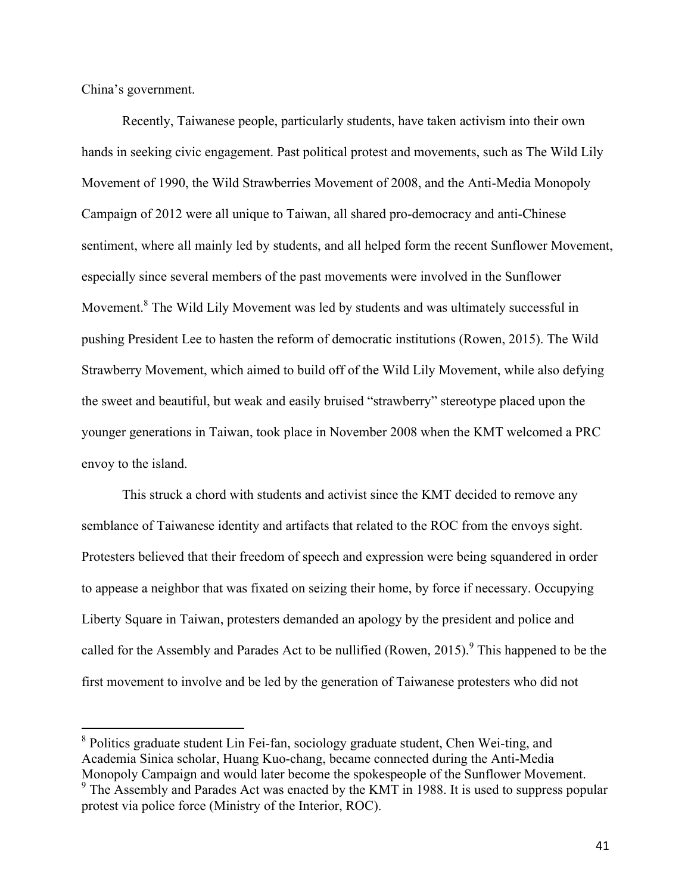China's government.

Recently, Taiwanese people, particularly students, have taken activism into their own hands in seeking civic engagement. Past political protest and movements, such as The Wild Lily Movement of 1990, the Wild Strawberries Movement of 2008, and the Anti-Media Monopoly Campaign of 2012 were all unique to Taiwan, all shared pro-democracy and anti-Chinese sentiment, where all mainly led by students, and all helped form the recent Sunflower Movement, especially since several members of the past movements were involved in the Sunflower Movement.<sup>8</sup> The Wild Lily Movement was led by students and was ultimately successful in pushing President Lee to hasten the reform of democratic institutions (Rowen, 2015). The Wild Strawberry Movement, which aimed to build off of the Wild Lily Movement, while also defying the sweet and beautiful, but weak and easily bruised "strawberry" stereotype placed upon the younger generations in Taiwan, took place in November 2008 when the KMT welcomed a PRC envoy to the island.

This struck a chord with students and activist since the KMT decided to remove any semblance of Taiwanese identity and artifacts that related to the ROC from the envoys sight. Protesters believed that their freedom of speech and expression were being squandered in order to appease a neighbor that was fixated on seizing their home, by force if necessary. Occupying Liberty Square in Taiwan, protesters demanded an apology by the president and police and called for the Assembly and Parades Act to be nullified (Rowen, 2015).<sup>9</sup> This happened to be the first movement to involve and be led by the generation of Taiwanese protesters who did not

 <sup>8</sup> Politics graduate student Lin Fei-fan, sociology graduate student, Chen Wei-ting, and Academia Sinica scholar, Huang Kuo-chang, became connected during the Anti-Media Monopoly Campaign and would later become the spokespeople of the Sunflower Movement.<br><sup>9</sup> The Assembly and Parades Act was enacted by the KMT in 1988. It is used to suppress popular

protest via police force (Ministry of the Interior, ROC).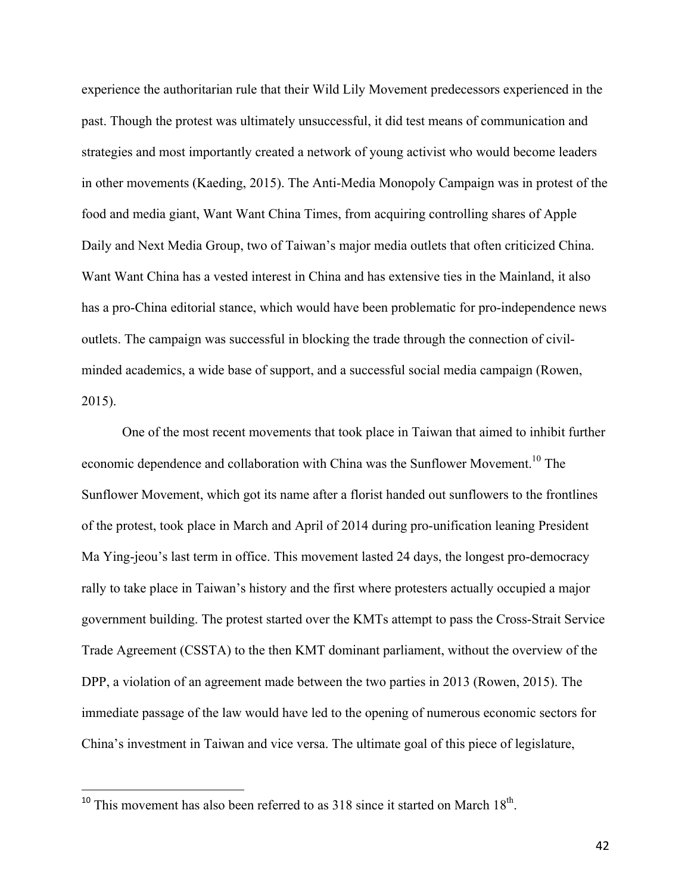experience the authoritarian rule that their Wild Lily Movement predecessors experienced in the past. Though the protest was ultimately unsuccessful, it did test means of communication and strategies and most importantly created a network of young activist who would become leaders in other movements (Kaeding, 2015). The Anti-Media Monopoly Campaign was in protest of the food and media giant, Want Want China Times, from acquiring controlling shares of Apple Daily and Next Media Group, two of Taiwan's major media outlets that often criticized China. Want Want China has a vested interest in China and has extensive ties in the Mainland, it also has a pro-China editorial stance, which would have been problematic for pro-independence news outlets. The campaign was successful in blocking the trade through the connection of civilminded academics, a wide base of support, and a successful social media campaign (Rowen, 2015).

One of the most recent movements that took place in Taiwan that aimed to inhibit further economic dependence and collaboration with China was the Sunflower Movement.<sup>10</sup> The Sunflower Movement, which got its name after a florist handed out sunflowers to the frontlines of the protest, took place in March and April of 2014 during pro-unification leaning President Ma Ying-jeou's last term in office. This movement lasted 24 days, the longest pro-democracy rally to take place in Taiwan's history and the first where protesters actually occupied a major government building. The protest started over the KMTs attempt to pass the Cross-Strait Service Trade Agreement (CSSTA) to the then KMT dominant parliament, without the overview of the DPP, a violation of an agreement made between the two parties in 2013 (Rowen, 2015). The immediate passage of the law would have led to the opening of numerous economic sectors for China's investment in Taiwan and vice versa. The ultimate goal of this piece of legislature,

<sup>&</sup>lt;sup>10</sup> This movement has also been referred to as  $318$  since it started on March  $18<sup>th</sup>$ .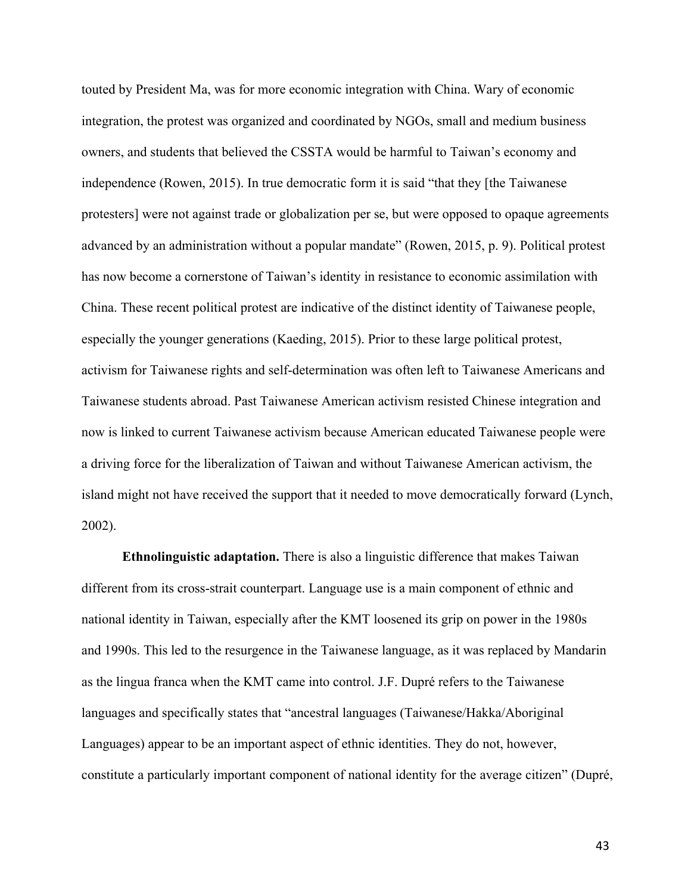touted by President Ma, was for more economic integration with China. Wary of economic integration, the protest was organized and coordinated by NGOs, small and medium business owners, and students that believed the CSSTA would be harmful to Taiwan's economy and independence (Rowen, 2015). In true democratic form it is said "that they [the Taiwanese protesters] were not against trade or globalization per se, but were opposed to opaque agreements advanced by an administration without a popular mandate" (Rowen, 2015, p. 9). Political protest has now become a cornerstone of Taiwan's identity in resistance to economic assimilation with China. These recent political protest are indicative of the distinct identity of Taiwanese people, especially the younger generations (Kaeding, 2015). Prior to these large political protest, activism for Taiwanese rights and self-determination was often left to Taiwanese Americans and Taiwanese students abroad. Past Taiwanese American activism resisted Chinese integration and now is linked to current Taiwanese activism because American educated Taiwanese people were a driving force for the liberalization of Taiwan and without Taiwanese American activism, the island might not have received the support that it needed to move democratically forward (Lynch, 2002).

**Ethnolinguistic adaptation.** There is also a linguistic difference that makes Taiwan different from its cross-strait counterpart. Language use is a main component of ethnic and national identity in Taiwan, especially after the KMT loosened its grip on power in the 1980s and 1990s. This led to the resurgence in the Taiwanese language, as it was replaced by Mandarin as the lingua franca when the KMT came into control. J.F. Dupré refers to the Taiwanese languages and specifically states that "ancestral languages (Taiwanese/Hakka/Aboriginal Languages) appear to be an important aspect of ethnic identities. They do not, however, constitute a particularly important component of national identity for the average citizen" (Dupré,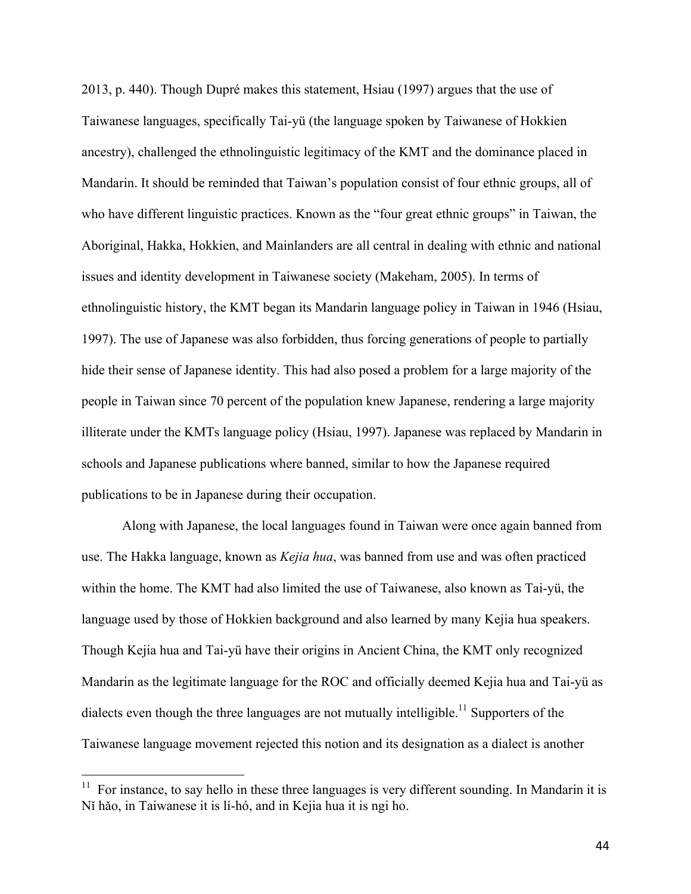2013, p. 440). Though Dupré makes this statement, Hsiau (1997) argues that the use of Taiwanese languages, specifically Tai-yü (the language spoken by Taiwanese of Hokkien ancestry), challenged the ethnolinguistic legitimacy of the KMT and the dominance placed in Mandarin. It should be reminded that Taiwan's population consist of four ethnic groups, all of who have different linguistic practices. Known as the "four great ethnic groups" in Taiwan, the Aboriginal, Hakka, Hokkien, and Mainlanders are all central in dealing with ethnic and national issues and identity development in Taiwanese society (Makeham, 2005). In terms of ethnolinguistic history, the KMT began its Mandarin language policy in Taiwan in 1946 (Hsiau, 1997). The use of Japanese was also forbidden, thus forcing generations of people to partially hide their sense of Japanese identity. This had also posed a problem for a large majority of the people in Taiwan since 70 percent of the population knew Japanese, rendering a large majority illiterate under the KMTs language policy (Hsiau, 1997). Japanese was replaced by Mandarin in schools and Japanese publications where banned, similar to how the Japanese required publications to be in Japanese during their occupation.

Along with Japanese, the local languages found in Taiwan were once again banned from use. The Hakka language, known as *Kejia hua*, was banned from use and was often practiced within the home. The KMT had also limited the use of Taiwanese, also known as Tai-yü, the language used by those of Hokkien background and also learned by many Kejia hua speakers. Though Kejia hua and Tai-yü have their origins in Ancient China, the KMT only recognized Mandarin as the legitimate language for the ROC and officially deemed Kejia hua and Tai-yü as dialects even though the three languages are not mutually intelligible.<sup>11</sup> Supporters of the Taiwanese language movement rejected this notion and its designation as a dialect is another

 $11$  For instance, to say hello in these three languages is very different sounding. In Mandarin it is Nǐ hǎo, in Taiwanese it is lí-hó, and in Kejia hua it is ngi ho.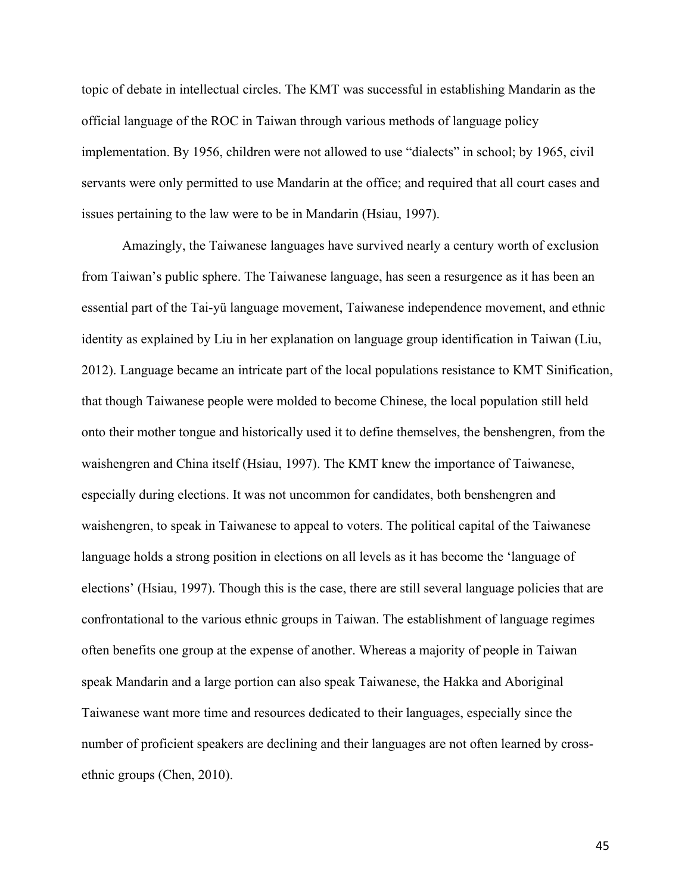topic of debate in intellectual circles. The KMT was successful in establishing Mandarin as the official language of the ROC in Taiwan through various methods of language policy implementation. By 1956, children were not allowed to use "dialects" in school; by 1965, civil servants were only permitted to use Mandarin at the office; and required that all court cases and issues pertaining to the law were to be in Mandarin (Hsiau, 1997).

Amazingly, the Taiwanese languages have survived nearly a century worth of exclusion from Taiwan's public sphere. The Taiwanese language, has seen a resurgence as it has been an essential part of the Tai-yü language movement, Taiwanese independence movement, and ethnic identity as explained by Liu in her explanation on language group identification in Taiwan (Liu, 2012). Language became an intricate part of the local populations resistance to KMT Sinification, that though Taiwanese people were molded to become Chinese, the local population still held onto their mother tongue and historically used it to define themselves, the benshengren, from the waishengren and China itself (Hsiau, 1997). The KMT knew the importance of Taiwanese, especially during elections. It was not uncommon for candidates, both benshengren and waishengren, to speak in Taiwanese to appeal to voters. The political capital of the Taiwanese language holds a strong position in elections on all levels as it has become the 'language of elections' (Hsiau, 1997). Though this is the case, there are still several language policies that are confrontational to the various ethnic groups in Taiwan. The establishment of language regimes often benefits one group at the expense of another. Whereas a majority of people in Taiwan speak Mandarin and a large portion can also speak Taiwanese, the Hakka and Aboriginal Taiwanese want more time and resources dedicated to their languages, especially since the number of proficient speakers are declining and their languages are not often learned by crossethnic groups (Chen, 2010).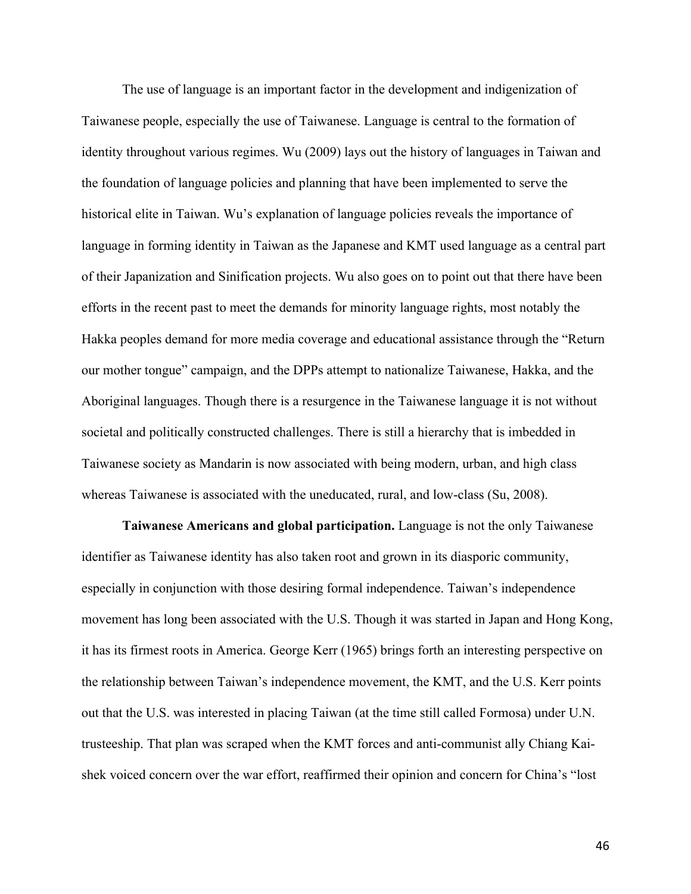The use of language is an important factor in the development and indigenization of Taiwanese people, especially the use of Taiwanese. Language is central to the formation of identity throughout various regimes. Wu (2009) lays out the history of languages in Taiwan and the foundation of language policies and planning that have been implemented to serve the historical elite in Taiwan. Wu's explanation of language policies reveals the importance of language in forming identity in Taiwan as the Japanese and KMT used language as a central part of their Japanization and Sinification projects. Wu also goes on to point out that there have been efforts in the recent past to meet the demands for minority language rights, most notably the Hakka peoples demand for more media coverage and educational assistance through the "Return our mother tongue" campaign, and the DPPs attempt to nationalize Taiwanese, Hakka, and the Aboriginal languages. Though there is a resurgence in the Taiwanese language it is not without societal and politically constructed challenges. There is still a hierarchy that is imbedded in Taiwanese society as Mandarin is now associated with being modern, urban, and high class whereas Taiwanese is associated with the uneducated, rural, and low-class (Su, 2008).

**Taiwanese Americans and global participation.** Language is not the only Taiwanese identifier as Taiwanese identity has also taken root and grown in its diasporic community, especially in conjunction with those desiring formal independence. Taiwan's independence movement has long been associated with the U.S. Though it was started in Japan and Hong Kong, it has its firmest roots in America. George Kerr (1965) brings forth an interesting perspective on the relationship between Taiwan's independence movement, the KMT, and the U.S. Kerr points out that the U.S. was interested in placing Taiwan (at the time still called Formosa) under U.N. trusteeship. That plan was scraped when the KMT forces and anti-communist ally Chiang Kaishek voiced concern over the war effort, reaffirmed their opinion and concern for China's "lost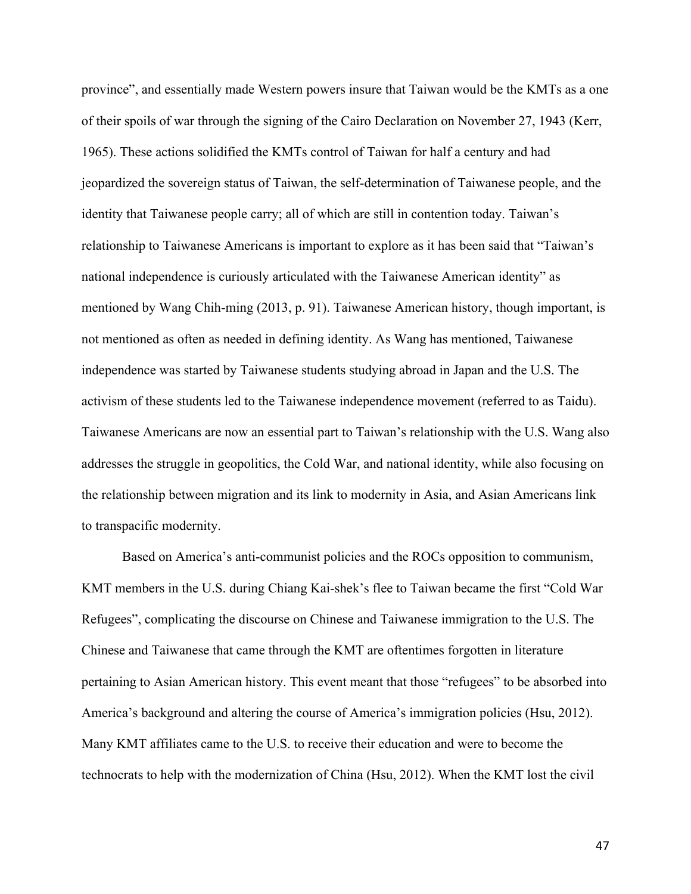province", and essentially made Western powers insure that Taiwan would be the KMTs as a one of their spoils of war through the signing of the Cairo Declaration on November 27, 1943 (Kerr, 1965). These actions solidified the KMTs control of Taiwan for half a century and had jeopardized the sovereign status of Taiwan, the self-determination of Taiwanese people, and the identity that Taiwanese people carry; all of which are still in contention today. Taiwan's relationship to Taiwanese Americans is important to explore as it has been said that "Taiwan's national independence is curiously articulated with the Taiwanese American identity" as mentioned by Wang Chih-ming (2013, p. 91). Taiwanese American history, though important, is not mentioned as often as needed in defining identity. As Wang has mentioned, Taiwanese independence was started by Taiwanese students studying abroad in Japan and the U.S. The activism of these students led to the Taiwanese independence movement (referred to as Taidu). Taiwanese Americans are now an essential part to Taiwan's relationship with the U.S. Wang also addresses the struggle in geopolitics, the Cold War, and national identity, while also focusing on the relationship between migration and its link to modernity in Asia, and Asian Americans link to transpacific modernity.

Based on America's anti-communist policies and the ROCs opposition to communism, KMT members in the U.S. during Chiang Kai-shek's flee to Taiwan became the first "Cold War Refugees", complicating the discourse on Chinese and Taiwanese immigration to the U.S. The Chinese and Taiwanese that came through the KMT are oftentimes forgotten in literature pertaining to Asian American history. This event meant that those "refugees" to be absorbed into America's background and altering the course of America's immigration policies (Hsu, 2012). Many KMT affiliates came to the U.S. to receive their education and were to become the technocrats to help with the modernization of China (Hsu, 2012). When the KMT lost the civil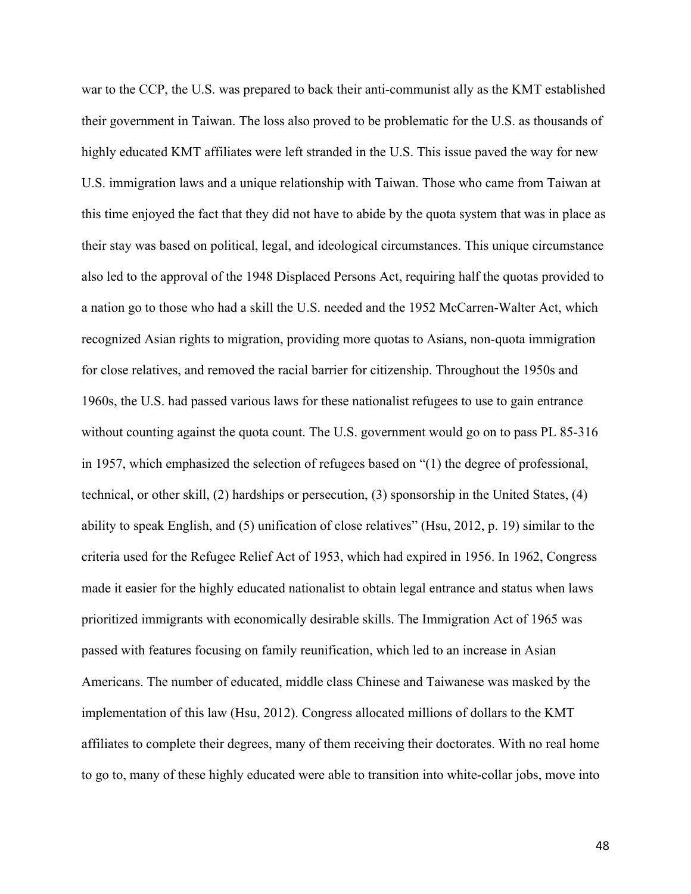war to the CCP, the U.S. was prepared to back their anti-communist ally as the KMT established their government in Taiwan. The loss also proved to be problematic for the U.S. as thousands of highly educated KMT affiliates were left stranded in the U.S. This issue paved the way for new U.S. immigration laws and a unique relationship with Taiwan. Those who came from Taiwan at this time enjoyed the fact that they did not have to abide by the quota system that was in place as their stay was based on political, legal, and ideological circumstances. This unique circumstance also led to the approval of the 1948 Displaced Persons Act, requiring half the quotas provided to a nation go to those who had a skill the U.S. needed and the 1952 McCarren-Walter Act, which recognized Asian rights to migration, providing more quotas to Asians, non-quota immigration for close relatives, and removed the racial barrier for citizenship. Throughout the 1950s and 1960s, the U.S. had passed various laws for these nationalist refugees to use to gain entrance without counting against the quota count. The U.S. government would go on to pass PL 85-316 in 1957, which emphasized the selection of refugees based on "(1) the degree of professional, technical, or other skill, (2) hardships or persecution, (3) sponsorship in the United States, (4) ability to speak English, and (5) unification of close relatives" (Hsu, 2012, p. 19) similar to the criteria used for the Refugee Relief Act of 1953, which had expired in 1956. In 1962, Congress made it easier for the highly educated nationalist to obtain legal entrance and status when laws prioritized immigrants with economically desirable skills. The Immigration Act of 1965 was passed with features focusing on family reunification, which led to an increase in Asian Americans. The number of educated, middle class Chinese and Taiwanese was masked by the implementation of this law (Hsu, 2012). Congress allocated millions of dollars to the KMT affiliates to complete their degrees, many of them receiving their doctorates. With no real home to go to, many of these highly educated were able to transition into white-collar jobs, move into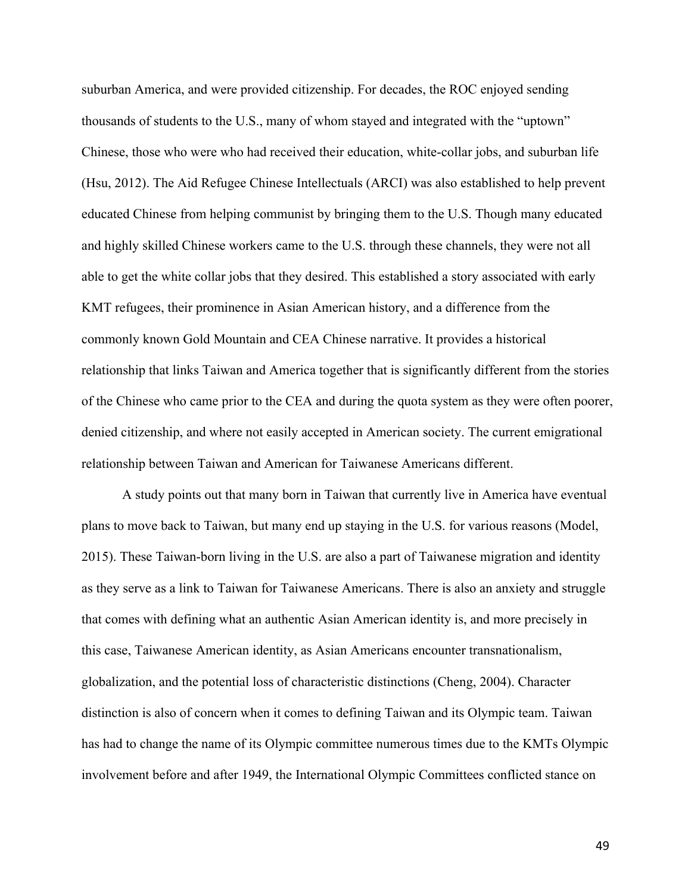suburban America, and were provided citizenship. For decades, the ROC enjoyed sending thousands of students to the U.S., many of whom stayed and integrated with the "uptown" Chinese, those who were who had received their education, white-collar jobs, and suburban life (Hsu, 2012). The Aid Refugee Chinese Intellectuals (ARCI) was also established to help prevent educated Chinese from helping communist by bringing them to the U.S. Though many educated and highly skilled Chinese workers came to the U.S. through these channels, they were not all able to get the white collar jobs that they desired. This established a story associated with early KMT refugees, their prominence in Asian American history, and a difference from the commonly known Gold Mountain and CEA Chinese narrative. It provides a historical relationship that links Taiwan and America together that is significantly different from the stories of the Chinese who came prior to the CEA and during the quota system as they were often poorer, denied citizenship, and where not easily accepted in American society. The current emigrational relationship between Taiwan and American for Taiwanese Americans different.

A study points out that many born in Taiwan that currently live in America have eventual plans to move back to Taiwan, but many end up staying in the U.S. for various reasons (Model, 2015). These Taiwan-born living in the U.S. are also a part of Taiwanese migration and identity as they serve as a link to Taiwan for Taiwanese Americans. There is also an anxiety and struggle that comes with defining what an authentic Asian American identity is, and more precisely in this case, Taiwanese American identity, as Asian Americans encounter transnationalism, globalization, and the potential loss of characteristic distinctions (Cheng, 2004). Character distinction is also of concern when it comes to defining Taiwan and its Olympic team. Taiwan has had to change the name of its Olympic committee numerous times due to the KMTs Olympic involvement before and after 1949, the International Olympic Committees conflicted stance on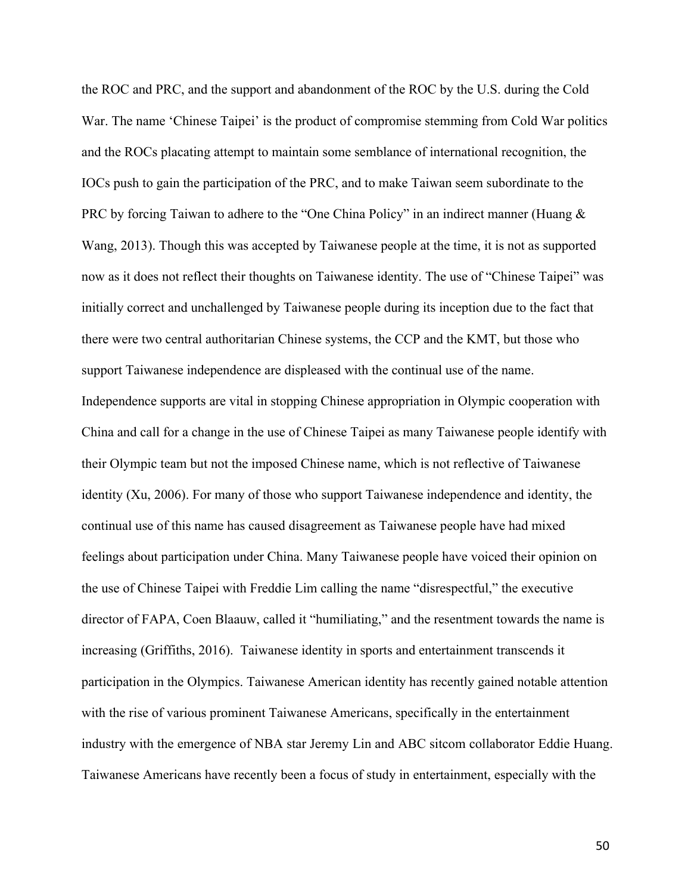the ROC and PRC, and the support and abandonment of the ROC by the U.S. during the Cold War. The name 'Chinese Taipei' is the product of compromise stemming from Cold War politics and the ROCs placating attempt to maintain some semblance of international recognition, the IOCs push to gain the participation of the PRC, and to make Taiwan seem subordinate to the PRC by forcing Taiwan to adhere to the "One China Policy" in an indirect manner (Huang & Wang, 2013). Though this was accepted by Taiwanese people at the time, it is not as supported now as it does not reflect their thoughts on Taiwanese identity. The use of "Chinese Taipei" was initially correct and unchallenged by Taiwanese people during its inception due to the fact that there were two central authoritarian Chinese systems, the CCP and the KMT, but those who support Taiwanese independence are displeased with the continual use of the name. Independence supports are vital in stopping Chinese appropriation in Olympic cooperation with China and call for a change in the use of Chinese Taipei as many Taiwanese people identify with their Olympic team but not the imposed Chinese name, which is not reflective of Taiwanese identity (Xu, 2006). For many of those who support Taiwanese independence and identity, the continual use of this name has caused disagreement as Taiwanese people have had mixed feelings about participation under China. Many Taiwanese people have voiced their opinion on the use of Chinese Taipei with Freddie Lim calling the name "disrespectful," the executive director of FAPA, Coen Blaauw, called it "humiliating," and the resentment towards the name is increasing (Griffiths, 2016). Taiwanese identity in sports and entertainment transcends it participation in the Olympics. Taiwanese American identity has recently gained notable attention with the rise of various prominent Taiwanese Americans, specifically in the entertainment industry with the emergence of NBA star Jeremy Lin and ABC sitcom collaborator Eddie Huang. Taiwanese Americans have recently been a focus of study in entertainment, especially with the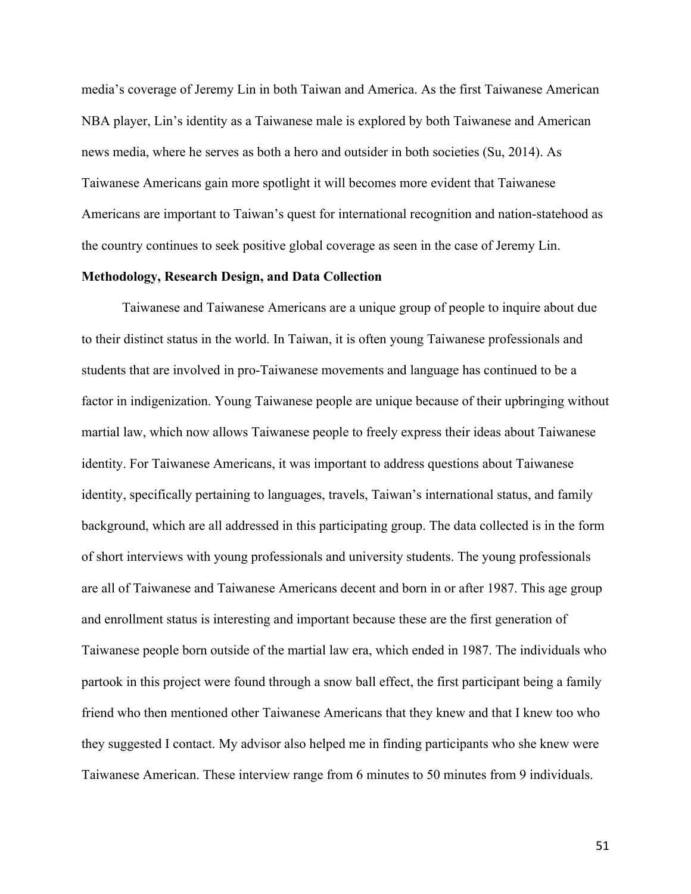media's coverage of Jeremy Lin in both Taiwan and America. As the first Taiwanese American NBA player, Lin's identity as a Taiwanese male is explored by both Taiwanese and American news media, where he serves as both a hero and outsider in both societies (Su, 2014). As Taiwanese Americans gain more spotlight it will becomes more evident that Taiwanese Americans are important to Taiwan's quest for international recognition and nation-statehood as the country continues to seek positive global coverage as seen in the case of Jeremy Lin.

### **Methodology, Research Design, and Data Collection**

Taiwanese and Taiwanese Americans are a unique group of people to inquire about due to their distinct status in the world. In Taiwan, it is often young Taiwanese professionals and students that are involved in pro-Taiwanese movements and language has continued to be a factor in indigenization. Young Taiwanese people are unique because of their upbringing without martial law, which now allows Taiwanese people to freely express their ideas about Taiwanese identity. For Taiwanese Americans, it was important to address questions about Taiwanese identity, specifically pertaining to languages, travels, Taiwan's international status, and family background, which are all addressed in this participating group. The data collected is in the form of short interviews with young professionals and university students. The young professionals are all of Taiwanese and Taiwanese Americans decent and born in or after 1987. This age group and enrollment status is interesting and important because these are the first generation of Taiwanese people born outside of the martial law era, which ended in 1987. The individuals who partook in this project were found through a snow ball effect, the first participant being a family friend who then mentioned other Taiwanese Americans that they knew and that I knew too who they suggested I contact. My advisor also helped me in finding participants who she knew were Taiwanese American. These interview range from 6 minutes to 50 minutes from 9 individuals.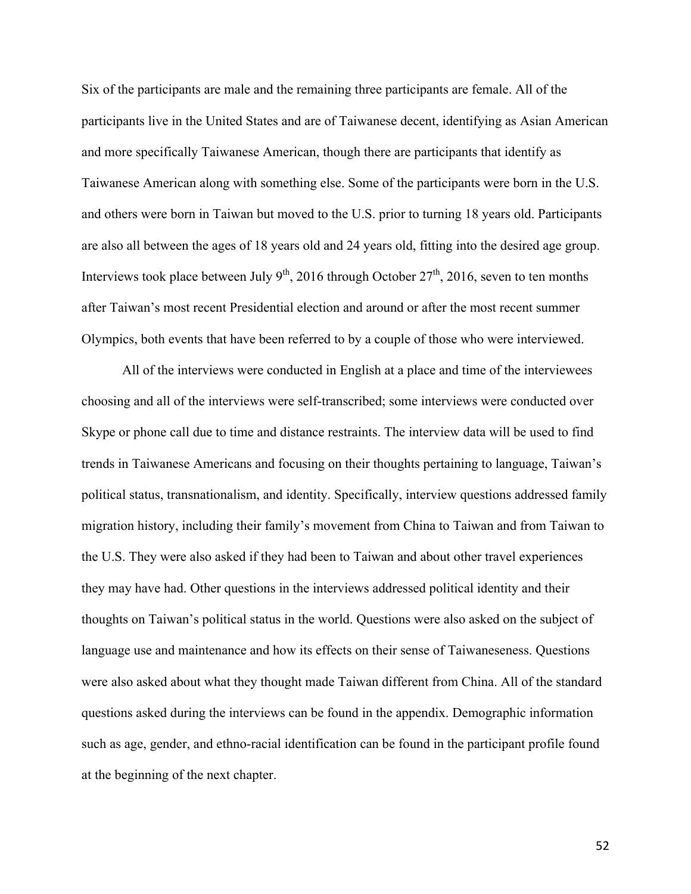Six of the participants are male and the remaining three participants are female. All of the participants live in the United States and are of Taiwanese decent, identifying as Asian American and more specifically Taiwanese American, though there are participants that identify as Taiwanese American along with something else. Some of the participants were born in the U.S. and others were born in Taiwan but moved to the U.S. prior to turning 18 years old. Participants are also all between the ages of 18 years old and 24 years old, fitting into the desired age group. Interviews took place between July  $9^{th}$ , 2016 through October  $27^{th}$ , 2016, seven to ten months after Taiwan's most recent Presidential election and around or after the most recent summer Olympics, both events that have been referred to by a couple of those who were interviewed.

All of the interviews were conducted in English at a place and time of the interviewees choosing and all of the interviews were self-transcribed; some interviews were conducted over Skype or phone call due to time and distance restraints. The interview data will be used to find trends in Taiwanese Americans and focusing on their thoughts pertaining to language, Taiwan's political status, transnationalism, and identity. Specifically, interview questions addressed family migration history, including their family's movement from China to Taiwan and from Taiwan to the U.S. They were also asked if they had been to Taiwan and about other travel experiences they may have had. Other questions in the interviews addressed political identity and their thoughts on Taiwan's political status in the world. Questions were also asked on the subject of language use and maintenance and how its effects on their sense of Taiwaneseness. Questions were also asked about what they thought made Taiwan different from China. All of the standard questions asked during the interviews can be found in the appendix. Demographic information such as age, gender, and ethno-racial identification can be found in the participant profile found at the beginning of the next chapter.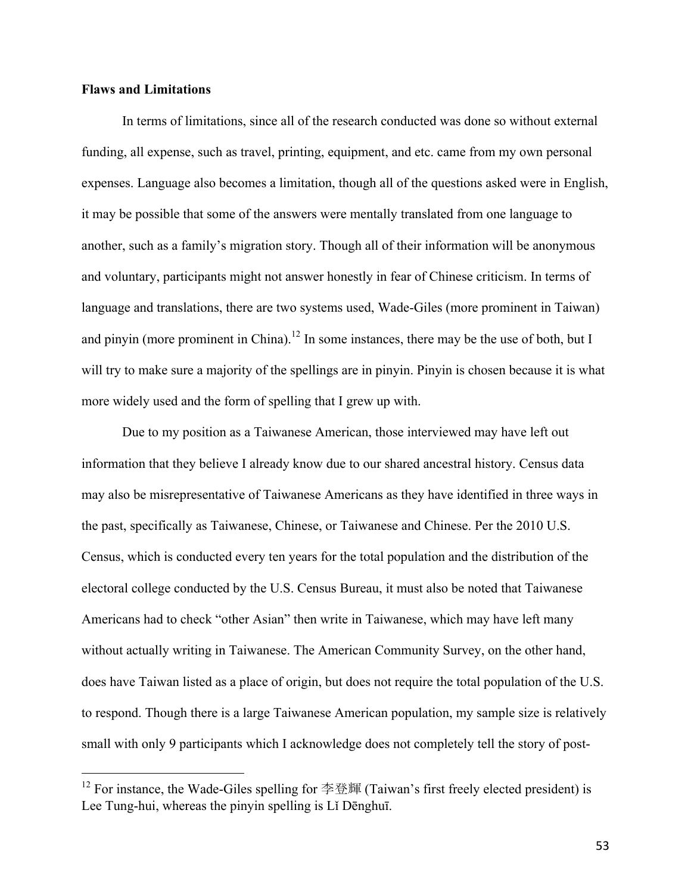## **Flaws and Limitations**

 

In terms of limitations, since all of the research conducted was done so without external funding, all expense, such as travel, printing, equipment, and etc. came from my own personal expenses. Language also becomes a limitation, though all of the questions asked were in English, it may be possible that some of the answers were mentally translated from one language to another, such as a family's migration story. Though all of their information will be anonymous and voluntary, participants might not answer honestly in fear of Chinese criticism. In terms of language and translations, there are two systems used, Wade-Giles (more prominent in Taiwan) and pinyin (more prominent in China).<sup>12</sup> In some instances, there may be the use of both, but I will try to make sure a majority of the spellings are in pinyin. Pinyin is chosen because it is what more widely used and the form of spelling that I grew up with.

Due to my position as a Taiwanese American, those interviewed may have left out information that they believe I already know due to our shared ancestral history. Census data may also be misrepresentative of Taiwanese Americans as they have identified in three ways in the past, specifically as Taiwanese, Chinese, or Taiwanese and Chinese. Per the 2010 U.S. Census, which is conducted every ten years for the total population and the distribution of the electoral college conducted by the U.S. Census Bureau, it must also be noted that Taiwanese Americans had to check "other Asian" then write in Taiwanese, which may have left many without actually writing in Taiwanese. The American Community Survey, on the other hand, does have Taiwan listed as a place of origin, but does not require the total population of the U.S. to respond. Though there is a large Taiwanese American population, my sample size is relatively small with only 9 participants which I acknowledge does not completely tell the story of post-

 $12$  For instance, the Wade-Giles spelling for 李登輝 (Taiwan's first freely elected president) is Lee Tung-hui, whereas the pinyin spelling is Lǐ Dēnghuī.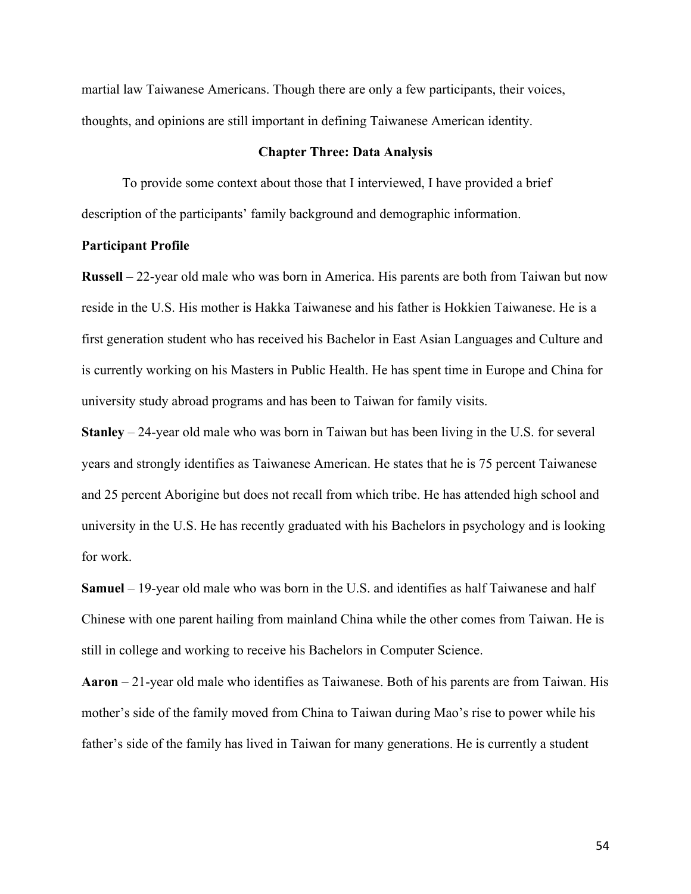martial law Taiwanese Americans. Though there are only a few participants, their voices, thoughts, and opinions are still important in defining Taiwanese American identity.

## **Chapter Three: Data Analysis**

To provide some context about those that I interviewed, I have provided a brief description of the participants' family background and demographic information.

## **Participant Profile**

**Russell** – 22-year old male who was born in America. His parents are both from Taiwan but now reside in the U.S. His mother is Hakka Taiwanese and his father is Hokkien Taiwanese. He is a first generation student who has received his Bachelor in East Asian Languages and Culture and is currently working on his Masters in Public Health. He has spent time in Europe and China for university study abroad programs and has been to Taiwan for family visits.

**Stanley** – 24-year old male who was born in Taiwan but has been living in the U.S. for several years and strongly identifies as Taiwanese American. He states that he is 75 percent Taiwanese and 25 percent Aborigine but does not recall from which tribe. He has attended high school and university in the U.S. He has recently graduated with his Bachelors in psychology and is looking for work.

**Samuel** – 19-year old male who was born in the U.S. and identifies as half Taiwanese and half Chinese with one parent hailing from mainland China while the other comes from Taiwan. He is still in college and working to receive his Bachelors in Computer Science.

**Aaron** – 21-year old male who identifies as Taiwanese. Both of his parents are from Taiwan. His mother's side of the family moved from China to Taiwan during Mao's rise to power while his father's side of the family has lived in Taiwan for many generations. He is currently a student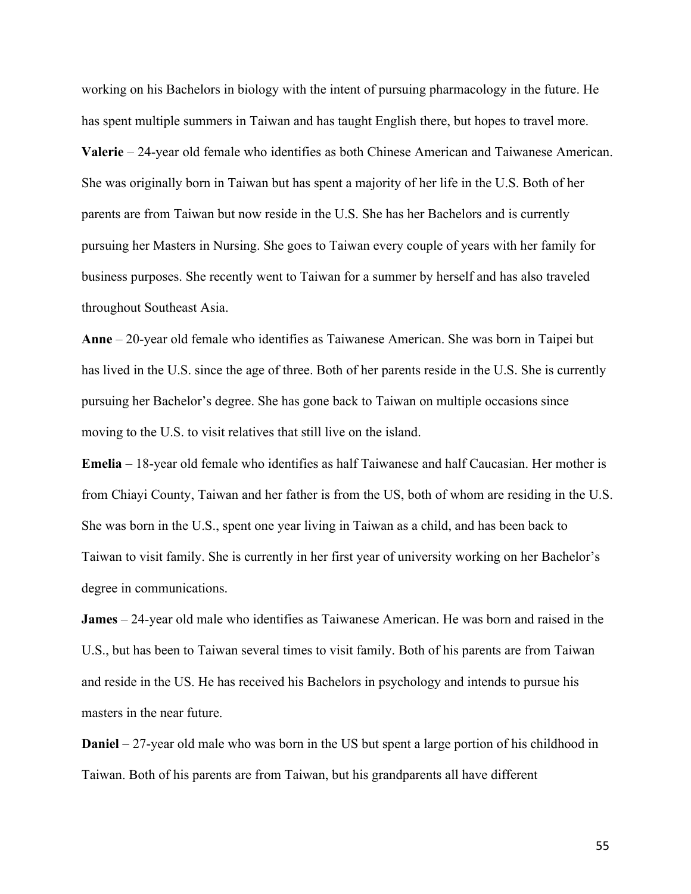working on his Bachelors in biology with the intent of pursuing pharmacology in the future. He has spent multiple summers in Taiwan and has taught English there, but hopes to travel more. **Valerie** – 24-year old female who identifies as both Chinese American and Taiwanese American. She was originally born in Taiwan but has spent a majority of her life in the U.S. Both of her parents are from Taiwan but now reside in the U.S. She has her Bachelors and is currently pursuing her Masters in Nursing. She goes to Taiwan every couple of years with her family for business purposes. She recently went to Taiwan for a summer by herself and has also traveled throughout Southeast Asia.

**Anne** – 20-year old female who identifies as Taiwanese American. She was born in Taipei but has lived in the U.S. since the age of three. Both of her parents reside in the U.S. She is currently pursuing her Bachelor's degree. She has gone back to Taiwan on multiple occasions since moving to the U.S. to visit relatives that still live on the island.

**Emelia** – 18-year old female who identifies as half Taiwanese and half Caucasian. Her mother is from Chiayi County, Taiwan and her father is from the US, both of whom are residing in the U.S. She was born in the U.S., spent one year living in Taiwan as a child, and has been back to Taiwan to visit family. She is currently in her first year of university working on her Bachelor's degree in communications.

**James** – 24-year old male who identifies as Taiwanese American. He was born and raised in the U.S., but has been to Taiwan several times to visit family. Both of his parents are from Taiwan and reside in the US. He has received his Bachelors in psychology and intends to pursue his masters in the near future.

**Daniel** – 27-year old male who was born in the US but spent a large portion of his childhood in Taiwan. Both of his parents are from Taiwan, but his grandparents all have different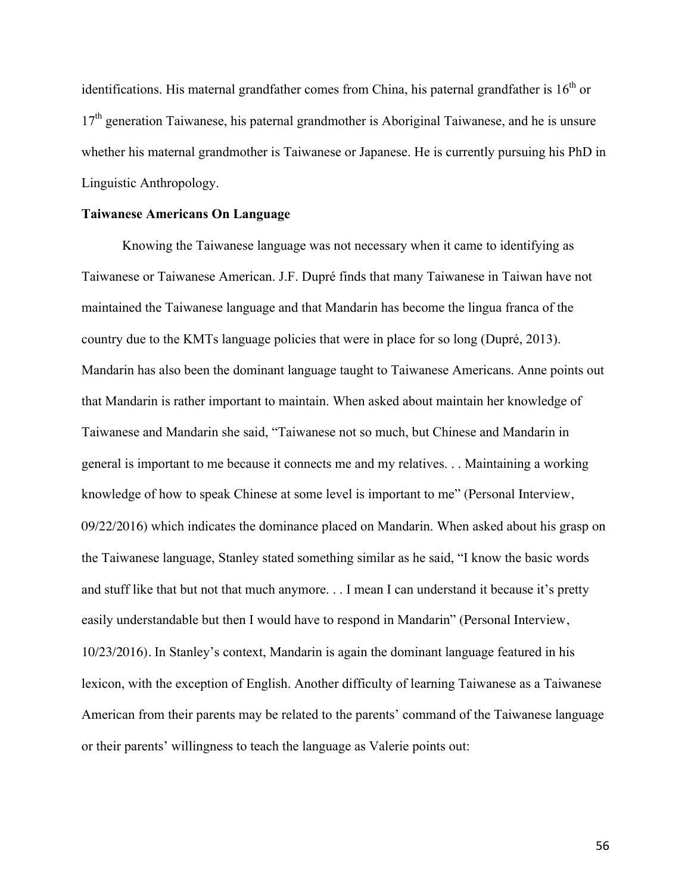identifications. His maternal grandfather comes from China, his paternal grandfather is  $16<sup>th</sup>$  or  $17<sup>th</sup>$  generation Taiwanese, his paternal grandmother is Aboriginal Taiwanese, and he is unsure whether his maternal grandmother is Taiwanese or Japanese. He is currently pursuing his PhD in Linguistic Anthropology.

#### **Taiwanese Americans On Language**

Knowing the Taiwanese language was not necessary when it came to identifying as Taiwanese or Taiwanese American. J.F. Dupré finds that many Taiwanese in Taiwan have not maintained the Taiwanese language and that Mandarin has become the lingua franca of the country due to the KMTs language policies that were in place for so long (Dupré, 2013). Mandarin has also been the dominant language taught to Taiwanese Americans. Anne points out that Mandarin is rather important to maintain. When asked about maintain her knowledge of Taiwanese and Mandarin she said, "Taiwanese not so much, but Chinese and Mandarin in general is important to me because it connects me and my relatives. . . Maintaining a working knowledge of how to speak Chinese at some level is important to me" (Personal Interview, 09/22/2016) which indicates the dominance placed on Mandarin. When asked about his grasp on the Taiwanese language, Stanley stated something similar as he said, "I know the basic words and stuff like that but not that much anymore. . . I mean I can understand it because it's pretty easily understandable but then I would have to respond in Mandarin" (Personal Interview, 10/23/2016). In Stanley's context, Mandarin is again the dominant language featured in his lexicon, with the exception of English. Another difficulty of learning Taiwanese as a Taiwanese American from their parents may be related to the parents' command of the Taiwanese language or their parents' willingness to teach the language as Valerie points out: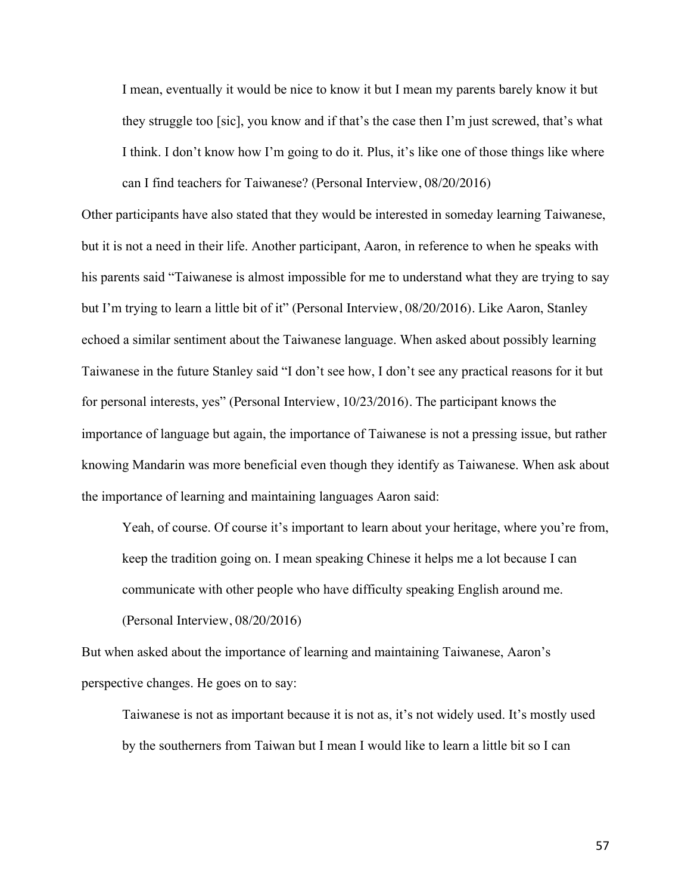I mean, eventually it would be nice to know it but I mean my parents barely know it but they struggle too [sic], you know and if that's the case then I'm just screwed, that's what I think. I don't know how I'm going to do it. Plus, it's like one of those things like where can I find teachers for Taiwanese? (Personal Interview, 08/20/2016)

Other participants have also stated that they would be interested in someday learning Taiwanese, but it is not a need in their life. Another participant, Aaron, in reference to when he speaks with his parents said "Taiwanese is almost impossible for me to understand what they are trying to say but I'm trying to learn a little bit of it" (Personal Interview, 08/20/2016). Like Aaron, Stanley echoed a similar sentiment about the Taiwanese language. When asked about possibly learning Taiwanese in the future Stanley said "I don't see how, I don't see any practical reasons for it but for personal interests, yes" (Personal Interview, 10/23/2016). The participant knows the importance of language but again, the importance of Taiwanese is not a pressing issue, but rather knowing Mandarin was more beneficial even though they identify as Taiwanese. When ask about the importance of learning and maintaining languages Aaron said:

Yeah, of course. Of course it's important to learn about your heritage, where you're from, keep the tradition going on. I mean speaking Chinese it helps me a lot because I can communicate with other people who have difficulty speaking English around me. (Personal Interview, 08/20/2016)

But when asked about the importance of learning and maintaining Taiwanese, Aaron's perspective changes. He goes on to say:

Taiwanese is not as important because it is not as, it's not widely used. It's mostly used by the southerners from Taiwan but I mean I would like to learn a little bit so I can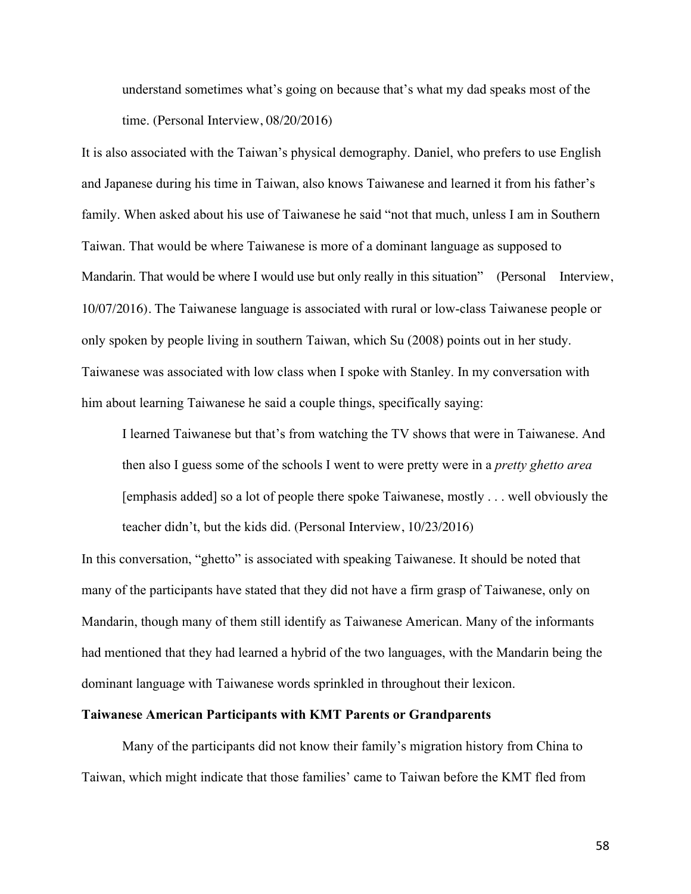understand sometimes what's going on because that's what my dad speaks most of the time. (Personal Interview, 08/20/2016)

It is also associated with the Taiwan's physical demography. Daniel, who prefers to use English and Japanese during his time in Taiwan, also knows Taiwanese and learned it from his father's family. When asked about his use of Taiwanese he said "not that much, unless I am in Southern Taiwan. That would be where Taiwanese is more of a dominant language as supposed to Mandarin. That would be where I would use but only really in this situation" (Personal Interview, 10/07/2016). The Taiwanese language is associated with rural or low-class Taiwanese people or only spoken by people living in southern Taiwan, which Su (2008) points out in her study. Taiwanese was associated with low class when I spoke with Stanley. In my conversation with him about learning Taiwanese he said a couple things, specifically saying:

I learned Taiwanese but that's from watching the TV shows that were in Taiwanese. And then also I guess some of the schools I went to were pretty were in a *pretty ghetto area* [emphasis added] so a lot of people there spoke Taiwanese, mostly . . . well obviously the teacher didn't, but the kids did. (Personal Interview, 10/23/2016)

In this conversation, "ghetto" is associated with speaking Taiwanese. It should be noted that many of the participants have stated that they did not have a firm grasp of Taiwanese, only on Mandarin, though many of them still identify as Taiwanese American. Many of the informants had mentioned that they had learned a hybrid of the two languages, with the Mandarin being the dominant language with Taiwanese words sprinkled in throughout their lexicon.

# **Taiwanese American Participants with KMT Parents or Grandparents**

Many of the participants did not know their family's migration history from China to Taiwan, which might indicate that those families' came to Taiwan before the KMT fled from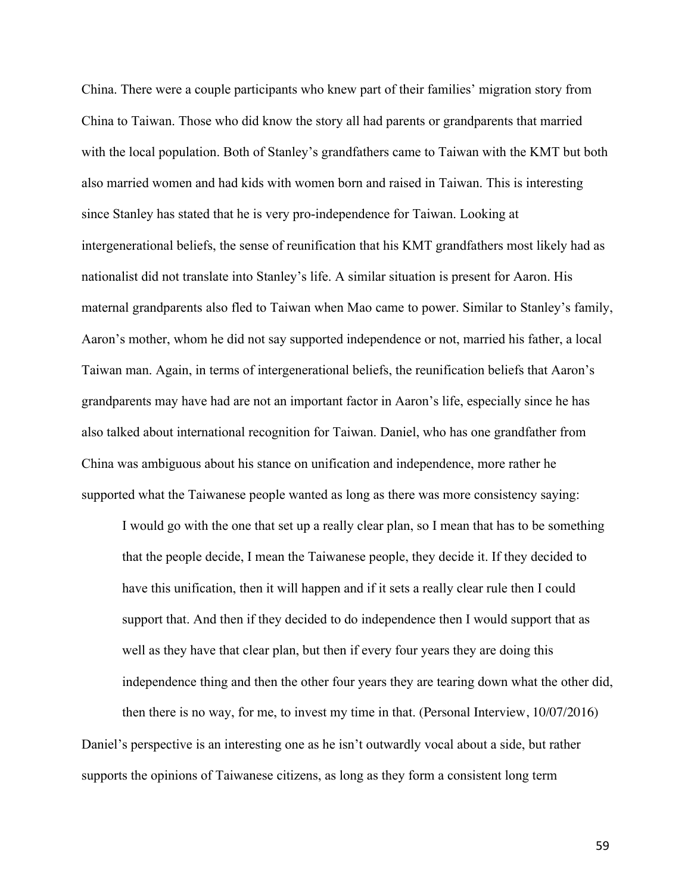China. There were a couple participants who knew part of their families' migration story from China to Taiwan. Those who did know the story all had parents or grandparents that married with the local population. Both of Stanley's grandfathers came to Taiwan with the KMT but both also married women and had kids with women born and raised in Taiwan. This is interesting since Stanley has stated that he is very pro-independence for Taiwan. Looking at intergenerational beliefs, the sense of reunification that his KMT grandfathers most likely had as nationalist did not translate into Stanley's life. A similar situation is present for Aaron. His maternal grandparents also fled to Taiwan when Mao came to power. Similar to Stanley's family, Aaron's mother, whom he did not say supported independence or not, married his father, a local Taiwan man. Again, in terms of intergenerational beliefs, the reunification beliefs that Aaron's grandparents may have had are not an important factor in Aaron's life, especially since he has also talked about international recognition for Taiwan. Daniel, who has one grandfather from China was ambiguous about his stance on unification and independence, more rather he supported what the Taiwanese people wanted as long as there was more consistency saying:

I would go with the one that set up a really clear plan, so I mean that has to be something that the people decide, I mean the Taiwanese people, they decide it. If they decided to have this unification, then it will happen and if it sets a really clear rule then I could support that. And then if they decided to do independence then I would support that as well as they have that clear plan, but then if every four years they are doing this independence thing and then the other four years they are tearing down what the other did,

then there is no way, for me, to invest my time in that. (Personal Interview, 10/07/2016) Daniel's perspective is an interesting one as he isn't outwardly vocal about a side, but rather supports the opinions of Taiwanese citizens, as long as they form a consistent long term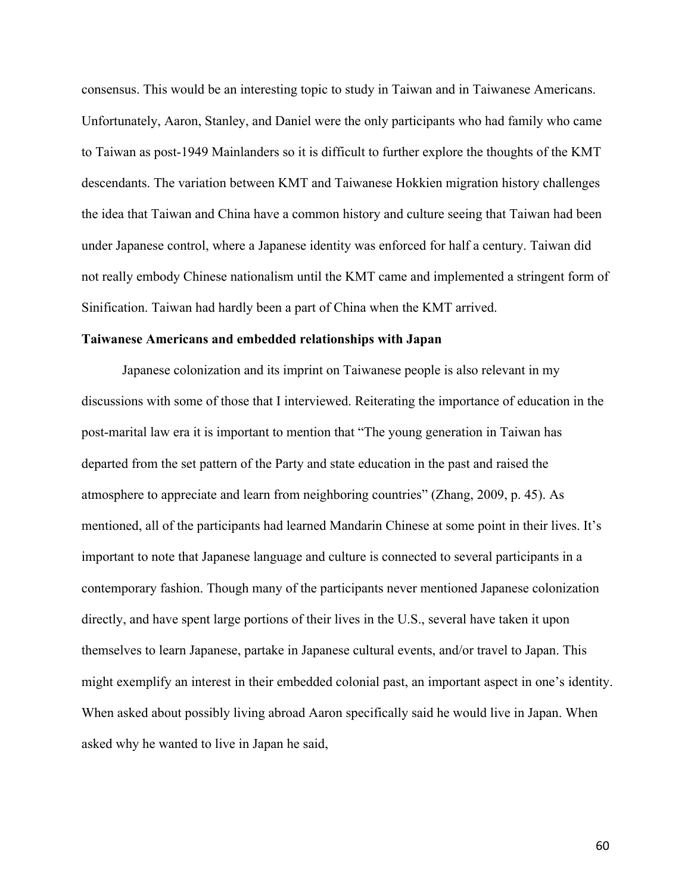consensus. This would be an interesting topic to study in Taiwan and in Taiwanese Americans. Unfortunately, Aaron, Stanley, and Daniel were the only participants who had family who came to Taiwan as post-1949 Mainlanders so it is difficult to further explore the thoughts of the KMT descendants. The variation between KMT and Taiwanese Hokkien migration history challenges the idea that Taiwan and China have a common history and culture seeing that Taiwan had been under Japanese control, where a Japanese identity was enforced for half a century. Taiwan did not really embody Chinese nationalism until the KMT came and implemented a stringent form of Sinification. Taiwan had hardly been a part of China when the KMT arrived.

#### **Taiwanese Americans and embedded relationships with Japan**

Japanese colonization and its imprint on Taiwanese people is also relevant in my discussions with some of those that I interviewed. Reiterating the importance of education in the post-marital law era it is important to mention that "The young generation in Taiwan has departed from the set pattern of the Party and state education in the past and raised the atmosphere to appreciate and learn from neighboring countries" (Zhang, 2009, p. 45). As mentioned, all of the participants had learned Mandarin Chinese at some point in their lives. It's important to note that Japanese language and culture is connected to several participants in a contemporary fashion. Though many of the participants never mentioned Japanese colonization directly, and have spent large portions of their lives in the U.S., several have taken it upon themselves to learn Japanese, partake in Japanese cultural events, and/or travel to Japan. This might exemplify an interest in their embedded colonial past, an important aspect in one's identity. When asked about possibly living abroad Aaron specifically said he would live in Japan. When asked why he wanted to live in Japan he said,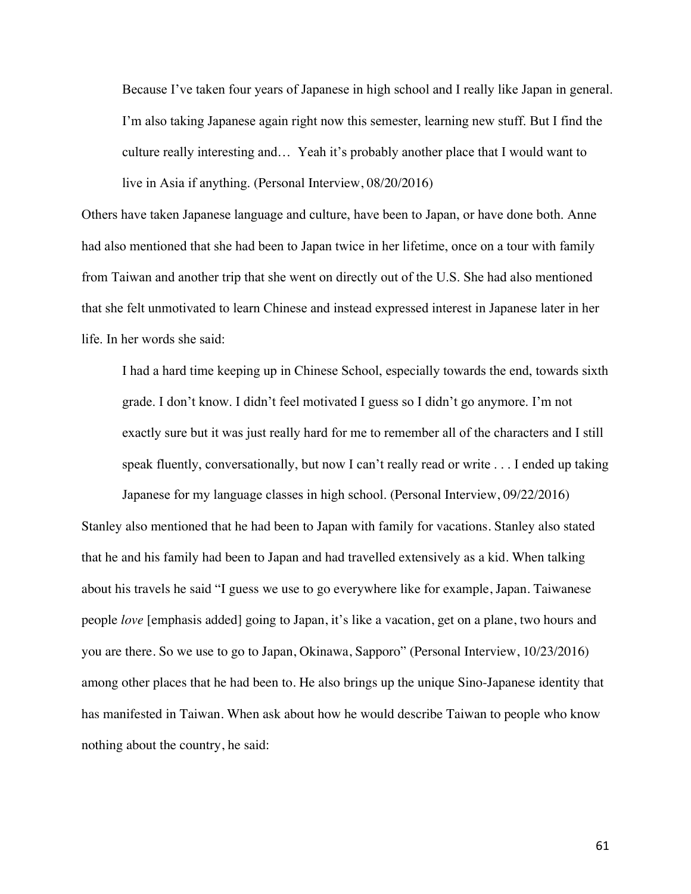Because I've taken four years of Japanese in high school and I really like Japan in general. I'm also taking Japanese again right now this semester, learning new stuff. But I find the culture really interesting and… Yeah it's probably another place that I would want to live in Asia if anything. (Personal Interview, 08/20/2016)

Others have taken Japanese language and culture, have been to Japan, or have done both. Anne had also mentioned that she had been to Japan twice in her lifetime, once on a tour with family from Taiwan and another trip that she went on directly out of the U.S. She had also mentioned that she felt unmotivated to learn Chinese and instead expressed interest in Japanese later in her life. In her words she said:

I had a hard time keeping up in Chinese School, especially towards the end, towards sixth grade. I don't know. I didn't feel motivated I guess so I didn't go anymore. I'm not exactly sure but it was just really hard for me to remember all of the characters and I still speak fluently, conversationally, but now I can't really read or write . . . I ended up taking

Japanese for my language classes in high school. (Personal Interview, 09/22/2016) Stanley also mentioned that he had been to Japan with family for vacations. Stanley also stated that he and his family had been to Japan and had travelled extensively as a kid. When talking about his travels he said "I guess we use to go everywhere like for example, Japan. Taiwanese people *love* [emphasis added] going to Japan, it's like a vacation, get on a plane, two hours and you are there. So we use to go to Japan, Okinawa, Sapporo" (Personal Interview, 10/23/2016) among other places that he had been to. He also brings up the unique Sino-Japanese identity that has manifested in Taiwan. When ask about how he would describe Taiwan to people who know nothing about the country, he said: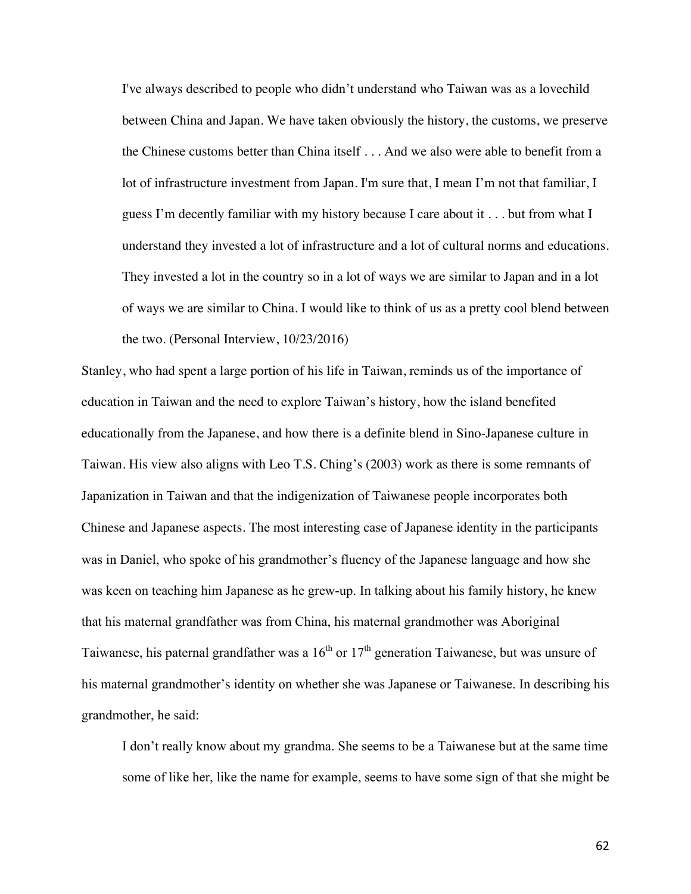I've always described to people who didn't understand who Taiwan was as a lovechild between China and Japan. We have taken obviously the history, the customs, we preserve the Chinese customs better than China itself . . . And we also were able to benefit from a lot of infrastructure investment from Japan. I'm sure that, I mean I'm not that familiar, I guess I'm decently familiar with my history because I care about it . . . but from what I understand they invested a lot of infrastructure and a lot of cultural norms and educations. They invested a lot in the country so in a lot of ways we are similar to Japan and in a lot of ways we are similar to China. I would like to think of us as a pretty cool blend between the two. (Personal Interview, 10/23/2016)

Stanley, who had spent a large portion of his life in Taiwan, reminds us of the importance of education in Taiwan and the need to explore Taiwan's history, how the island benefited educationally from the Japanese, and how there is a definite blend in Sino-Japanese culture in Taiwan. His view also aligns with Leo T.S. Ching's (2003) work as there is some remnants of Japanization in Taiwan and that the indigenization of Taiwanese people incorporates both Chinese and Japanese aspects. The most interesting case of Japanese identity in the participants was in Daniel, who spoke of his grandmother's fluency of the Japanese language and how she was keen on teaching him Japanese as he grew-up. In talking about his family history, he knew that his maternal grandfather was from China, his maternal grandmother was Aboriginal Taiwanese, his paternal grandfather was a  $16<sup>th</sup>$  or  $17<sup>th</sup>$  generation Taiwanese, but was unsure of his maternal grandmother's identity on whether she was Japanese or Taiwanese. In describing his grandmother, he said:

I don't really know about my grandma. She seems to be a Taiwanese but at the same time some of like her, like the name for example, seems to have some sign of that she might be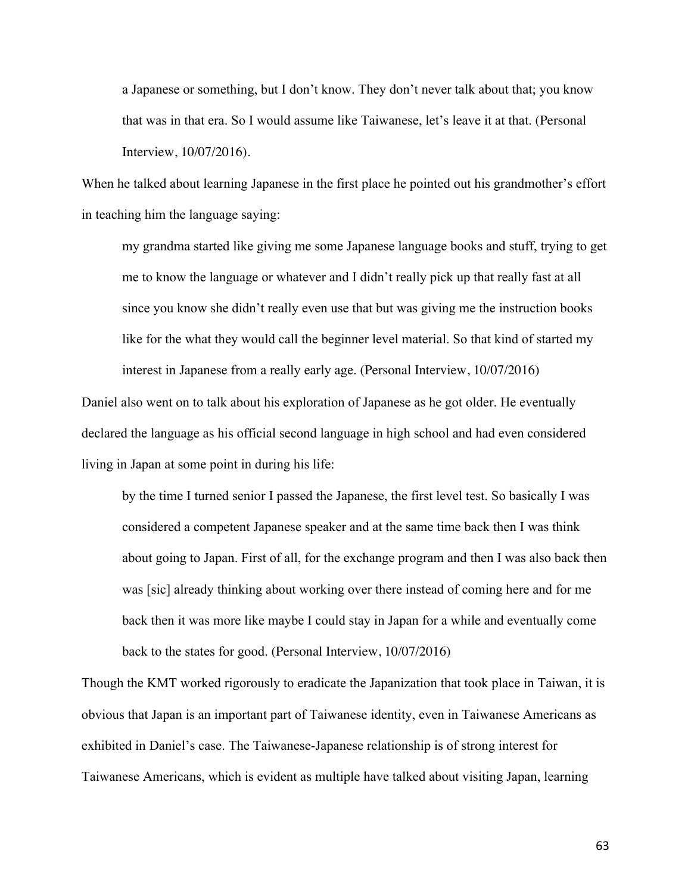a Japanese or something, but I don't know. They don't never talk about that; you know that was in that era. So I would assume like Taiwanese, let's leave it at that. (Personal Interview, 10/07/2016).

When he talked about learning Japanese in the first place he pointed out his grandmother's effort in teaching him the language saying:

my grandma started like giving me some Japanese language books and stuff, trying to get me to know the language or whatever and I didn't really pick up that really fast at all since you know she didn't really even use that but was giving me the instruction books like for the what they would call the beginner level material. So that kind of started my interest in Japanese from a really early age. (Personal Interview, 10/07/2016)

Daniel also went on to talk about his exploration of Japanese as he got older. He eventually declared the language as his official second language in high school and had even considered living in Japan at some point in during his life:

by the time I turned senior I passed the Japanese, the first level test. So basically I was considered a competent Japanese speaker and at the same time back then I was think about going to Japan. First of all, for the exchange program and then I was also back then was [sic] already thinking about working over there instead of coming here and for me back then it was more like maybe I could stay in Japan for a while and eventually come back to the states for good. (Personal Interview, 10/07/2016)

Though the KMT worked rigorously to eradicate the Japanization that took place in Taiwan, it is obvious that Japan is an important part of Taiwanese identity, even in Taiwanese Americans as exhibited in Daniel's case. The Taiwanese-Japanese relationship is of strong interest for Taiwanese Americans, which is evident as multiple have talked about visiting Japan, learning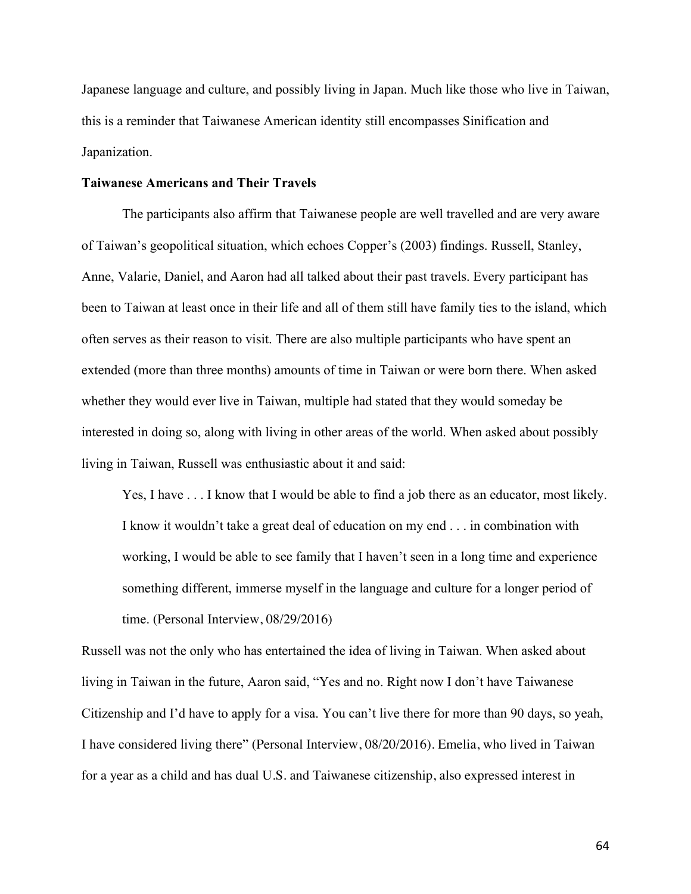Japanese language and culture, and possibly living in Japan. Much like those who live in Taiwan, this is a reminder that Taiwanese American identity still encompasses Sinification and Japanization.

### **Taiwanese Americans and Their Travels**

The participants also affirm that Taiwanese people are well travelled and are very aware of Taiwan's geopolitical situation, which echoes Copper's (2003) findings. Russell, Stanley, Anne, Valarie, Daniel, and Aaron had all talked about their past travels. Every participant has been to Taiwan at least once in their life and all of them still have family ties to the island, which often serves as their reason to visit. There are also multiple participants who have spent an extended (more than three months) amounts of time in Taiwan or were born there. When asked whether they would ever live in Taiwan, multiple had stated that they would someday be interested in doing so, along with living in other areas of the world. When asked about possibly living in Taiwan, Russell was enthusiastic about it and said:

Yes, I have  $\dots$  I know that I would be able to find a job there as an educator, most likely. I know it wouldn't take a great deal of education on my end . . . in combination with working, I would be able to see family that I haven't seen in a long time and experience something different, immerse myself in the language and culture for a longer period of time. (Personal Interview, 08/29/2016)

Russell was not the only who has entertained the idea of living in Taiwan. When asked about living in Taiwan in the future, Aaron said, "Yes and no. Right now I don't have Taiwanese Citizenship and I'd have to apply for a visa. You can't live there for more than 90 days, so yeah, I have considered living there" (Personal Interview, 08/20/2016). Emelia, who lived in Taiwan for a year as a child and has dual U.S. and Taiwanese citizenship, also expressed interest in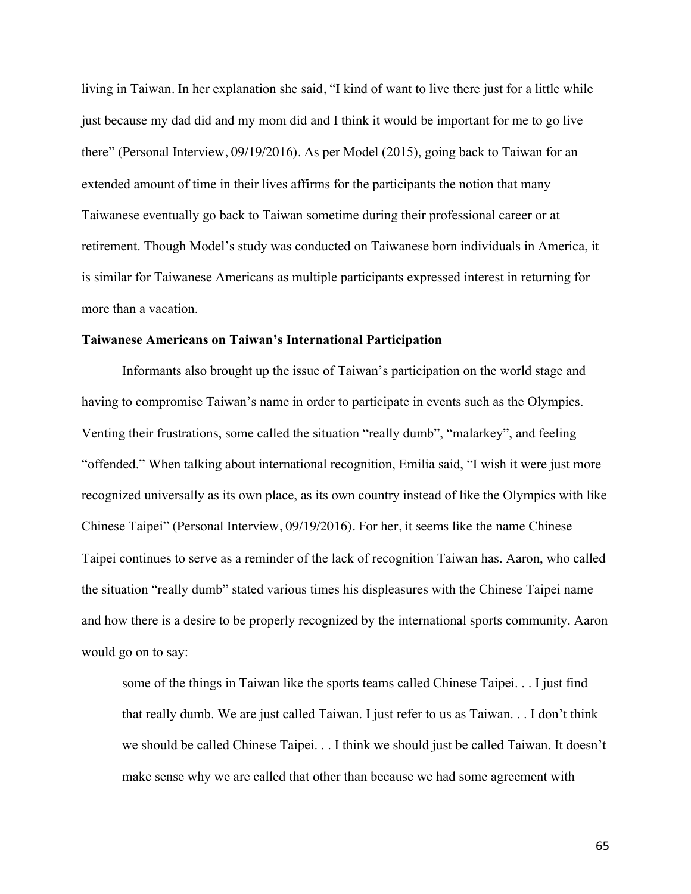living in Taiwan. In her explanation she said, "I kind of want to live there just for a little while just because my dad did and my mom did and I think it would be important for me to go live there" (Personal Interview, 09/19/2016). As per Model (2015), going back to Taiwan for an extended amount of time in their lives affirms for the participants the notion that many Taiwanese eventually go back to Taiwan sometime during their professional career or at retirement. Though Model's study was conducted on Taiwanese born individuals in America, it is similar for Taiwanese Americans as multiple participants expressed interest in returning for more than a vacation.

#### **Taiwanese Americans on Taiwan's International Participation**

Informants also brought up the issue of Taiwan's participation on the world stage and having to compromise Taiwan's name in order to participate in events such as the Olympics. Venting their frustrations, some called the situation "really dumb", "malarkey", and feeling "offended." When talking about international recognition, Emilia said, "I wish it were just more recognized universally as its own place, as its own country instead of like the Olympics with like Chinese Taipei" (Personal Interview, 09/19/2016). For her, it seems like the name Chinese Taipei continues to serve as a reminder of the lack of recognition Taiwan has. Aaron, who called the situation "really dumb" stated various times his displeasures with the Chinese Taipei name and how there is a desire to be properly recognized by the international sports community. Aaron would go on to say:

some of the things in Taiwan like the sports teams called Chinese Taipei. . . I just find that really dumb. We are just called Taiwan. I just refer to us as Taiwan. . . I don't think we should be called Chinese Taipei. . . I think we should just be called Taiwan. It doesn't make sense why we are called that other than because we had some agreement with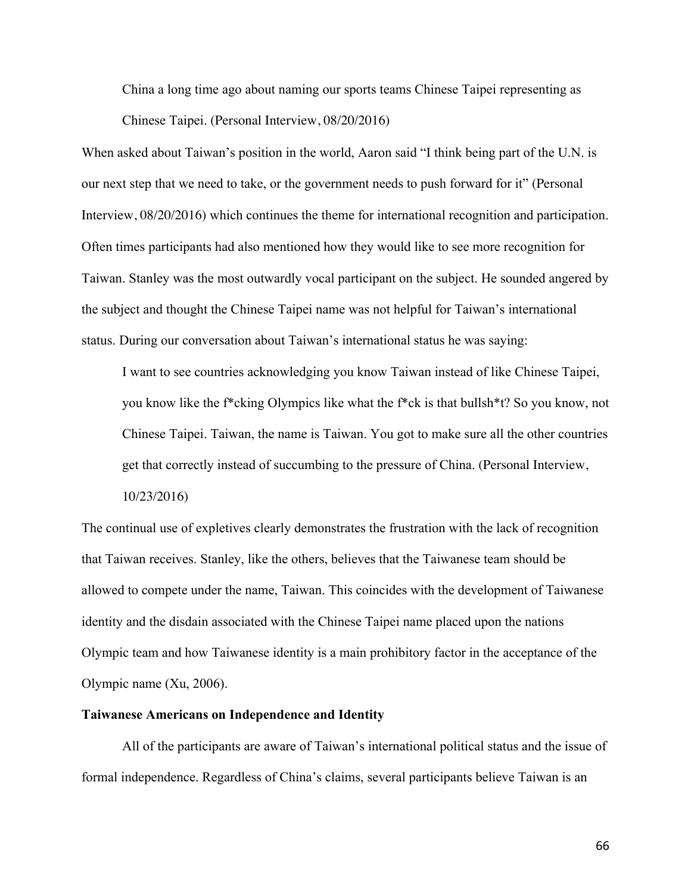China a long time ago about naming our sports teams Chinese Taipei representing as Chinese Taipei. (Personal Interview, 08/20/2016)

When asked about Taiwan's position in the world, Aaron said "I think being part of the U.N. is our next step that we need to take, or the government needs to push forward for it" (Personal Interview, 08/20/2016) which continues the theme for international recognition and participation. Often times participants had also mentioned how they would like to see more recognition for Taiwan. Stanley was the most outwardly vocal participant on the subject. He sounded angered by the subject and thought the Chinese Taipei name was not helpful for Taiwan's international status. During our conversation about Taiwan's international status he was saying:

I want to see countries acknowledging you know Taiwan instead of like Chinese Taipei, you know like the f\*cking Olympics like what the f\*ck is that bullsh\*t? So you know, not Chinese Taipei. Taiwan, the name is Taiwan. You got to make sure all the other countries get that correctly instead of succumbing to the pressure of China. (Personal Interview, 10/23/2016)

The continual use of expletives clearly demonstrates the frustration with the lack of recognition that Taiwan receives. Stanley, like the others, believes that the Taiwanese team should be allowed to compete under the name, Taiwan. This coincides with the development of Taiwanese identity and the disdain associated with the Chinese Taipei name placed upon the nations Olympic team and how Taiwanese identity is a main prohibitory factor in the acceptance of the Olympic name (Xu, 2006).

# **Taiwanese Americans on Independence and Identity**

All of the participants are aware of Taiwan's international political status and the issue of formal independence. Regardless of China's claims, several participants believe Taiwan is an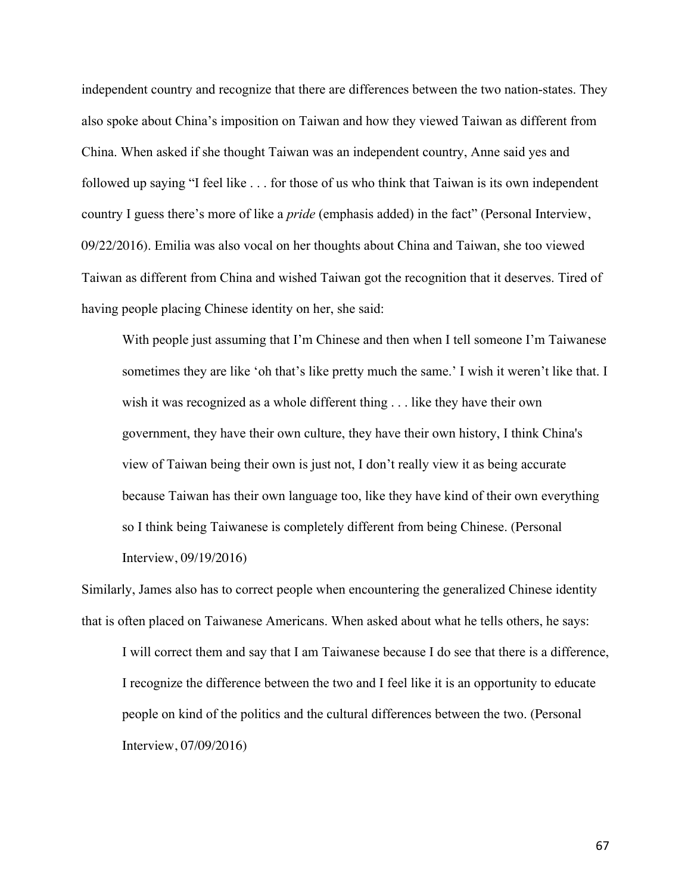independent country and recognize that there are differences between the two nation-states. They also spoke about China's imposition on Taiwan and how they viewed Taiwan as different from China. When asked if she thought Taiwan was an independent country, Anne said yes and followed up saying "I feel like . . . for those of us who think that Taiwan is its own independent country I guess there's more of like a *pride* (emphasis added) in the fact" (Personal Interview, 09/22/2016). Emilia was also vocal on her thoughts about China and Taiwan, she too viewed Taiwan as different from China and wished Taiwan got the recognition that it deserves. Tired of having people placing Chinese identity on her, she said:

With people just assuming that I'm Chinese and then when I tell someone I'm Taiwanese sometimes they are like 'oh that's like pretty much the same.' I wish it weren't like that. I wish it was recognized as a whole different thing . . . like they have their own government, they have their own culture, they have their own history, I think China's view of Taiwan being their own is just not, I don't really view it as being accurate because Taiwan has their own language too, like they have kind of their own everything so I think being Taiwanese is completely different from being Chinese. (Personal Interview, 09/19/2016)

Similarly, James also has to correct people when encountering the generalized Chinese identity that is often placed on Taiwanese Americans. When asked about what he tells others, he says: I will correct them and say that I am Taiwanese because I do see that there is a difference, I recognize the difference between the two and I feel like it is an opportunity to educate people on kind of the politics and the cultural differences between the two. (Personal

Interview, 07/09/2016)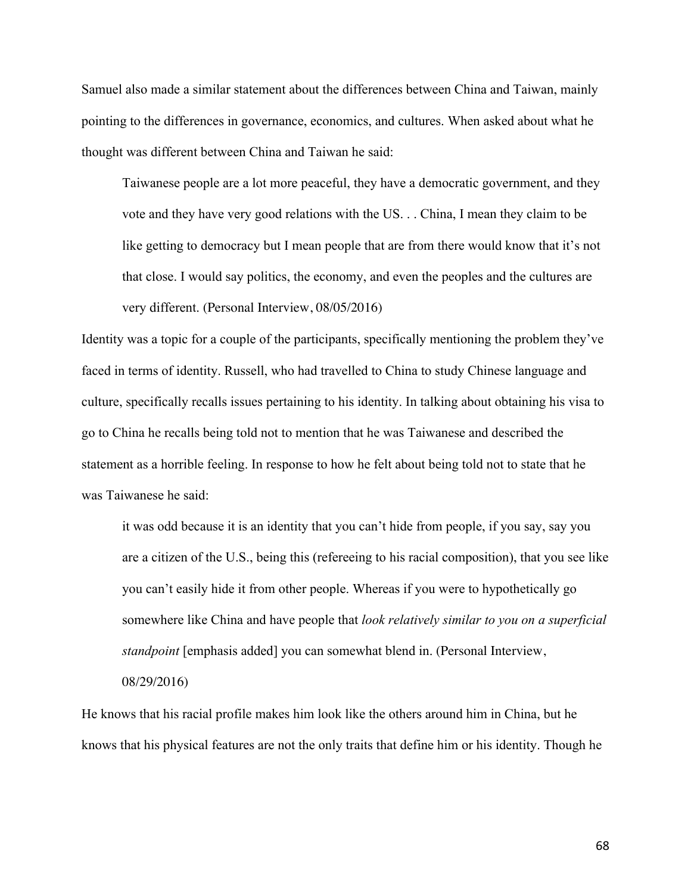Samuel also made a similar statement about the differences between China and Taiwan, mainly pointing to the differences in governance, economics, and cultures. When asked about what he thought was different between China and Taiwan he said:

Taiwanese people are a lot more peaceful, they have a democratic government, and they vote and they have very good relations with the US. . . China, I mean they claim to be like getting to democracy but I mean people that are from there would know that it's not that close. I would say politics, the economy, and even the peoples and the cultures are very different. (Personal Interview, 08/05/2016)

Identity was a topic for a couple of the participants, specifically mentioning the problem they've faced in terms of identity. Russell, who had travelled to China to study Chinese language and culture, specifically recalls issues pertaining to his identity. In talking about obtaining his visa to go to China he recalls being told not to mention that he was Taiwanese and described the statement as a horrible feeling. In response to how he felt about being told not to state that he was Taiwanese he said:

it was odd because it is an identity that you can't hide from people, if you say, say you are a citizen of the U.S., being this (refereeing to his racial composition), that you see like you can't easily hide it from other people. Whereas if you were to hypothetically go somewhere like China and have people that *look relatively similar to you on a superficial standpoint* [emphasis added] you can somewhat blend in. (Personal Interview, 08/29/2016)

He knows that his racial profile makes him look like the others around him in China, but he knows that his physical features are not the only traits that define him or his identity. Though he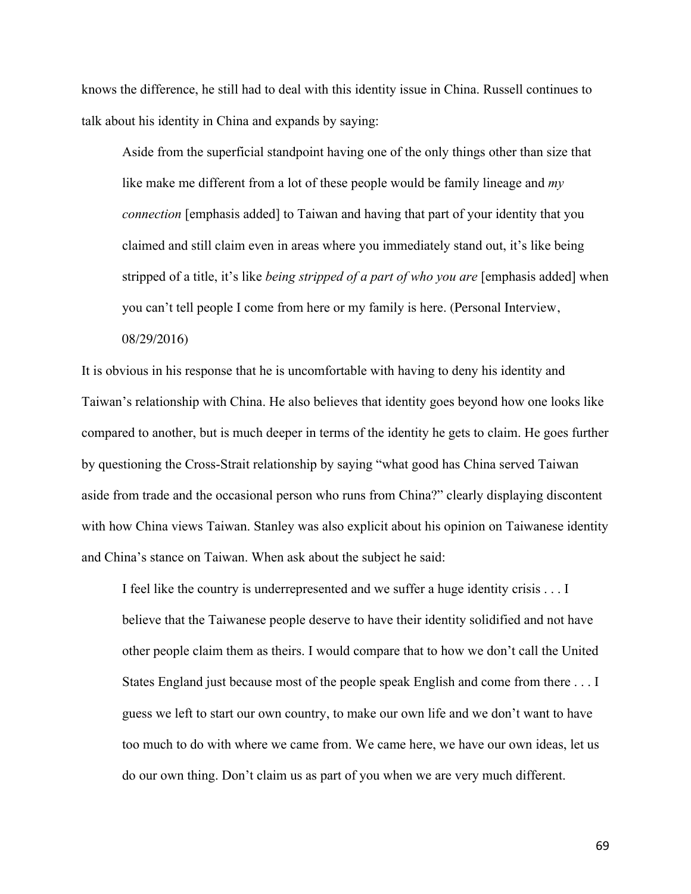knows the difference, he still had to deal with this identity issue in China. Russell continues to talk about his identity in China and expands by saying:

Aside from the superficial standpoint having one of the only things other than size that like make me different from a lot of these people would be family lineage and *my connection* [emphasis added] to Taiwan and having that part of your identity that you claimed and still claim even in areas where you immediately stand out, it's like being stripped of a title, it's like *being stripped of a part of who you are* [emphasis added] when you can't tell people I come from here or my family is here. (Personal Interview, 08/29/2016)

It is obvious in his response that he is uncomfortable with having to deny his identity and Taiwan's relationship with China. He also believes that identity goes beyond how one looks like compared to another, but is much deeper in terms of the identity he gets to claim. He goes further by questioning the Cross-Strait relationship by saying "what good has China served Taiwan aside from trade and the occasional person who runs from China?" clearly displaying discontent with how China views Taiwan. Stanley was also explicit about his opinion on Taiwanese identity and China's stance on Taiwan. When ask about the subject he said:

I feel like the country is underrepresented and we suffer a huge identity crisis . . . I believe that the Taiwanese people deserve to have their identity solidified and not have other people claim them as theirs. I would compare that to how we don't call the United States England just because most of the people speak English and come from there . . . I guess we left to start our own country, to make our own life and we don't want to have too much to do with where we came from. We came here, we have our own ideas, let us do our own thing. Don't claim us as part of you when we are very much different.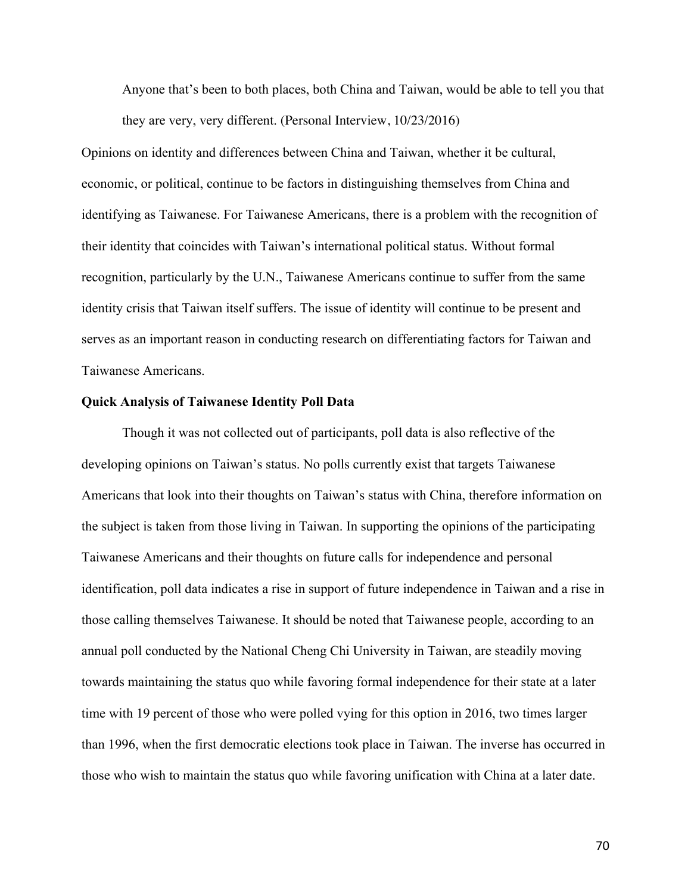Anyone that's been to both places, both China and Taiwan, would be able to tell you that they are very, very different. (Personal Interview, 10/23/2016)

Opinions on identity and differences between China and Taiwan, whether it be cultural, economic, or political, continue to be factors in distinguishing themselves from China and identifying as Taiwanese. For Taiwanese Americans, there is a problem with the recognition of their identity that coincides with Taiwan's international political status. Without formal recognition, particularly by the U.N., Taiwanese Americans continue to suffer from the same identity crisis that Taiwan itself suffers. The issue of identity will continue to be present and serves as an important reason in conducting research on differentiating factors for Taiwan and Taiwanese Americans.

#### **Quick Analysis of Taiwanese Identity Poll Data**

Though it was not collected out of participants, poll data is also reflective of the developing opinions on Taiwan's status. No polls currently exist that targets Taiwanese Americans that look into their thoughts on Taiwan's status with China, therefore information on the subject is taken from those living in Taiwan. In supporting the opinions of the participating Taiwanese Americans and their thoughts on future calls for independence and personal identification, poll data indicates a rise in support of future independence in Taiwan and a rise in those calling themselves Taiwanese. It should be noted that Taiwanese people, according to an annual poll conducted by the National Cheng Chi University in Taiwan, are steadily moving towards maintaining the status quo while favoring formal independence for their state at a later time with 19 percent of those who were polled vying for this option in 2016, two times larger than 1996, when the first democratic elections took place in Taiwan. The inverse has occurred in those who wish to maintain the status quo while favoring unification with China at a later date.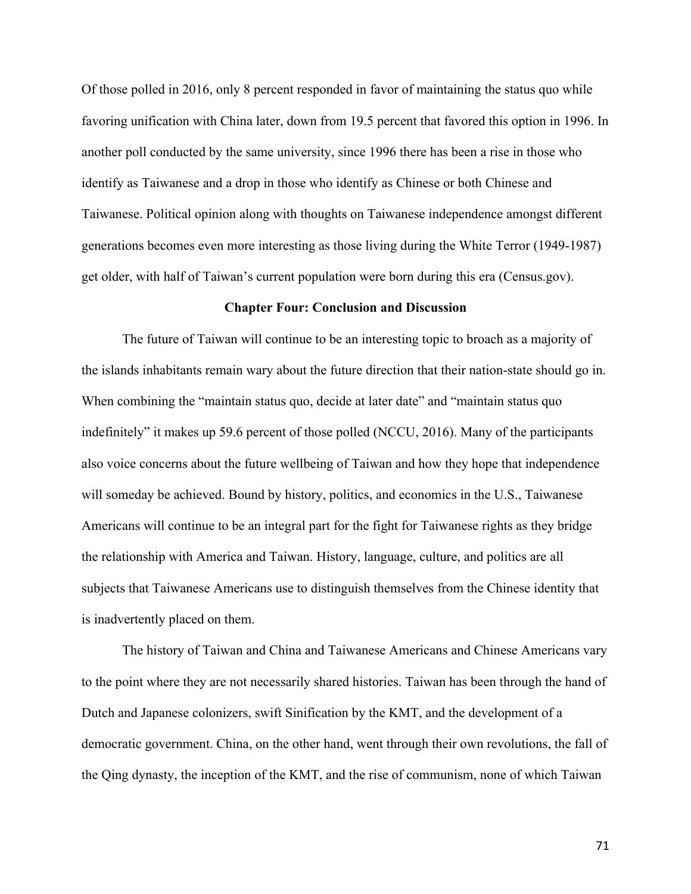Of those polled in 2016, only 8 percent responded in favor of maintaining the status quo while favoring unification with China later, down from 19.5 percent that favored this option in 1996. In another poll conducted by the same university, since 1996 there has been a rise in those who identify as Taiwanese and a drop in those who identify as Chinese or both Chinese and Taiwanese. Political opinion along with thoughts on Taiwanese independence amongst different generations becomes even more interesting as those living during the White Terror (1949-1987) get older, with half of Taiwan's current population were born during this era (Census.gov).

#### **Chapter Four: Conclusion and Discussion**

The future of Taiwan will continue to be an interesting topic to broach as a majority of the islands inhabitants remain wary about the future direction that their nation-state should go in. When combining the "maintain status quo, decide at later date" and "maintain status quo indefinitely" it makes up 59.6 percent of those polled (NCCU, 2016). Many of the participants also voice concerns about the future wellbeing of Taiwan and how they hope that independence will someday be achieved. Bound by history, politics, and economics in the U.S., Taiwanese Americans will continue to be an integral part for the fight for Taiwanese rights as they bridge the relationship with America and Taiwan. History, language, culture, and politics are all subjects that Taiwanese Americans use to distinguish themselves from the Chinese identity that is inadvertently placed on them.

The history of Taiwan and China and Taiwanese Americans and Chinese Americans vary to the point where they are not necessarily shared histories. Taiwan has been through the hand of Dutch and Japanese colonizers, swift Sinification by the KMT, and the development of a democratic government. China, on the other hand, went through their own revolutions, the fall of the Qing dynasty, the inception of the KMT, and the rise of communism, none of which Taiwan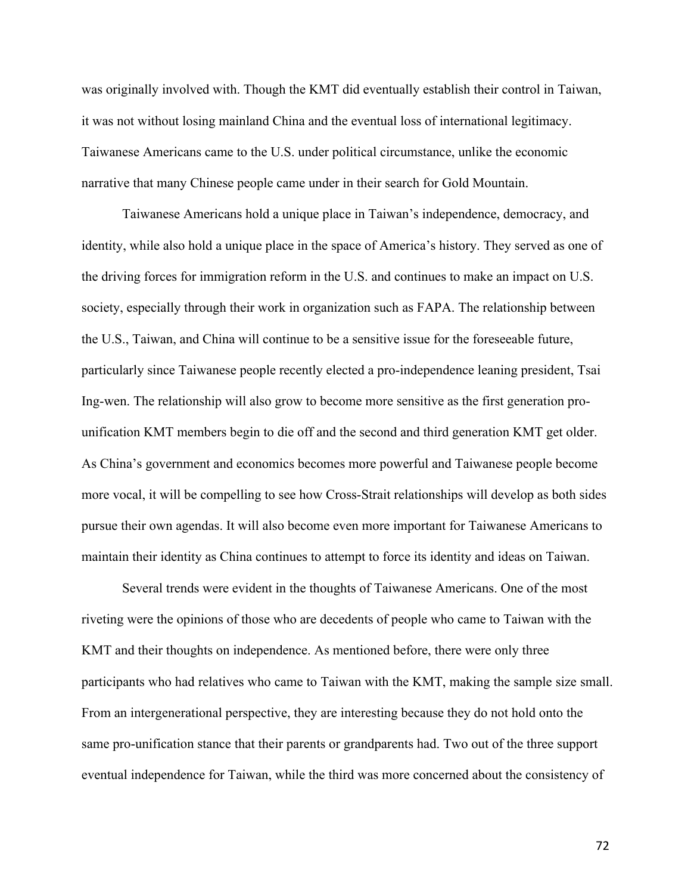was originally involved with. Though the KMT did eventually establish their control in Taiwan, it was not without losing mainland China and the eventual loss of international legitimacy. Taiwanese Americans came to the U.S. under political circumstance, unlike the economic narrative that many Chinese people came under in their search for Gold Mountain.

Taiwanese Americans hold a unique place in Taiwan's independence, democracy, and identity, while also hold a unique place in the space of America's history. They served as one of the driving forces for immigration reform in the U.S. and continues to make an impact on U.S. society, especially through their work in organization such as FAPA. The relationship between the U.S., Taiwan, and China will continue to be a sensitive issue for the foreseeable future, particularly since Taiwanese people recently elected a pro-independence leaning president, Tsai Ing-wen. The relationship will also grow to become more sensitive as the first generation prounification KMT members begin to die off and the second and third generation KMT get older. As China's government and economics becomes more powerful and Taiwanese people become more vocal, it will be compelling to see how Cross-Strait relationships will develop as both sides pursue their own agendas. It will also become even more important for Taiwanese Americans to maintain their identity as China continues to attempt to force its identity and ideas on Taiwan.

Several trends were evident in the thoughts of Taiwanese Americans. One of the most riveting were the opinions of those who are decedents of people who came to Taiwan with the KMT and their thoughts on independence. As mentioned before, there were only three participants who had relatives who came to Taiwan with the KMT, making the sample size small. From an intergenerational perspective, they are interesting because they do not hold onto the same pro-unification stance that their parents or grandparents had. Two out of the three support eventual independence for Taiwan, while the third was more concerned about the consistency of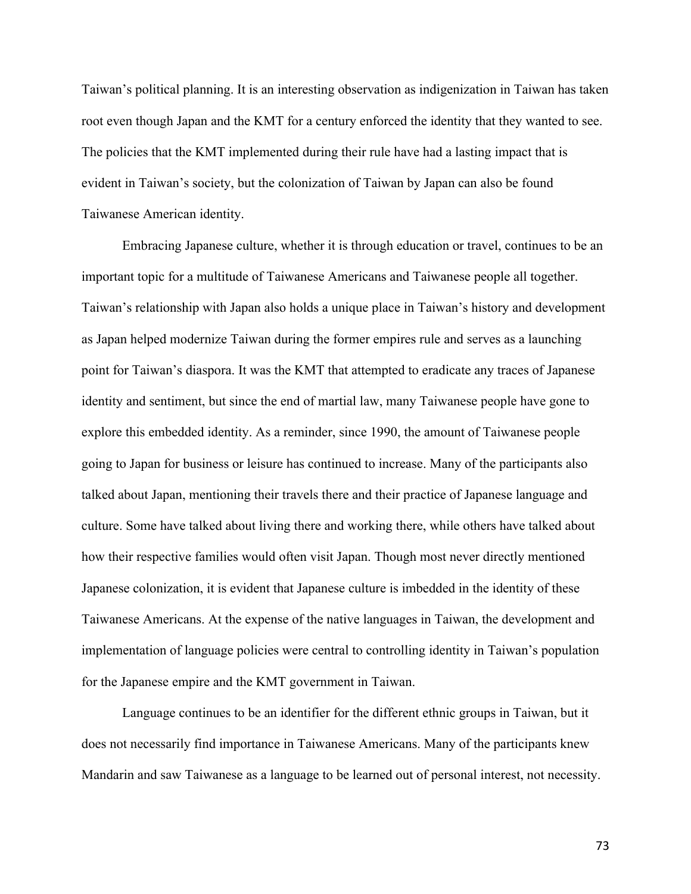Taiwan's political planning. It is an interesting observation as indigenization in Taiwan has taken root even though Japan and the KMT for a century enforced the identity that they wanted to see. The policies that the KMT implemented during their rule have had a lasting impact that is evident in Taiwan's society, but the colonization of Taiwan by Japan can also be found Taiwanese American identity.

Embracing Japanese culture, whether it is through education or travel, continues to be an important topic for a multitude of Taiwanese Americans and Taiwanese people all together. Taiwan's relationship with Japan also holds a unique place in Taiwan's history and development as Japan helped modernize Taiwan during the former empires rule and serves as a launching point for Taiwan's diaspora. It was the KMT that attempted to eradicate any traces of Japanese identity and sentiment, but since the end of martial law, many Taiwanese people have gone to explore this embedded identity. As a reminder, since 1990, the amount of Taiwanese people going to Japan for business or leisure has continued to increase. Many of the participants also talked about Japan, mentioning their travels there and their practice of Japanese language and culture. Some have talked about living there and working there, while others have talked about how their respective families would often visit Japan. Though most never directly mentioned Japanese colonization, it is evident that Japanese culture is imbedded in the identity of these Taiwanese Americans. At the expense of the native languages in Taiwan, the development and implementation of language policies were central to controlling identity in Taiwan's population for the Japanese empire and the KMT government in Taiwan.

Language continues to be an identifier for the different ethnic groups in Taiwan, but it does not necessarily find importance in Taiwanese Americans. Many of the participants knew Mandarin and saw Taiwanese as a language to be learned out of personal interest, not necessity.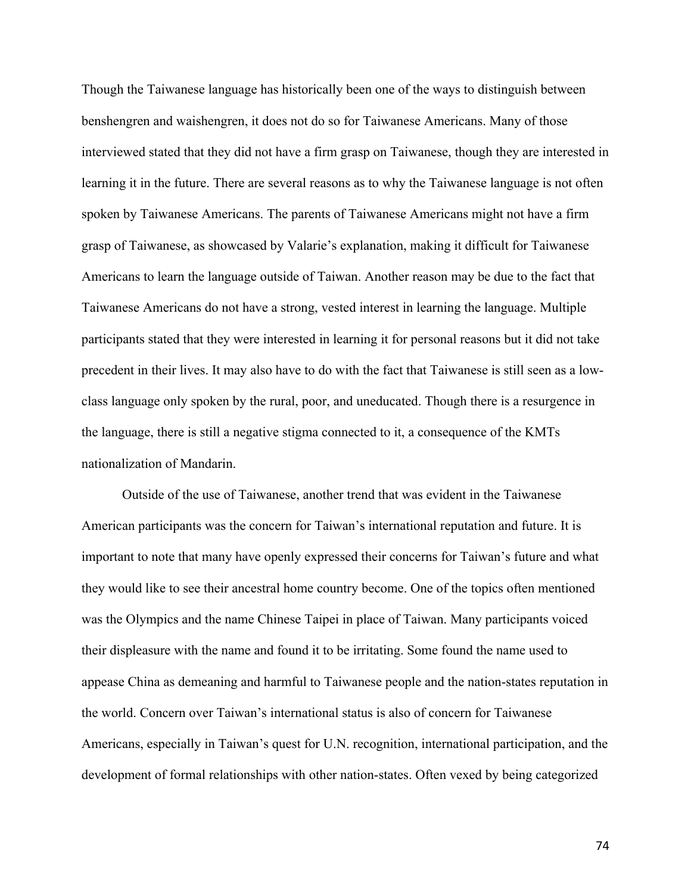Though the Taiwanese language has historically been one of the ways to distinguish between benshengren and waishengren, it does not do so for Taiwanese Americans. Many of those interviewed stated that they did not have a firm grasp on Taiwanese, though they are interested in learning it in the future. There are several reasons as to why the Taiwanese language is not often spoken by Taiwanese Americans. The parents of Taiwanese Americans might not have a firm grasp of Taiwanese, as showcased by Valarie's explanation, making it difficult for Taiwanese Americans to learn the language outside of Taiwan. Another reason may be due to the fact that Taiwanese Americans do not have a strong, vested interest in learning the language. Multiple participants stated that they were interested in learning it for personal reasons but it did not take precedent in their lives. It may also have to do with the fact that Taiwanese is still seen as a lowclass language only spoken by the rural, poor, and uneducated. Though there is a resurgence in the language, there is still a negative stigma connected to it, a consequence of the KMTs nationalization of Mandarin.

Outside of the use of Taiwanese, another trend that was evident in the Taiwanese American participants was the concern for Taiwan's international reputation and future. It is important to note that many have openly expressed their concerns for Taiwan's future and what they would like to see their ancestral home country become. One of the topics often mentioned was the Olympics and the name Chinese Taipei in place of Taiwan. Many participants voiced their displeasure with the name and found it to be irritating. Some found the name used to appease China as demeaning and harmful to Taiwanese people and the nation-states reputation in the world. Concern over Taiwan's international status is also of concern for Taiwanese Americans, especially in Taiwan's quest for U.N. recognition, international participation, and the development of formal relationships with other nation-states. Often vexed by being categorized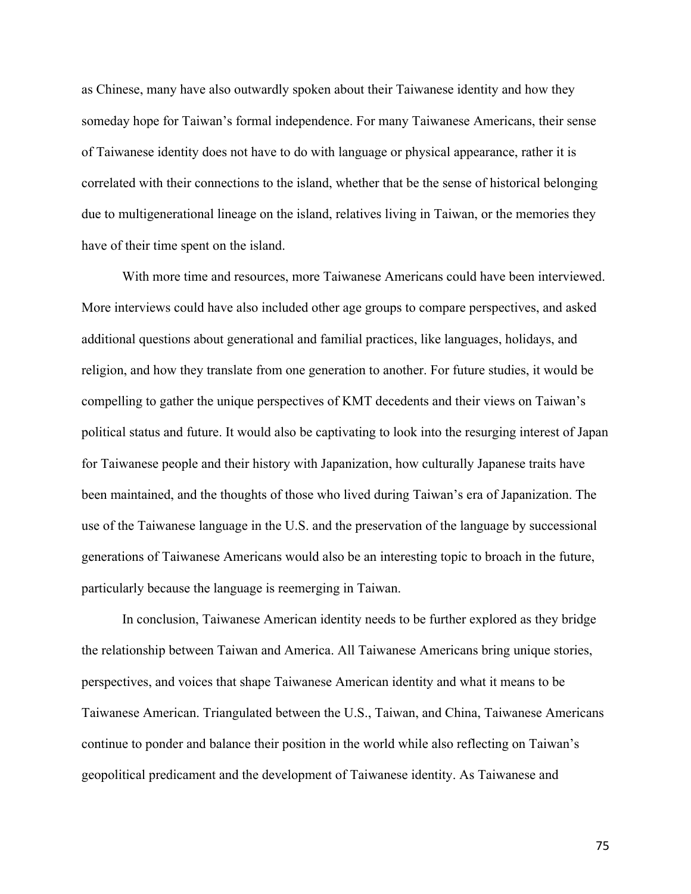as Chinese, many have also outwardly spoken about their Taiwanese identity and how they someday hope for Taiwan's formal independence. For many Taiwanese Americans, their sense of Taiwanese identity does not have to do with language or physical appearance, rather it is correlated with their connections to the island, whether that be the sense of historical belonging due to multigenerational lineage on the island, relatives living in Taiwan, or the memories they have of their time spent on the island.

With more time and resources, more Taiwanese Americans could have been interviewed. More interviews could have also included other age groups to compare perspectives, and asked additional questions about generational and familial practices, like languages, holidays, and religion, and how they translate from one generation to another. For future studies, it would be compelling to gather the unique perspectives of KMT decedents and their views on Taiwan's political status and future. It would also be captivating to look into the resurging interest of Japan for Taiwanese people and their history with Japanization, how culturally Japanese traits have been maintained, and the thoughts of those who lived during Taiwan's era of Japanization. The use of the Taiwanese language in the U.S. and the preservation of the language by successional generations of Taiwanese Americans would also be an interesting topic to broach in the future, particularly because the language is reemerging in Taiwan.

In conclusion, Taiwanese American identity needs to be further explored as they bridge the relationship between Taiwan and America. All Taiwanese Americans bring unique stories, perspectives, and voices that shape Taiwanese American identity and what it means to be Taiwanese American. Triangulated between the U.S., Taiwan, and China, Taiwanese Americans continue to ponder and balance their position in the world while also reflecting on Taiwan's geopolitical predicament and the development of Taiwanese identity. As Taiwanese and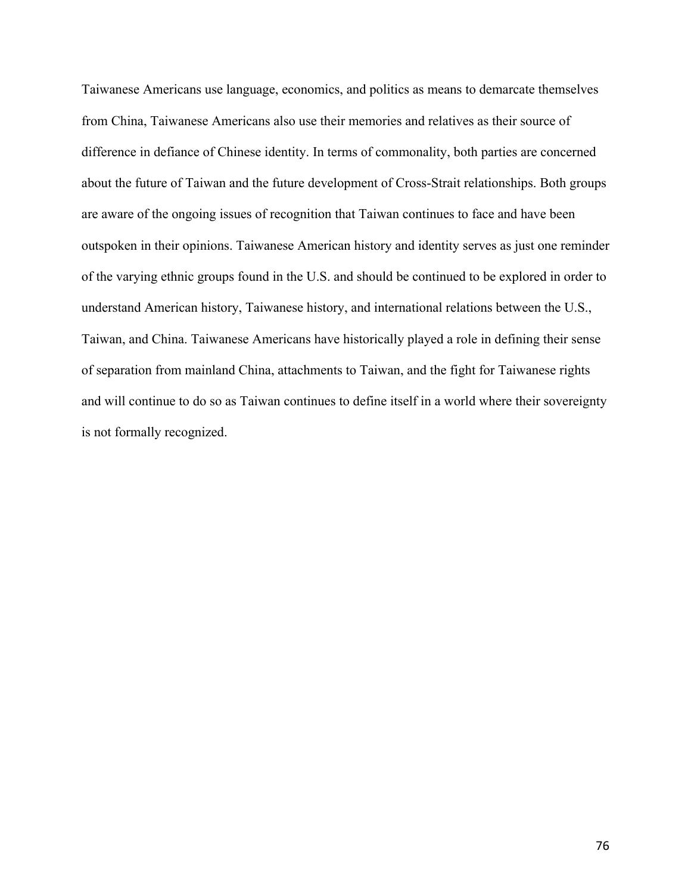Taiwanese Americans use language, economics, and politics as means to demarcate themselves from China, Taiwanese Americans also use their memories and relatives as their source of difference in defiance of Chinese identity. In terms of commonality, both parties are concerned about the future of Taiwan and the future development of Cross-Strait relationships. Both groups are aware of the ongoing issues of recognition that Taiwan continues to face and have been outspoken in their opinions. Taiwanese American history and identity serves as just one reminder of the varying ethnic groups found in the U.S. and should be continued to be explored in order to understand American history, Taiwanese history, and international relations between the U.S., Taiwan, and China. Taiwanese Americans have historically played a role in defining their sense of separation from mainland China, attachments to Taiwan, and the fight for Taiwanese rights and will continue to do so as Taiwan continues to define itself in a world where their sovereignty is not formally recognized.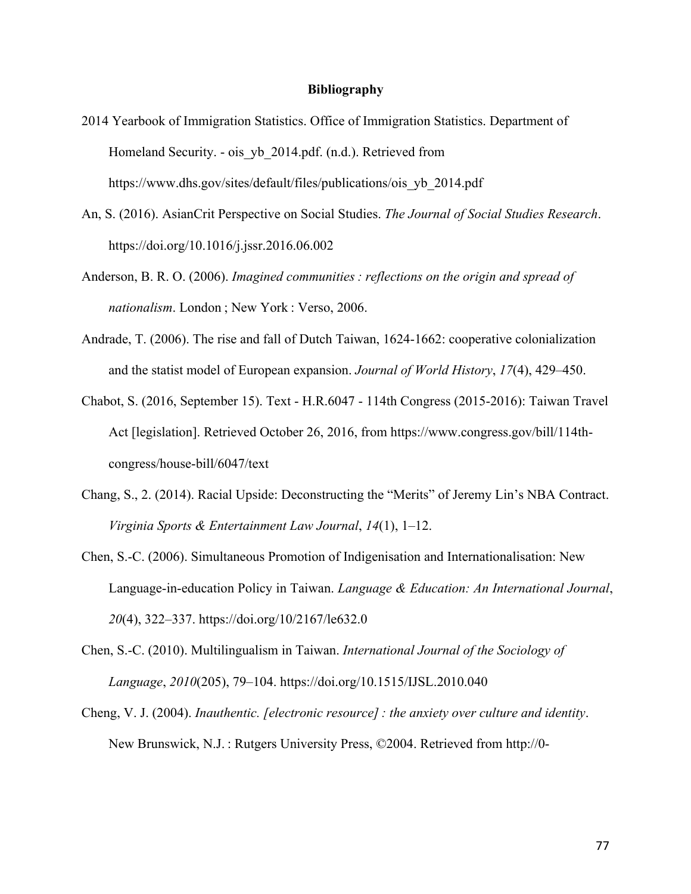### **Bibliography**

- 2014 Yearbook of Immigration Statistics. Office of Immigration Statistics. Department of Homeland Security. - ois yb 2014.pdf. (n.d.). Retrieved from https://www.dhs.gov/sites/default/files/publications/ois\_yb\_2014.pdf
- An, S. (2016). AsianCrit Perspective on Social Studies. *The Journal of Social Studies Research*. https://doi.org/10.1016/j.jssr.2016.06.002
- Anderson, B. R. O. (2006). *Imagined communities : reflections on the origin and spread of nationalism*. London ; New York : Verso, 2006.
- Andrade, T. (2006). The rise and fall of Dutch Taiwan, 1624-1662: cooperative colonialization and the statist model of European expansion. *Journal of World History*, *17*(4), 429–450.
- Chabot, S. (2016, September 15). Text H.R.6047 114th Congress (2015-2016): Taiwan Travel Act [legislation]. Retrieved October 26, 2016, from https://www.congress.gov/bill/114thcongress/house-bill/6047/text
- Chang, S., 2. (2014). Racial Upside: Deconstructing the "Merits" of Jeremy Lin's NBA Contract. *Virginia Sports & Entertainment Law Journal*, *14*(1), 1–12.
- Chen, S.-C. (2006). Simultaneous Promotion of Indigenisation and Internationalisation: New Language-in-education Policy in Taiwan. *Language & Education: An International Journal*, *20*(4), 322–337. https://doi.org/10/2167/le632.0
- Chen, S.-C. (2010). Multilingualism in Taiwan. *International Journal of the Sociology of Language*, *2010*(205), 79–104. https://doi.org/10.1515/IJSL.2010.040
- Cheng, V. J. (2004). *Inauthentic. [electronic resource] : the anxiety over culture and identity*. New Brunswick, N.J. : Rutgers University Press, ©2004. Retrieved from http://0-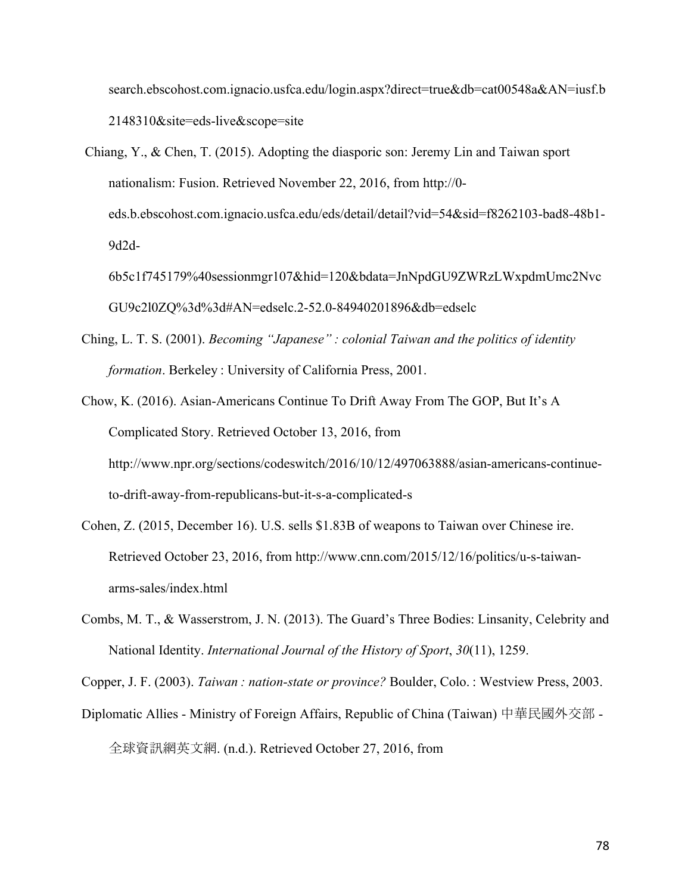search.ebscohost.com.ignacio.usfca.edu/login.aspx?direct=true&db=cat00548a&AN=iusf.b 2148310&site=eds-live&scope=site

Chiang, Y., & Chen, T. (2015). Adopting the diasporic son: Jeremy Lin and Taiwan sport nationalism: Fusion. Retrieved November 22, 2016, from http://0 eds.b.ebscohost.com.ignacio.usfca.edu/eds/detail/detail?vid=54&sid=f8262103-bad8-48b1- 9d2d-

6b5c1f745179%40sessionmgr107&hid=120&bdata=JnNpdGU9ZWRzLWxpdmUmc2Nvc GU9c2l0ZQ%3d%3d#AN=edselc.2-52.0-84940201896&db=edselc

- Ching, L. T. S. (2001). *Becoming "Japanese" : colonial Taiwan and the politics of identity formation*. Berkeley : University of California Press, 2001.
- Chow, K. (2016). Asian-Americans Continue To Drift Away From The GOP, But It's A Complicated Story. Retrieved October 13, 2016, from http://www.npr.org/sections/codeswitch/2016/10/12/497063888/asian-americans-continueto-drift-away-from-republicans-but-it-s-a-complicated-s
- Cohen, Z. (2015, December 16). U.S. sells \$1.83B of weapons to Taiwan over Chinese ire. Retrieved October 23, 2016, from http://www.cnn.com/2015/12/16/politics/u-s-taiwanarms-sales/index.html
- Combs, M. T., & Wasserstrom, J. N. (2013). The Guard's Three Bodies: Linsanity, Celebrity and National Identity. *International Journal of the History of Sport*, *30*(11), 1259.

Copper, J. F. (2003). *Taiwan : nation-state or province?* Boulder, Colo. : Westview Press, 2003.

Diplomatic Allies - Ministry of Foreign Affairs, Republic of China (Taiwan) 中華民國外交部 - 全球資訊網英文網. (n.d.). Retrieved October 27, 2016, from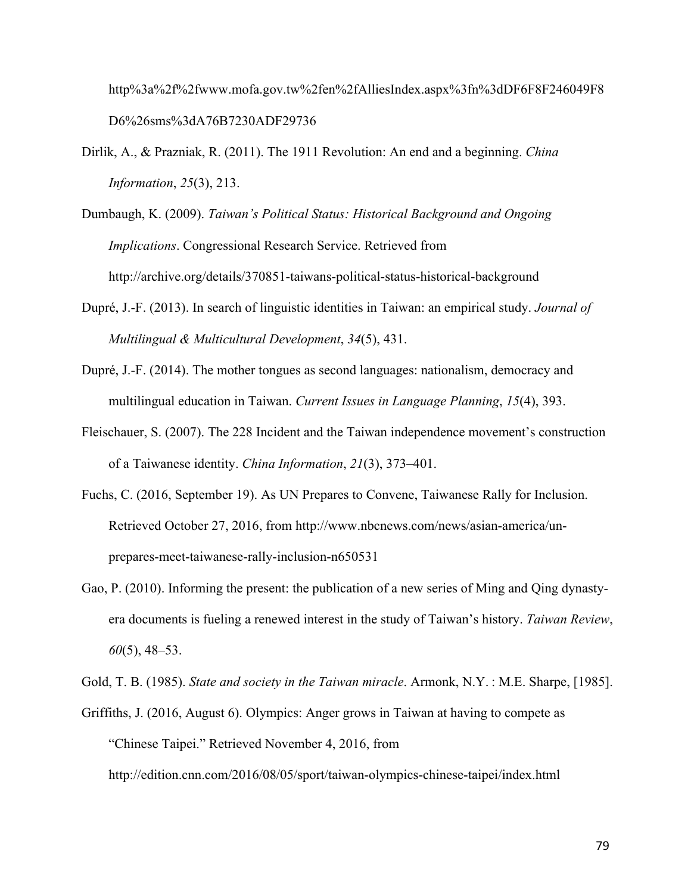http%3a%2f%2fwww.mofa.gov.tw%2fen%2fAlliesIndex.aspx%3fn%3dDF6F8F246049F8 D6%26sms%3dA76B7230ADF29736

- Dirlik, A., & Prazniak, R. (2011). The 1911 Revolution: An end and a beginning. *China Information*, *25*(3), 213.
- Dumbaugh, K. (2009). *Taiwan's Political Status: Historical Background and Ongoing Implications*. Congressional Research Service. Retrieved from http://archive.org/details/370851-taiwans-political-status-historical-background
- Dupré, J.-F. (2013). In search of linguistic identities in Taiwan: an empirical study. *Journal of Multilingual & Multicultural Development*, *34*(5), 431.
- Dupré, J.-F. (2014). The mother tongues as second languages: nationalism, democracy and multilingual education in Taiwan. *Current Issues in Language Planning*, *15*(4), 393.
- Fleischauer, S. (2007). The 228 Incident and the Taiwan independence movement's construction of a Taiwanese identity. *China Information*, *21*(3), 373–401.
- Fuchs, C. (2016, September 19). As UN Prepares to Convene, Taiwanese Rally for Inclusion. Retrieved October 27, 2016, from http://www.nbcnews.com/news/asian-america/unprepares-meet-taiwanese-rally-inclusion-n650531
- Gao, P. (2010). Informing the present: the publication of a new series of Ming and Qing dynastyera documents is fueling a renewed interest in the study of Taiwan's history. *Taiwan Review*, *60*(5), 48–53.

Gold, T. B. (1985). *State and society in the Taiwan miracle*. Armonk, N.Y. : M.E. Sharpe, [1985].

Griffiths, J. (2016, August 6). Olympics: Anger grows in Taiwan at having to compete as "Chinese Taipei." Retrieved November 4, 2016, from

http://edition.cnn.com/2016/08/05/sport/taiwan-olympics-chinese-taipei/index.html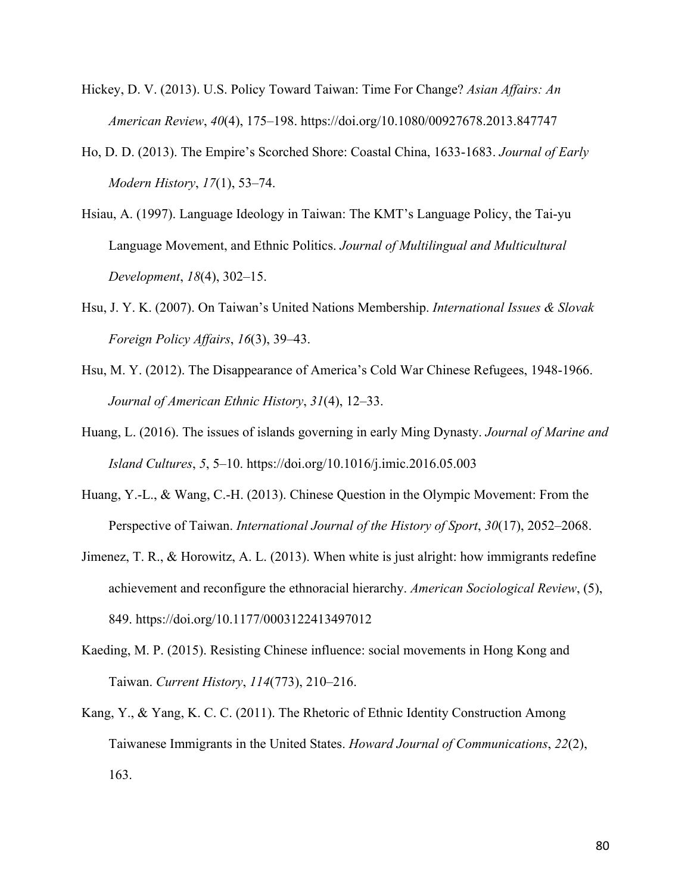- Hickey, D. V. (2013). U.S. Policy Toward Taiwan: Time For Change? *Asian Affairs: An American Review*, *40*(4), 175–198. https://doi.org/10.1080/00927678.2013.847747
- Ho, D. D. (2013). The Empire's Scorched Shore: Coastal China, 1633-1683. *Journal of Early Modern History*, *17*(1), 53–74.
- Hsiau, A. (1997). Language Ideology in Taiwan: The KMT's Language Policy, the Tai-yu Language Movement, and Ethnic Politics. *Journal of Multilingual and Multicultural Development*, *18*(4), 302–15.
- Hsu, J. Y. K. (2007). On Taiwan's United Nations Membership. *International Issues & Slovak Foreign Policy Affairs*, *16*(3), 39–43.
- Hsu, M. Y. (2012). The Disappearance of America's Cold War Chinese Refugees, 1948-1966. *Journal of American Ethnic History*, *31*(4), 12–33.
- Huang, L. (2016). The issues of islands governing in early Ming Dynasty. *Journal of Marine and Island Cultures*, *5*, 5–10. https://doi.org/10.1016/j.imic.2016.05.003
- Huang, Y.-L., & Wang, C.-H. (2013). Chinese Question in the Olympic Movement: From the Perspective of Taiwan. *International Journal of the History of Sport*, *30*(17), 2052–2068.
- Jimenez, T. R., & Horowitz, A. L. (2013). When white is just alright: how immigrants redefine achievement and reconfigure the ethnoracial hierarchy. *American Sociological Review*, (5), 849. https://doi.org/10.1177/0003122413497012
- Kaeding, M. P. (2015). Resisting Chinese influence: social movements in Hong Kong and Taiwan. *Current History*, *114*(773), 210–216.
- Kang, Y., & Yang, K. C. C. (2011). The Rhetoric of Ethnic Identity Construction Among Taiwanese Immigrants in the United States. *Howard Journal of Communications*, *22*(2), 163.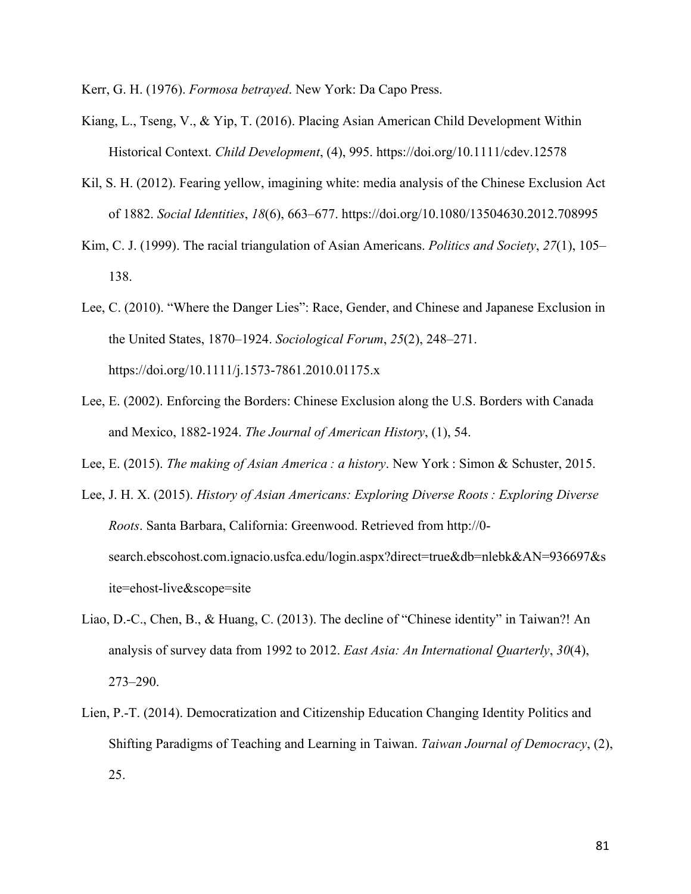Kerr, G. H. (1976). *Formosa betrayed*. New York: Da Capo Press.

- Kiang, L., Tseng, V., & Yip, T. (2016). Placing Asian American Child Development Within Historical Context. *Child Development*, (4), 995. https://doi.org/10.1111/cdev.12578
- Kil, S. H. (2012). Fearing yellow, imagining white: media analysis of the Chinese Exclusion Act of 1882. *Social Identities*, *18*(6), 663–677. https://doi.org/10.1080/13504630.2012.708995
- Kim, C. J. (1999). The racial triangulation of Asian Americans. *Politics and Society*, *27*(1), 105– 138.
- Lee, C. (2010). "Where the Danger Lies": Race, Gender, and Chinese and Japanese Exclusion in the United States, 1870–1924. *Sociological Forum*, *25*(2), 248–271. https://doi.org/10.1111/j.1573-7861.2010.01175.x
- Lee, E. (2002). Enforcing the Borders: Chinese Exclusion along the U.S. Borders with Canada and Mexico, 1882-1924. *The Journal of American History*, (1), 54.
- Lee, E. (2015). *The making of Asian America : a history*. New York : Simon & Schuster, 2015.
- Lee, J. H. X. (2015). *History of Asian Americans: Exploring Diverse Roots : Exploring Diverse Roots*. Santa Barbara, California: Greenwood. Retrieved from http://0 search.ebscohost.com.ignacio.usfca.edu/login.aspx?direct=true&db=nlebk&AN=936697&s ite=ehost-live&scope=site
- Liao, D.-C., Chen, B., & Huang, C. (2013). The decline of "Chinese identity" in Taiwan?! An analysis of survey data from 1992 to 2012. *East Asia: An International Quarterly*, *30*(4), 273–290.
- Lien, P.-T. (2014). Democratization and Citizenship Education Changing Identity Politics and Shifting Paradigms of Teaching and Learning in Taiwan. *Taiwan Journal of Democracy*, (2), 25.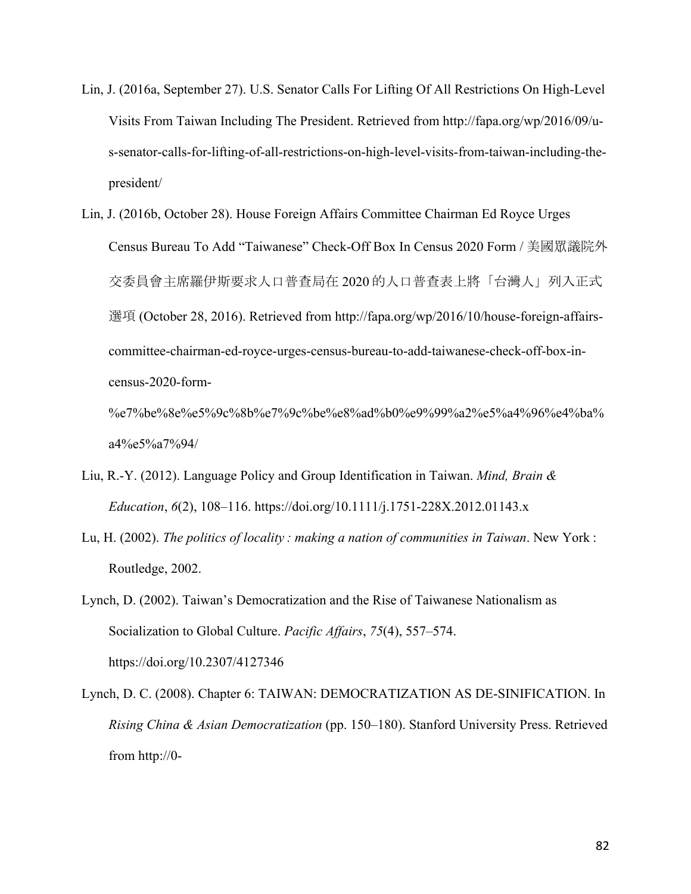- Lin, J. (2016a, September 27). U.S. Senator Calls For Lifting Of All Restrictions On High-Level Visits From Taiwan Including The President. Retrieved from http://fapa.org/wp/2016/09/us-senator-calls-for-lifting-of-all-restrictions-on-high-level-visits-from-taiwan-including-thepresident/
- Lin, J. (2016b, October 28). House Foreign Affairs Committee Chairman Ed Royce Urges Census Bureau To Add "Taiwanese" Check-Off Box In Census 2020 Form / 美國眾議院外 交委員會主席羅伊斯要求人口普查局在 2020 的人口普查表上將「台灣人」列入正式 選項 (October 28, 2016). Retrieved from http://fapa.org/wp/2016/10/house-foreign-affairscommittee-chairman-ed-royce-urges-census-bureau-to-add-taiwanese-check-off-box-incensus-2020-form-

%e7%be%8e%e5%9c%8b%e7%9c%be%e8%ad%b0%e9%99%a2%e5%a4%96%e4%ba% a4%e5%a7%94/

- Liu, R.-Y. (2012). Language Policy and Group Identification in Taiwan. *Mind, Brain & Education*, *6*(2), 108–116. https://doi.org/10.1111/j.1751-228X.2012.01143.x
- Lu, H. (2002). *The politics of locality : making a nation of communities in Taiwan*. New York : Routledge, 2002.
- Lynch, D. (2002). Taiwan's Democratization and the Rise of Taiwanese Nationalism as Socialization to Global Culture. *Pacific Affairs*, *75*(4), 557–574. https://doi.org/10.2307/4127346
- Lynch, D. C. (2008). Chapter 6: TAIWAN: DEMOCRATIZATION AS DE-SINIFICATION. In *Rising China & Asian Democratization* (pp. 150–180). Stanford University Press. Retrieved from http://0-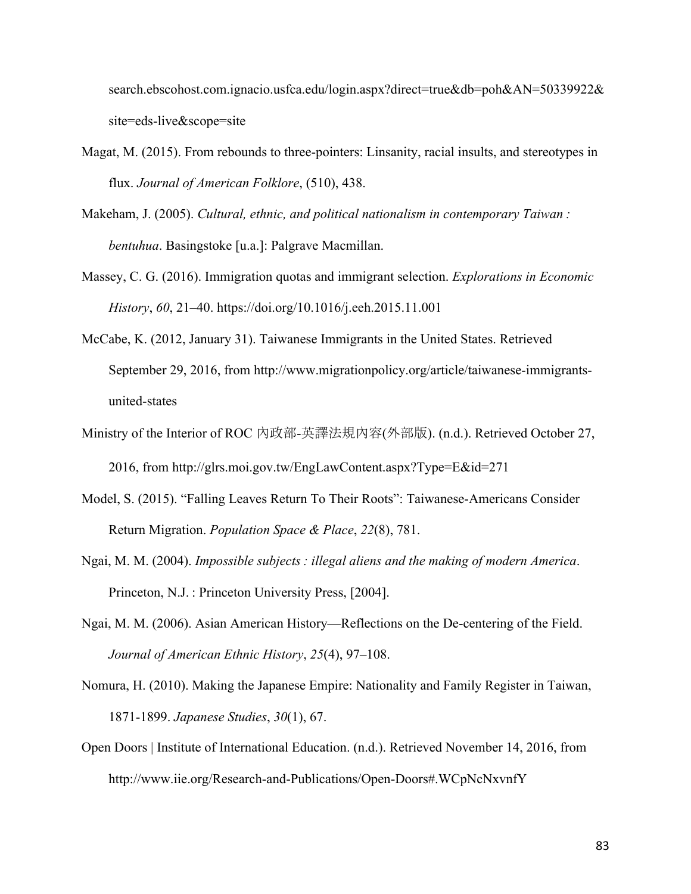search.ebscohost.com.ignacio.usfca.edu/login.aspx?direct=true&db=poh&AN=50339922& site=eds-live&scope=site

Magat, M. (2015). From rebounds to three-pointers: Linsanity, racial insults, and stereotypes in flux. *Journal of American Folklore*, (510), 438.

Makeham, J. (2005). *Cultural, ethnic, and political nationalism in contemporary Taiwan : bentuhua*. Basingstoke [u.a.]: Palgrave Macmillan.

- Massey, C. G. (2016). Immigration quotas and immigrant selection. *Explorations in Economic History*, *60*, 21–40. https://doi.org/10.1016/j.eeh.2015.11.001
- McCabe, K. (2012, January 31). Taiwanese Immigrants in the United States. Retrieved September 29, 2016, from http://www.migrationpolicy.org/article/taiwanese-immigrantsunited-states
- Ministry of the Interior of ROC 內政部-英譯法規內容(外部版). (n.d.). Retrieved October 27, 2016, from http://glrs.moi.gov.tw/EngLawContent.aspx?Type=E&id=271
- Model, S. (2015). "Falling Leaves Return To Their Roots": Taiwanese-Americans Consider Return Migration. *Population Space & Place*, *22*(8), 781.
- Ngai, M. M. (2004). *Impossible subjects : illegal aliens and the making of modern America*. Princeton, N.J. : Princeton University Press, [2004].
- Ngai, M. M. (2006). Asian American History—Reflections on the De-centering of the Field. *Journal of American Ethnic History*, *25*(4), 97–108.
- Nomura, H. (2010). Making the Japanese Empire: Nationality and Family Register in Taiwan, 1871-1899. *Japanese Studies*, *30*(1), 67.
- Open Doors | Institute of International Education. (n.d.). Retrieved November 14, 2016, from http://www.iie.org/Research-and-Publications/Open-Doors#.WCpNcNxvnfY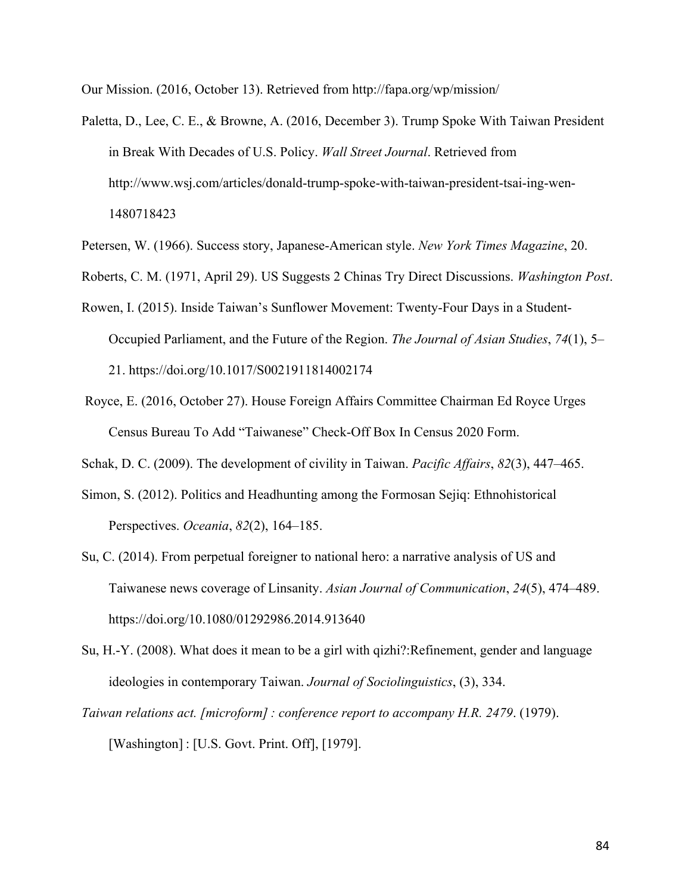Our Mission. (2016, October 13). Retrieved from http://fapa.org/wp/mission/

- Paletta, D., Lee, C. E., & Browne, A. (2016, December 3). Trump Spoke With Taiwan President in Break With Decades of U.S. Policy. *Wall Street Journal*. Retrieved from http://www.wsj.com/articles/donald-trump-spoke-with-taiwan-president-tsai-ing-wen-1480718423
- Petersen, W. (1966). Success story, Japanese-American style. *New York Times Magazine*, 20.
- Roberts, C. M. (1971, April 29). US Suggests 2 Chinas Try Direct Discussions. *Washington Post*.
- Rowen, I. (2015). Inside Taiwan's Sunflower Movement: Twenty-Four Days in a Student-Occupied Parliament, and the Future of the Region. *The Journal of Asian Studies*, *74*(1), 5– 21. https://doi.org/10.1017/S0021911814002174
- Royce, E. (2016, October 27). House Foreign Affairs Committee Chairman Ed Royce Urges Census Bureau To Add "Taiwanese" Check-Off Box In Census 2020 Form.

Schak, D. C. (2009). The development of civility in Taiwan. *Pacific Affairs*, *82*(3), 447–465.

- Simon, S. (2012). Politics and Headhunting among the Formosan Sejiq: Ethnohistorical Perspectives. *Oceania*, *82*(2), 164–185.
- Su, C. (2014). From perpetual foreigner to national hero: a narrative analysis of US and Taiwanese news coverage of Linsanity. *Asian Journal of Communication*, *24*(5), 474–489. https://doi.org/10.1080/01292986.2014.913640
- Su, H.-Y. (2008). What does it mean to be a girl with qizhi?:Refinement, gender and language ideologies in contemporary Taiwan. *Journal of Sociolinguistics*, (3), 334.
- *Taiwan relations act. [microform] : conference report to accompany H.R. 2479*. (1979). [Washington] : [U.S. Govt. Print. Off], [1979].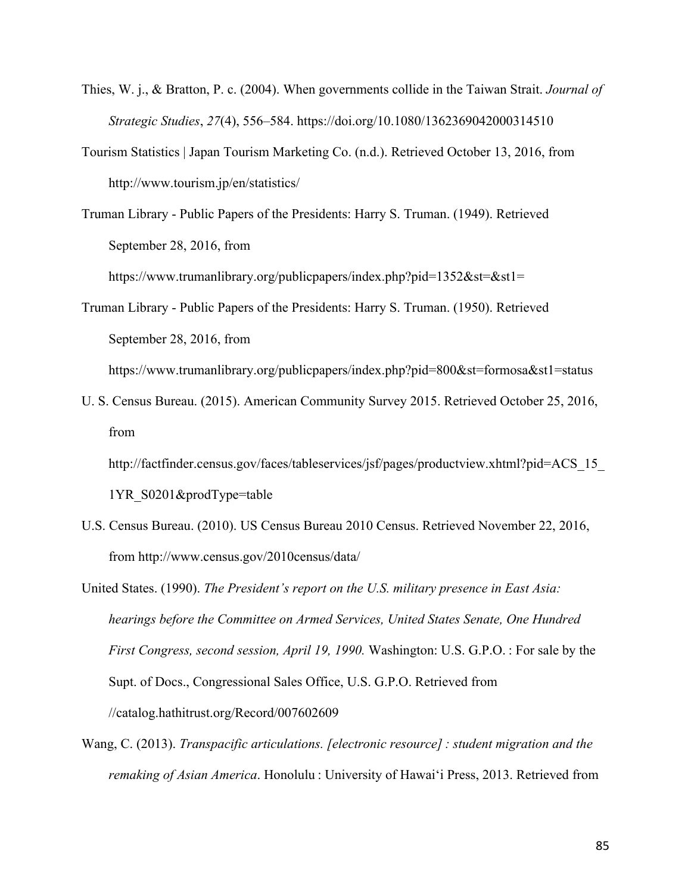- Thies, W. j., & Bratton, P. c. (2004). When governments collide in the Taiwan Strait. *Journal of Strategic Studies*, *27*(4), 556–584. https://doi.org/10.1080/1362369042000314510
- Tourism Statistics | Japan Tourism Marketing Co. (n.d.). Retrieved October 13, 2016, from http://www.tourism.jp/en/statistics/
- Truman Library Public Papers of the Presidents: Harry S. Truman. (1949). Retrieved September 28, 2016, from

https://www.trumanlibrary.org/publicpapers/index.php?pid=1352&st=&st1=

Truman Library - Public Papers of the Presidents: Harry S. Truman. (1950). Retrieved September 28, 2016, from

https://www.trumanlibrary.org/publicpapers/index.php?pid=800&st=formosa&st1=status

U. S. Census Bureau. (2015). American Community Survey 2015. Retrieved October 25, 2016, from

http://factfinder.census.gov/faces/tableservices/jsf/pages/productview.xhtml?pid=ACS\_15 1YR\_S0201&prodType=table

- U.S. Census Bureau. (2010). US Census Bureau 2010 Census. Retrieved November 22, 2016, from http://www.census.gov/2010census/data/
- United States. (1990). *The President's report on the U.S. military presence in East Asia: hearings before the Committee on Armed Services, United States Senate, One Hundred First Congress, second session, April 19, 1990.* Washington: U.S. G.P.O. : For sale by the Supt. of Docs., Congressional Sales Office, U.S. G.P.O. Retrieved from //catalog.hathitrust.org/Record/007602609
- Wang, C. (2013). *Transpacific articulations. [electronic resource] : student migration and the remaking of Asian America*. Honolulu : University of Hawaiʻi Press, 2013. Retrieved from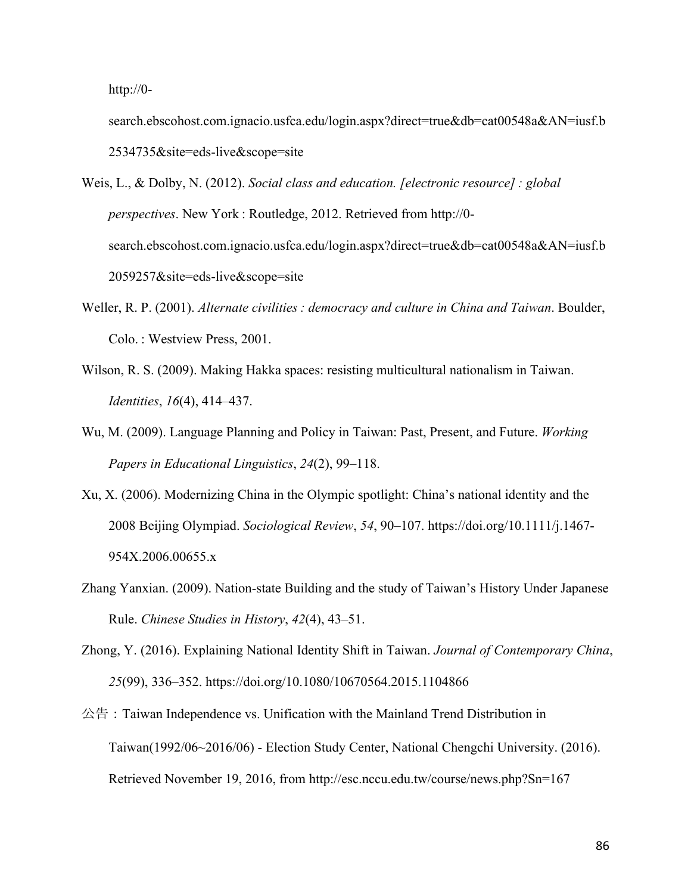http://0-

search.ebscohost.com.ignacio.usfca.edu/login.aspx?direct=true&db=cat00548a&AN=iusf.b 2534735&site=eds-live&scope=site

- Weis, L., & Dolby, N. (2012). *Social class and education. [electronic resource] : global perspectives*. New York : Routledge, 2012. Retrieved from http://0 search.ebscohost.com.ignacio.usfca.edu/login.aspx?direct=true&db=cat00548a&AN=iusf.b 2059257&site=eds-live&scope=site
- Weller, R. P. (2001). *Alternate civilities : democracy and culture in China and Taiwan*. Boulder, Colo. : Westview Press, 2001.
- Wilson, R. S. (2009). Making Hakka spaces: resisting multicultural nationalism in Taiwan. *Identities*, *16*(4), 414–437.
- Wu, M. (2009). Language Planning and Policy in Taiwan: Past, Present, and Future. *Working Papers in Educational Linguistics*, *24*(2), 99–118.
- Xu, X. (2006). Modernizing China in the Olympic spotlight: China's national identity and the 2008 Beijing Olympiad. *Sociological Review*, *54*, 90–107. https://doi.org/10.1111/j.1467- 954X.2006.00655.x
- Zhang Yanxian. (2009). Nation-state Building and the study of Taiwan's History Under Japanese Rule. *Chinese Studies in History*, *42*(4), 43–51.
- Zhong, Y. (2016). Explaining National Identity Shift in Taiwan. *Journal of Contemporary China*, *25*(99), 336–352. https://doi.org/10.1080/10670564.2015.1104866
- 公告:Taiwan Independence vs. Unification with the Mainland Trend Distribution in Taiwan(1992/06~2016/06) - Election Study Center, National Chengchi University. (2016). Retrieved November 19, 2016, from http://esc.nccu.edu.tw/course/news.php?Sn=167